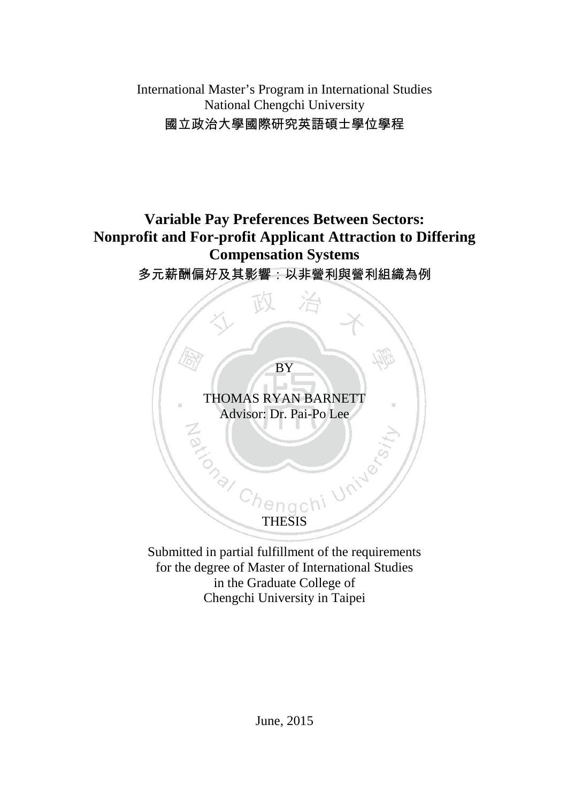International Master's Program in International Studies National Chengchi University 國立政治大學國際研究英語碩士學位學程

# **Variable Pay Preferences Between Sectors: Nonprofit and For-profit Applicant Attraction to Differing Compensation Systems**

## 多元薪酬偏好及其影響:以非營利與營利組織為例

BY

THOMAS RYAN BARNETT Advisor: Dr. Pai-Po Lee Tong University

Submitted in partial fulfillment of the requirements for the degree of Master of International Studies in the Graduate College of Chengchi University in Taipei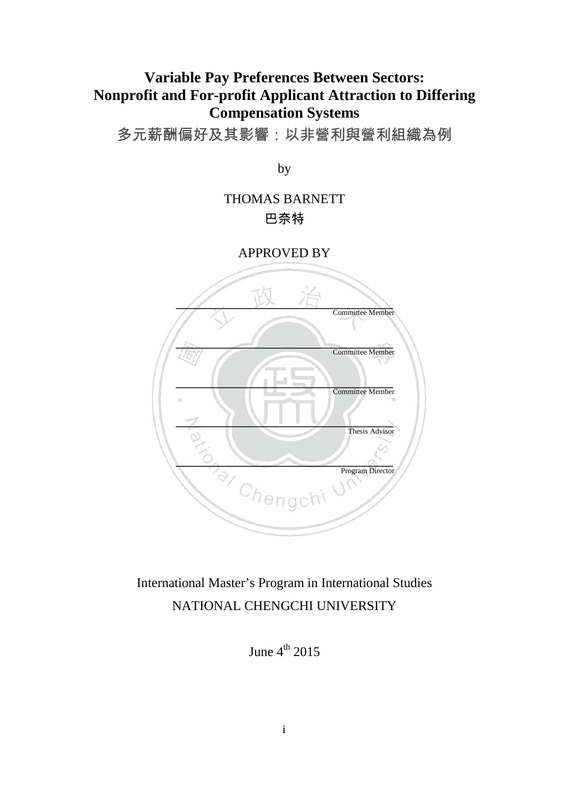# **Variable Pay Preferences Between Sectors: Nonprofit and For-profit Applicant Attraction to Differing Compensation Systems**

多元薪酬偏好及其影響:以非營利與營利組織為例

by

## THOMAS BARNETT 巴奈特

APPROVED BY



# International Master's Program in International Studies NATIONAL CHENGCHI UNIVERSITY

June  $4^{th}$  2015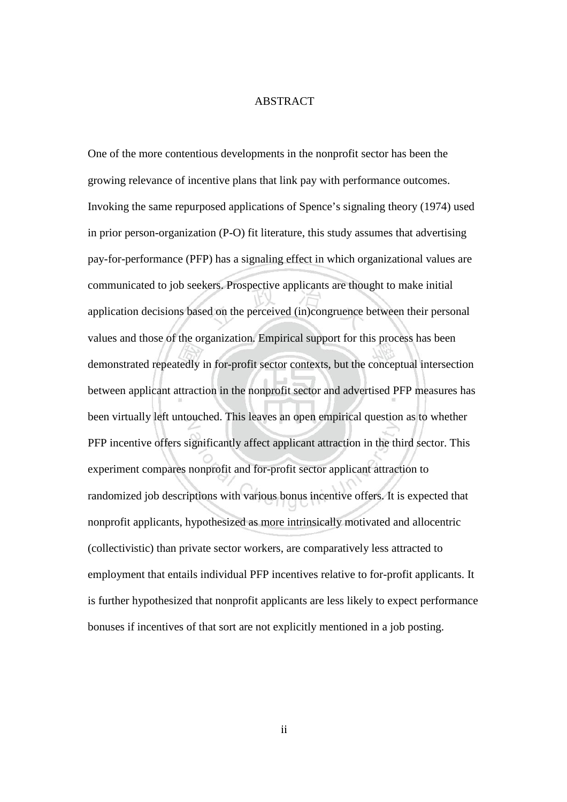### ABSTRACT

One of the more contentious developments in the nonprofit sector has been the growing relevance of incentive plans that link pay with performance outcomes. Invoking the same repurposed applications of Spence's signaling theory (1974) used in prior person-organization (P-O) fit literature, this study assumes that advertising pay-for-performance (PFP) has a signaling effect in which organizational values are communicated to job seekers. Prospective applicants are thought to make initial application decisions based on the perceived (in)congruence between their personal values and those of the organization. Empirical support for this process has been demonstrated repeatedly in for-profit sector contexts, but the conceptual intersection between applicant attraction in the nonprofit sector and advertised PFP measures has been virtually left untouched. This leaves an open empirical question as to whether PFP incentive offers significantly affect applicant attraction in the third sector. This experiment compares nonprofit and for-profit sector applicant attraction to randomized job descriptions with various bonus incentive offers. It is expected that nonprofit applicants, hypothesized as more intrinsically motivated and allocentric (collectivistic) than private sector workers, are comparatively less attracted to employment that entails individual PFP incentives relative to for-profit applicants. It is further hypothesized that nonprofit applicants are less likely to expect performance bonuses if incentives of that sort are not explicitly mentioned in a job posting.

ii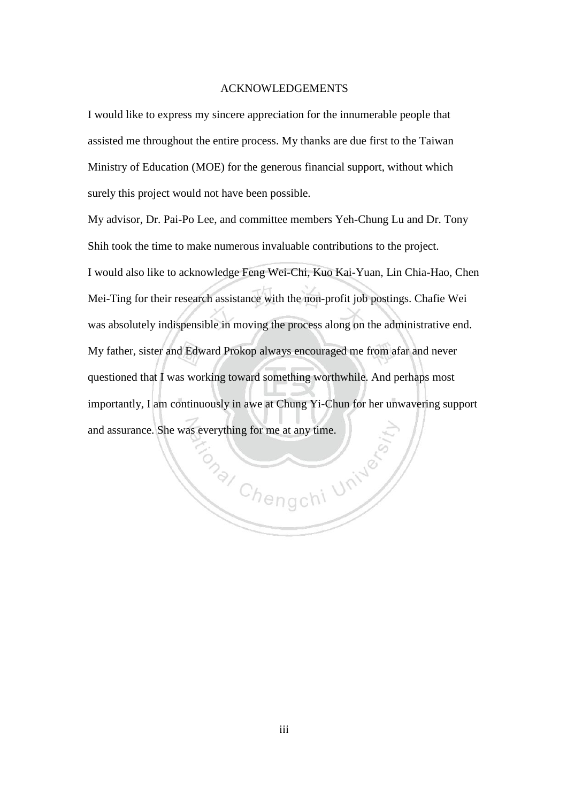#### ACKNOWLEDGEMENTS

I would like to express my sincere appreciation for the innumerable people that assisted me throughout the entire process. My thanks are due first to the Taiwan Ministry of Education (MOE) for the generous financial support, without which surely this project would not have been possible.

My advisor, Dr. Pai-Po Lee, and committee members Yeh-Chung Lu and Dr. Tony Shih took the time to make numerous invaluable contributions to the project. I would also like to acknowledge Feng Wei-Chi, Kuo Kai-Yuan, Lin Chia-Hao, Chen Mei-Ting for their research assistance with the non-profit job postings. Chafie Wei was absolutely indispensible in moving the process along on the administrative end. My father, sister and Edward Prokop always encouraged me from afar and never questioned that I was working toward something worthwhile. And perhaps most importantly, I am continuously in awe at Chung Yi-Chun for her unwavering support and assurance. She was everything for me at any time.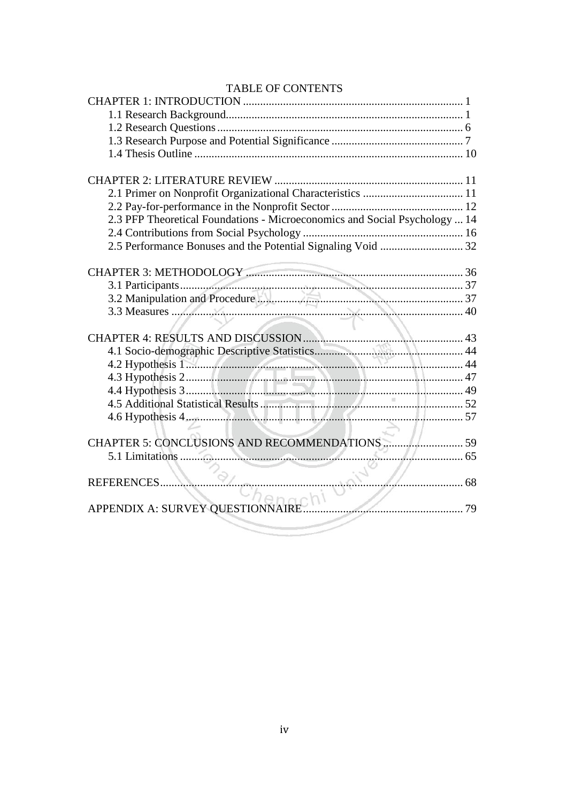| TABLE OF CONTENTS                                                          |    |
|----------------------------------------------------------------------------|----|
|                                                                            |    |
|                                                                            |    |
|                                                                            |    |
|                                                                            |    |
|                                                                            |    |
|                                                                            |    |
|                                                                            |    |
|                                                                            |    |
| 2.3 PFP Theoretical Foundations - Microeconomics and Social Psychology  14 |    |
|                                                                            |    |
|                                                                            |    |
|                                                                            |    |
|                                                                            |    |
|                                                                            |    |
|                                                                            |    |
|                                                                            |    |
|                                                                            |    |
|                                                                            |    |
|                                                                            |    |
| 4.2 Hypothesis 1 44<br>4.3 Hypothesis 2 47                                 |    |
|                                                                            |    |
|                                                                            |    |
|                                                                            |    |
|                                                                            |    |
|                                                                            |    |
|                                                                            |    |
| . 65<br>5.1 Limitations                                                    |    |
|                                                                            |    |
| REFERENCES V PL                                                            |    |
|                                                                            |    |
| APPENDIX A: SURVEY QUESTIONNAIRE                                           | 79 |
|                                                                            |    |

### TARI E OF CONTENTS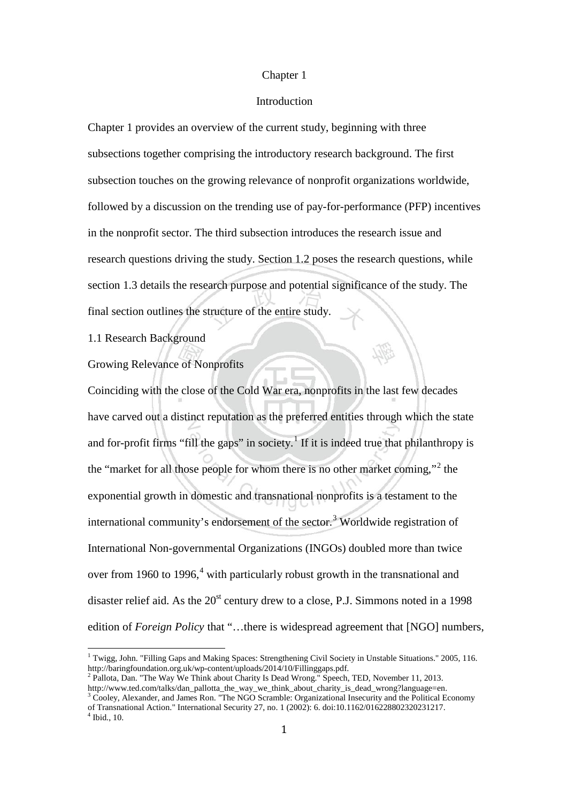#### Chapter 1

#### Introduction

Chapter 1 provides an overview of the current study, beginning with three subsections together comprising the introductory research background. The first subsection touches on the growing relevance of nonprofit organizations worldwide, followed by a discussion on the trending use of pay-for-performance (PFP) incentives in the nonprofit sector. The third subsection introduces the research issue and research questions driving the study. Section 1.2 poses the research questions, while section 1.3 details the research purpose and potential significance of the study. The final section outlines the structure of the entire study.

1.1 Research Background

Growing Relevance of Nonprofits

Coinciding with the close of the Cold War era, nonprofits in the last few decades have carved out a distinct reputation as the preferred entities through which the state and for-profit firms "fill the gaps" in society.<sup>[1](#page-5-0)</sup> If it is indeed true that philanthropy is the "market for all those people for whom there is no other market coming,"<sup>[2](#page-5-1)</sup> the exponential growth in domestic and transnational nonprofits is a testament to the international community's endorsement of the sector.<sup>[3](#page-5-2)</sup> Worldwide registration of International Non-governmental Organizations (INGOs) doubled more than twice over from 1960 to 1996,<sup>[4](#page-5-3)</sup> with particularly robust growth in the transnational and disaster relief aid. As the  $20<sup>st</sup>$  century drew to a close, P.J. Simmons noted in a 1998 edition of *Foreign Policy* that "…there is widespread agreement that [NGO] numbers,

<span id="page-5-0"></span><sup>&</sup>lt;sup>1</sup> Twigg, John. "Filling Gaps and Making Spaces: Strengthening Civil Society in Unstable Situations." 2005, 116. http://baringfoundation.org.uk/wp-content/uploads/2014/10/Fillinggaps.pdf.<br><sup>2</sup> Pallota, Dan. "The Way We Think about Charity Is Dead Wrong." Speech, TED, November 11, 2013.

<span id="page-5-1"></span>http://www.ted.com/talks/dan\_pallotta\_the\_way\_we\_think\_about\_charity\_is\_dead\_wrong?language=en.

<span id="page-5-3"></span><span id="page-5-2"></span><sup>&</sup>lt;sup>3</sup> Cooley, Alexander, and James Ron. "The NGO Scramble: Organizational Insecurity and the Political Economy of Transnational Action." International Security 27, no. 1 (2002): 6. doi:10.1162/016228802320231217. <sup>4</sup> Ibid., 10.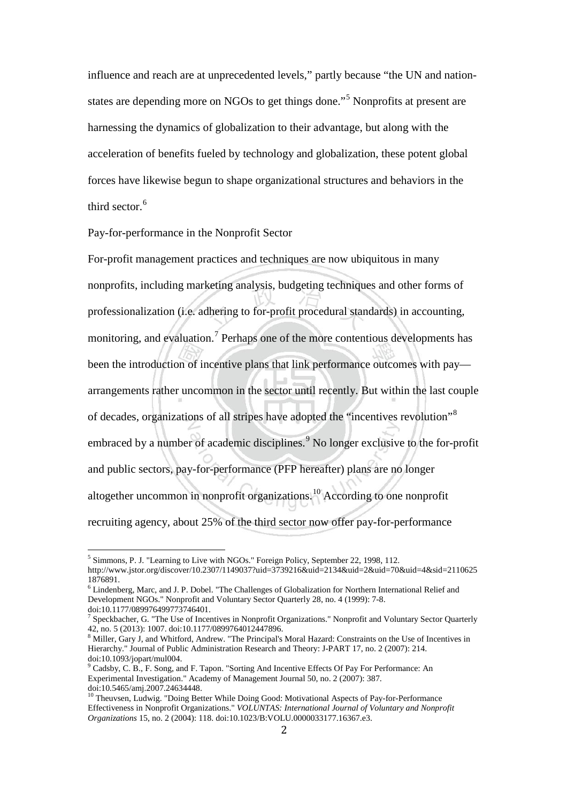influence and reach are at unprecedented levels," partly because "the UN and nationstates are depending more on NGOs to get things done."[5](#page-6-0) Nonprofits at present are harnessing the dynamics of globalization to their advantage, but along with the acceleration of benefits fueled by technology and globalization, these potent global forces have likewise begun to shape organizational structures and behaviors in the third sector.<sup>[6](#page-6-1)</sup>

Pay-for-performance in the Nonprofit Sector

For-profit management practices and techniques are now ubiquitous in many nonprofits, including marketing analysis, budgeting techniques and other forms of professionalization (i.e. adhering to for-profit procedural standards) in accounting, monitoring, and evaluation.<sup>[7](#page-6-2)</sup> Perhaps one of the more contentious developments has been the introduction of incentive plans that link performance outcomes with pay arrangements rather uncommon in the sector until recently. But within the last couple of decades, organizations of all stripes have adopted the "incentives revolution"[8](#page-6-3) embraced by a number of academic disciplines.<sup>[9](#page-6-4)</sup> No longer exclusive to the for-profit and public sectors, pay-for-performance (PFP hereafter) plans are no longer altogether uncommon in nonprofit organizations.[10](#page-6-5) According to one nonprofit recruiting agency, about 25% of the third sector now offer pay-for-performance

<span id="page-6-0"></span><sup>&</sup>lt;sup>5</sup> Simmons, P. J. "Learning to Live with NGOs." Foreign Policy, September 22, 1998, 112. http://www.jstor.org/discover/10.2307/1149037?uid=3739216&uid=2134&uid=2&uid=70&uid=4&sid=2110625 1876891.

<span id="page-6-1"></span><sup>6</sup> Lindenberg, Marc, and J. P. Dobel. "The Challenges of Globalization for Northern International Relief and Development NGOs." Nonprofit and Voluntary Sector Quarterly 28, no. 4 (1999): 7-8.

<span id="page-6-2"></span><sup>&</sup>lt;sup>7</sup> Speckbacher, G. "The Use of Incentives in Nonprofit Organizations." Nonprofit and Voluntary Sector Quarterly  $42$ , no. 5 (2013): 1007. doi:10.1177/0899764012447896.

<span id="page-6-3"></span><sup>&</sup>lt;sup>8</sup> Miller, Gary J, and Whitford, Andrew. "The Principal's Moral Hazard: Constraints on the Use of Incentives in Hierarchy." Journal of Public Administration Research and Theory: J-PART 17, no. 2 (2007): 214. doi:10.1093/jopart/mul004.

<span id="page-6-4"></span><sup>&</sup>lt;sup>9</sup> Cadsby, C. B., F. Song, and F. Tapon. "Sorting And Incentive Effects Of Pay For Performance: An Experimental Investigation." Academy of Management Journal 50, no. 2 (2007): 387. doi:10.5465/amj.2007.24634448.

<span id="page-6-5"></span><sup>&</sup>lt;sup>10</sup> Theuvsen, Ludwig. "Doing Better While Doing Good: Motivational Aspects of Pay-for-Performance Effectiveness in Nonprofit Organizations." *VOLUNTAS: International Journal of Voluntary and Nonprofit Organizations* 15, no. 2 (2004): 118. doi:10.1023/B:VOLU.0000033177.16367.e3.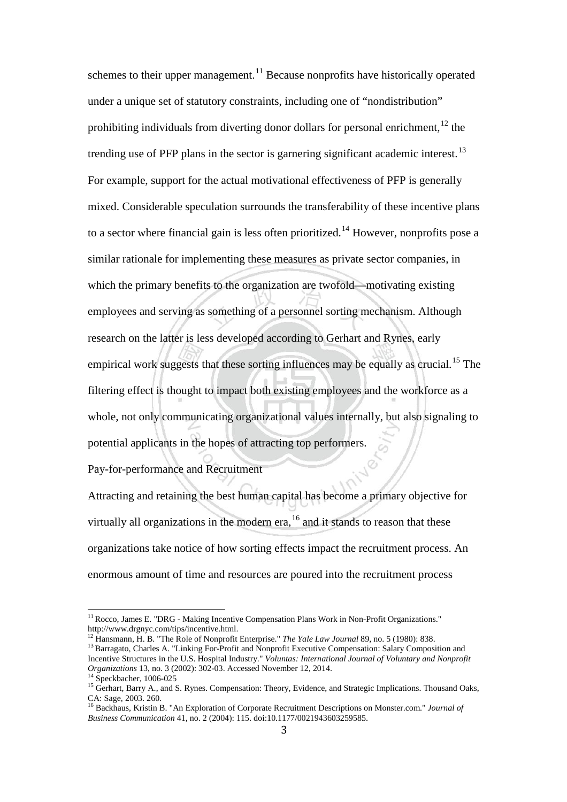schemes to their upper management.<sup>[11](#page-7-0)</sup> Because nonprofits have historically operated under a unique set of statutory constraints, including one of "nondistribution" prohibiting individuals from diverting donor dollars for personal enrichment, $12$  the trending use of PFP plans in the sector is garnering significant academic interest.<sup>[13](#page-7-2)</sup> For example, support for the actual motivational effectiveness of PFP is generally mixed. Considerable speculation surrounds the transferability of these incentive plans to a sector where financial gain is less often prioritized.<sup>[14](#page-7-3)</sup> However, nonprofits pose a similar rationale for implementing these measures as private sector companies, in which the primary benefits to the organization are twofold—motivating existing employees and serving as something of a personnel sorting mechanism. Although research on the latter is less developed according to Gerhart and Rynes, early empirical work suggests that these sorting influences may be equally as crucial.<sup>[15](#page-7-4)</sup> The filtering effect is thought to impact both existing employees and the workforce as a whole, not only communicating organizational values internally, but also signaling to potential applicants in the hopes of attracting top performers.

Pay-for-performance and Recruitment

Attracting and retaining the best human capital has become a primary objective for virtually all organizations in the modern era, <sup>[16](#page-7-5)</sup> and it stands to reason that these organizations take notice of how sorting effects impact the recruitment process. An enormous amount of time and resources are poured into the recruitment process

<span id="page-7-0"></span><sup>&</sup>lt;sup>11</sup> Rocco, James E. "DRG - Making Incentive Compensation Plans Work in Non-Profit Organizations." http://www.drgnyc.com/tips/incentive.html.<br><sup>12</sup> Hansmann, H. B. "The Role of Nonprofit Enterprise." *The Yale Law Journal* 89, no. 5 (1980): 838.

<span id="page-7-2"></span><span id="page-7-1"></span><sup>&</sup>lt;sup>13</sup> Barragato, Charles A. "Linking For-Profit and Nonprofit Executive Compensation: Salary Composition and Incentive Structures in the U.S. Hospital Industry." *Voluntas: International Journal of Voluntary and Nonprofit* 

<span id="page-7-4"></span><span id="page-7-3"></span>

<sup>&</sup>lt;sup>14</sup> Speckbacher, 1006-025<br><sup>15</sup> Gerhart, Barry A., and S. Rynes. Compensation: Theory, Evidence, and Strategic Implications. Thousand Oaks, CA: Sage, 2003. 260.

<span id="page-7-5"></span><sup>&</sup>lt;sup>16</sup> Backhaus, Kristin B. "An Exploration of Corporate Recruitment Descriptions on Monster.com." *Journal of Business Communication* 41, no. 2 (2004): 115. doi:10.1177/0021943603259585.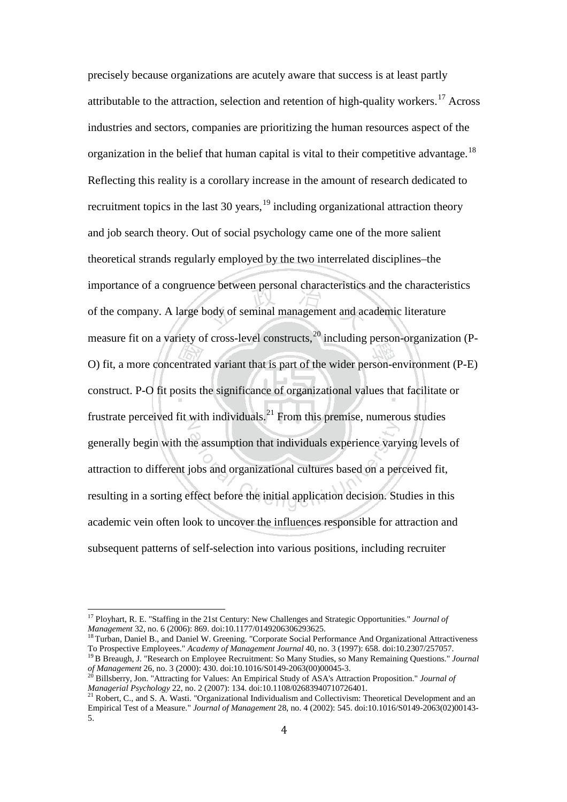precisely because organizations are acutely aware that success is at least partly attributable to the attraction, selection and retention of high-quality workers.<sup>[17](#page-8-0)</sup> Across industries and sectors, companies are prioritizing the human resources aspect of the organization in the belief that human capital is vital to their competitive advantage.<sup>[18](#page-8-1)</sup> Reflecting this reality is a corollary increase in the amount of research dedicated to recruitment topics in the last 30 years,  $19$  including organizational attraction theory and job search theory. Out of social psychology came one of the more salient theoretical strands regularly employed by the two interrelated disciplines–the importance of a congruence between personal characteristics and the characteristics of the company. A large body of seminal management and academic literature measure fit on a variety of cross-level constructs,  $^{20}$  $^{20}$  $^{20}$  including person-organization (P-O) fit, a more concentrated variant that is part of the wider person-environment (P-E) construct. P-O fit posits the significance of organizational values that facilitate or frustrate perceived fit with individuals.[21](#page-8-4) From this premise, numerous studies generally begin with the assumption that individuals experience varying levels of attraction to different jobs and organizational cultures based on a perceived fit, resulting in a sorting effect before the initial application decision. Studies in this academic vein often look to uncover the influences responsible for attraction and subsequent patterns of self-selection into various positions, including recruiter

<span id="page-8-0"></span><sup>&</sup>lt;sup>17</sup> Ployhart, R. E. "Staffing in the 21st Century: New Challenges and Strategic Opportunities." *Journal of Management* 32, no. 6 (2006): 869. doi:10.1177/0149206306293625.

<span id="page-8-1"></span><sup>&</sup>lt;sup>18</sup> Turban, Daniel B., and Daniel W. Greening. "Corporate Social Performance And Organizational Attractiveness To Prospective Employees." *Academy of Management Journal* 40, no. 3 (1997): 658. doi:10.2307/257057. <sup>19</sup> <sup>B</sup> Breaugh, J. "Research on Employee Recruitment: So Many Studies, so Many Remaining Questions." *Journal* 

<span id="page-8-2"></span>*of Management* 26, no. 3 (2000): 430. doi:10.1016/S0149-2063(00)00045-3.<br><sup>20</sup> Billsberry, Jon. "Attracting for Values: An Empirical Study of ASA's Attraction Proposition." *Journal of* 

<span id="page-8-3"></span>*Managerial Psychology* 22, no. 2 (2007): 134. doi:10.1108/02683940710726401.<br><sup>21</sup> Robert, C., and S. A. Wasti. "Organizational Individualism and Collectivism: Theoretical Development and an

<span id="page-8-4"></span>Empirical Test of a Measure." *Journal of Management* 28, no. 4 (2002): 545. doi:10.1016/S0149-2063(02)00143- 5.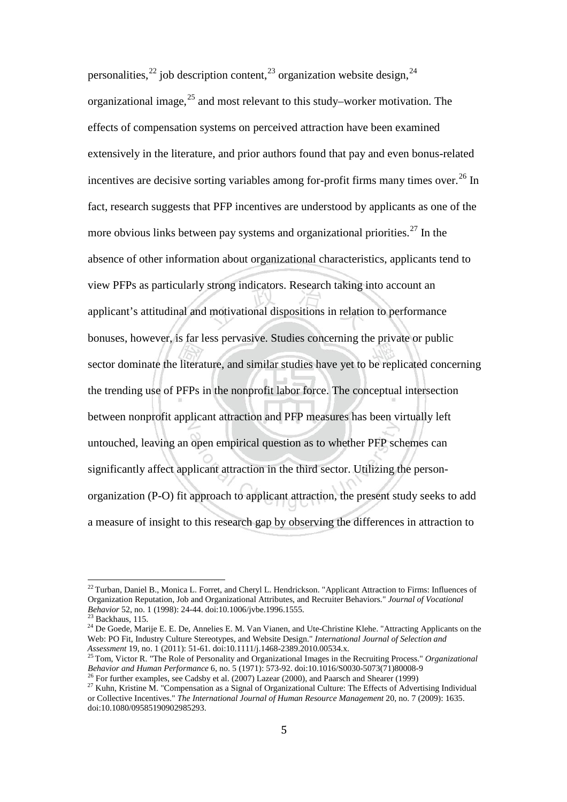personalities,<sup>[22](#page-9-0)</sup> job description content,<sup>[23](#page-9-1)</sup> organization website design, <sup>[24](#page-9-2)</sup> organizational image,  $25$  and most relevant to this study–worker motivation. The effects of compensation systems on perceived attraction have been examined extensively in the literature, and prior authors found that pay and even bonus-related incentives are decisive sorting variables among for-profit firms many times over.<sup>[26](#page-9-4)</sup> In fact, research suggests that PFP incentives are understood by applicants as one of the more obvious links between pay systems and organizational priorities.<sup>[27](#page-9-5)</sup> In the absence of other information about organizational characteristics, applicants tend to view PFPs as particularly strong indicators. Research taking into account an applicant's attitudinal and motivational dispositions in relation to performance bonuses, however, is far less pervasive. Studies concerning the private or public sector dominate the literature, and similar studies have yet to be replicated concerning the trending use of PFPs in the nonprofit labor force. The conceptual intersection between nonprofit applicant attraction and PFP measures has been virtually left untouched, leaving an open empirical question as to whether PFP schemes can significantly affect applicant attraction in the third sector. Utilizing the personorganization (P-O) fit approach to applicant attraction, the present study seeks to add a measure of insight to this research gap by observing the differences in attraction to

<span id="page-9-0"></span><sup>&</sup>lt;sup>22</sup> Turban, Daniel B., Monica L. Forret, and Cheryl L. Hendrickson. "Applicant Attraction to Firms: Influences of Organization Reputation, Job and Organizational Attributes, and Recruiter Behaviors." *Journal of Vocational* 

<span id="page-9-2"></span>

<span id="page-9-1"></span><sup>&</sup>lt;sup>23</sup> Backhaus, 115.<br><sup>24</sup> De Goede, Marije E. E. De, Annelies E. M. Van Vianen, and Ute-Christine Klehe. "Attracting Applicants on the Web: PO Fit, Industry Culture Stereotypes, and Website Design." *International Journal of Selection and* 

<span id="page-9-3"></span>*Assessment* 19, no. 1 (2011): 51-61. doi:10.1111/j.1468-2389.2010.00534.x.<br><sup>25</sup> Tom, Victor R. "The Role of Personality and Organizational Images in the Recruiting Process." *Organizational Behavior and Human Performanc* 

<span id="page-9-5"></span><span id="page-9-4"></span><sup>&</sup>lt;sup>26</sup> For further examples, see Cadsby et al. (2007) Lazear (2000), and Paarsch and Shearer (1999)<br><sup>27</sup> Kuhn, Kristine M. "Compensation as a Signal of Organizational Culture: The Effects of Advertising Individual or Collective Incentives." *The International Journal of Human Resource Management* 20, no. 7 (2009): 1635. doi:10.1080/09585190902985293.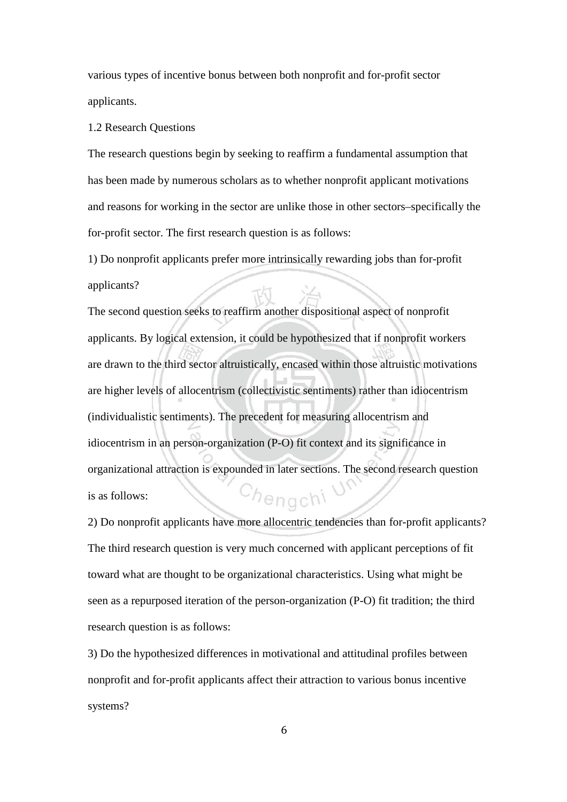various types of incentive bonus between both nonprofit and for-profit sector applicants.

#### 1.2 Research Questions

The research questions begin by seeking to reaffirm a fundamental assumption that has been made by numerous scholars as to whether nonprofit applicant motivations and reasons for working in the sector are unlike those in other sectors–specifically the for-profit sector. The first research question is as follows:

1) Do nonprofit applicants prefer more intrinsically rewarding jobs than for-profit applicants?

The second question seeks to reaffirm another dispositional aspect of nonprofit applicants. By logical extension, it could be hypothesized that if nonprofit workers are drawn to the third sector altruistically, encased within those altruistic motivations are higher levels of allocentrism (collectivistic sentiments) rather than idiocentrism (individualistic sentiments). The precedent for measuring allocentrism and idiocentrism in an person-organization (P-O) fit context and its significance in organizational attraction is expounded in later sections. The second research question <sup>h</sup>engchi is as follows:

2) Do nonprofit applicants have more allocentric tendencies than for-profit applicants? The third research question is very much concerned with applicant perceptions of fit toward what are thought to be organizational characteristics. Using what might be seen as a repurposed iteration of the person-organization (P-O) fit tradition; the third research question is as follows:

3) Do the hypothesized differences in motivational and attitudinal profiles between nonprofit and for-profit applicants affect their attraction to various bonus incentive systems?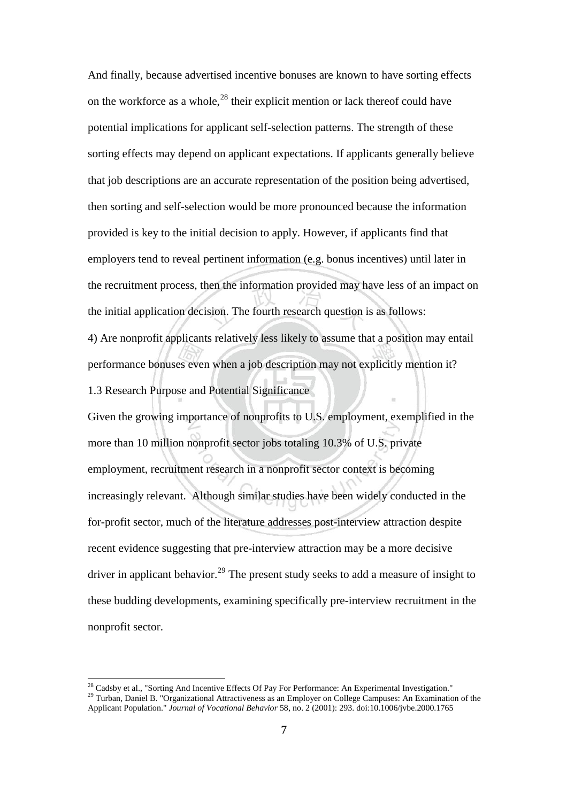And finally, because advertised incentive bonuses are known to have sorting effects on the workforce as a whole, $^{28}$  $^{28}$  $^{28}$  their explicit mention or lack thereof could have potential implications for applicant self-selection patterns. The strength of these sorting effects may depend on applicant expectations. If applicants generally believe that job descriptions are an accurate representation of the position being advertised, then sorting and self-selection would be more pronounced because the information provided is key to the initial decision to apply. However, if applicants find that employers tend to reveal pertinent information (e.g. bonus incentives) until later in the recruitment process, then the information provided may have less of an impact on the initial application decision. The fourth research question is as follows:

4) Are nonprofit applicants relatively less likely to assume that a position may entail performance bonuses even when a job description may not explicitly mention it? 1.3 Research Purpose and Potential Significance

Given the growing importance of nonprofits to U.S. employment, exemplified in the more than 10 million nonprofit sector jobs totaling 10.3% of U.S. private employment, recruitment research in a nonprofit sector context is becoming increasingly relevant. Although similar studies have been widely conducted in the for-profit sector, much of the literature addresses post-interview attraction despite recent evidence suggesting that pre-interview attraction may be a more decisive driver in applicant behavior.<sup>[29](#page-11-1)</sup> The present study seeks to add a measure of insight to these budding developments, examining specifically pre-interview recruitment in the nonprofit sector.

<span id="page-11-1"></span><span id="page-11-0"></span><sup>&</sup>lt;sup>28</sup> Cadsby et al., "Sorting And Incentive Effects Of Pay For Performance: An Experimental Investigation." <sup>29</sup> Turban, Daniel B. "Organizational Attractiveness as an Employer on College Campuses: An Examination of the Applicant Population." *Journal of Vocational Behavior* 58, no. 2 (2001): 293. doi:10.1006/jvbe.2000.1765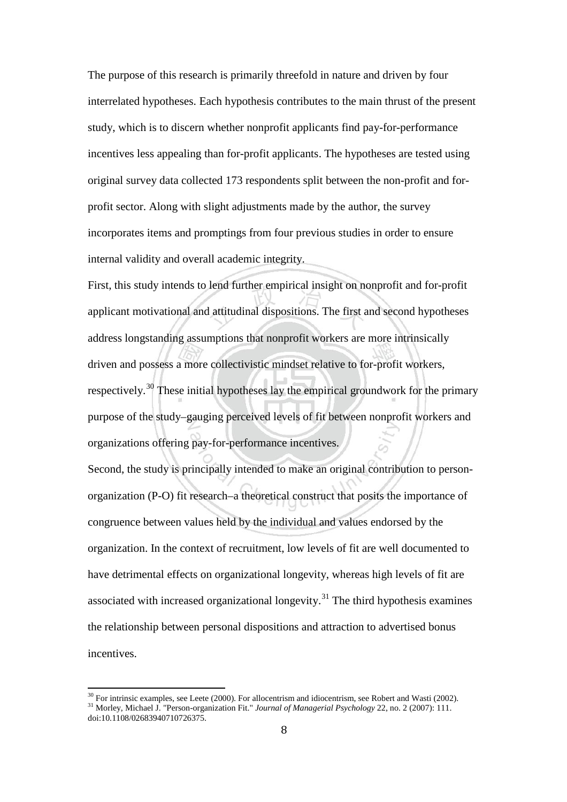The purpose of this research is primarily threefold in nature and driven by four interrelated hypotheses. Each hypothesis contributes to the main thrust of the present study, which is to discern whether nonprofit applicants find pay-for-performance incentives less appealing than for-profit applicants. The hypotheses are tested using original survey data collected 173 respondents split between the non-profit and forprofit sector. Along with slight adjustments made by the author, the survey incorporates items and promptings from four previous studies in order to ensure internal validity and overall academic integrity.

First, this study intends to lend further empirical insight on nonprofit and for-profit applicant motivational and attitudinal dispositions. The first and second hypotheses address longstanding assumptions that nonprofit workers are more intrinsically driven and possess a more collectivistic mindset relative to for-profit workers, respectively.<sup>[30](#page-12-0)</sup> These initial hypotheses lay the empirical groundwork for the primary purpose of the study–gauging perceived levels of fit between nonprofit workers and organizations offering pay-for-performance incentives.

Second, the study is principally intended to make an original contribution to personorganization (P-O) fit research–a theoretical construct that posits the importance of congruence between values held by the individual and values endorsed by the organization. In the context of recruitment, low levels of fit are well documented to have detrimental effects on organizational longevity, whereas high levels of fit are associated with increased organizational longevity.<sup>[31](#page-12-1)</sup> The third hypothesis examines the relationship between personal dispositions and attraction to advertised bonus incentives.

<span id="page-12-1"></span><span id="page-12-0"></span><sup>&</sup>lt;sup>30</sup> For intrinsic examples, see Leete (2000). For allocentrism and idiocentrism, see Robert and Wasti (2002). <sup>31</sup> Morley, Michael J. "Person-organization Fit." *Journal of Managerial Psychology* 22, no. 2 (2007): 111. doi:10.1108/02683940710726375.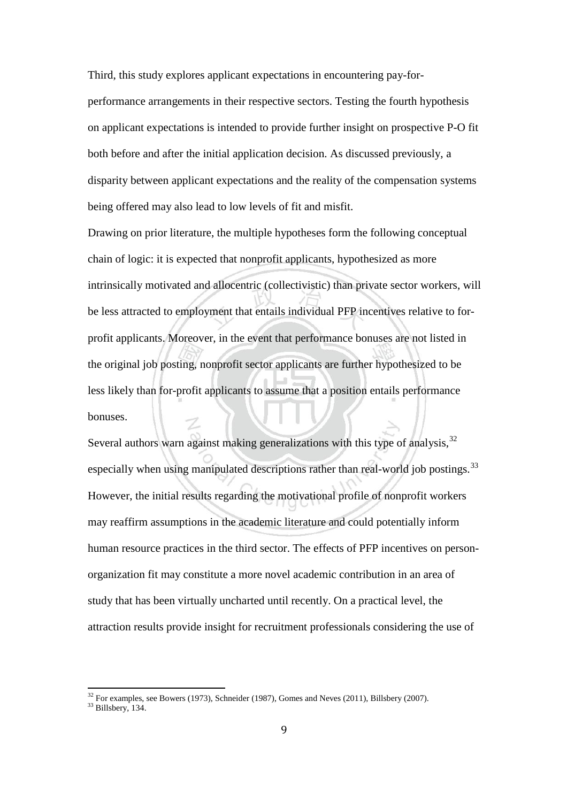Third, this study explores applicant expectations in encountering pay-forperformance arrangements in their respective sectors. Testing the fourth hypothesis on applicant expectations is intended to provide further insight on prospective P-O fit both before and after the initial application decision. As discussed previously, a disparity between applicant expectations and the reality of the compensation systems being offered may also lead to low levels of fit and misfit.

Drawing on prior literature, the multiple hypotheses form the following conceptual chain of logic: it is expected that nonprofit applicants, hypothesized as more intrinsically motivated and allocentric (collectivistic) than private sector workers, will be less attracted to employment that entails individual PFP incentives relative to forprofit applicants. Moreover, in the event that performance bonuses are not listed in the original job posting, nonprofit sector applicants are further hypothesized to be less likely than for-profit applicants to assume that a position entails performance bonuses.

Several authors warn against making generalizations with this type of analysis,  $32$ especially when using manipulated descriptions rather than real-world job postings.<sup>[33](#page-13-1)</sup> However, the initial results regarding the motivational profile of nonprofit workers may reaffirm assumptions in the academic literature and could potentially inform human resource practices in the third sector. The effects of PFP incentives on personorganization fit may constitute a more novel academic contribution in an area of study that has been virtually uncharted until recently. On a practical level, the attraction results provide insight for recruitment professionals considering the use of

<span id="page-13-1"></span><span id="page-13-0"></span> $32$  For examples, see Bowers (1973), Schneider (1987), Gomes and Neves (2011), Billsbery (2007).  $33$  Billsbery, 134.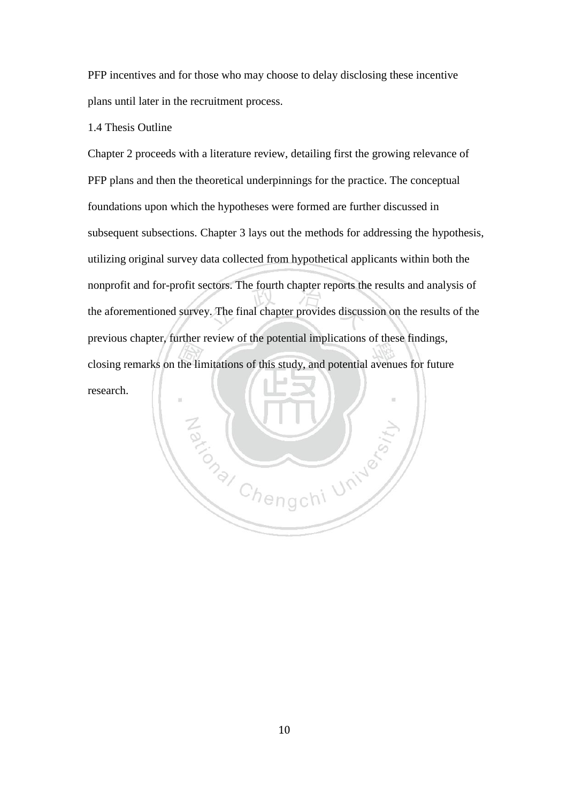PFP incentives and for those who may choose to delay disclosing these incentive plans until later in the recruitment process.

### 1.4 Thesis Outline

Chapter 2 proceeds with a literature review, detailing first the growing relevance of PFP plans and then the theoretical underpinnings for the practice. The conceptual foundations upon which the hypotheses were formed are further discussed in subsequent subsections. Chapter 3 lays out the methods for addressing the hypothesis, utilizing original survey data collected from hypothetical applicants within both the nonprofit and for-profit sectors. The fourth chapter reports the results and analysis of the aforementioned survey. The final chapter provides discussion on the results of the previous chapter, further review of the potential implications of these findings, closing remarks on the limitations of this study, and potential avenues for future research.

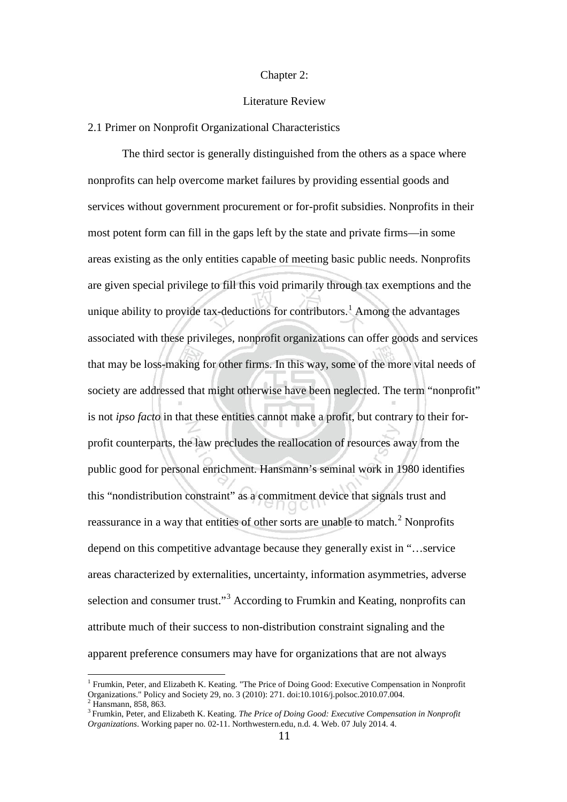#### Chapter 2:

#### Literature Review

#### 2.1 Primer on Nonprofit Organizational Characteristics

The third sector is generally distinguished from the others as a space where nonprofits can help overcome market failures by providing essential goods and services without government procurement or for-profit subsidies. Nonprofits in their most potent form can fill in the gaps left by the state and private firms—in some areas existing as the only entities capable of meeting basic public needs. Nonprofits are given special privilege to fill this void primarily through tax exemptions and the unique ability to provide tax-deductions for contributors.<sup>[1](#page-15-0)</sup> Among the advantages associated with these privileges, nonprofit organizations can offer goods and services that may be loss-making for other firms. In this way, some of the more vital needs of society are addressed that might otherwise have been neglected. The term "nonprofit" is not *ipso facto* in that these entities cannot make a profit, but contrary to their forprofit counterparts, the law precludes the reallocation of resources away from the public good for personal enrichment. Hansmann's seminal work in 1980 identifies this "nondistribution constraint" as a commitment device that signals trust and reassurance in a way that entities of other sorts are unable to match.<sup>[2](#page-15-1)</sup> Nonprofits depend on this competitive advantage because they generally exist in "…service areas characterized by externalities, uncertainty, information asymmetries, adverse selection and consumer trust."<sup>[3](#page-15-2)</sup> According to Frumkin and Keating, nonprofits can attribute much of their success to non-distribution constraint signaling and the apparent preference consumers may have for organizations that are not always

<span id="page-15-0"></span><sup>&</sup>lt;sup>1</sup> Frumkin, Peter, and Elizabeth K. Keating. "The Price of Doing Good: Executive Compensation in Nonprofit Organizations." Policy and Society 29, no. 3 (2010): 271. doi:10.1016/j.polsoc.2010.07.004.

<span id="page-15-2"></span><span id="page-15-1"></span> $\frac{2}{3}$  Hansmann, 858, 863.<br> $\frac{3}{3}$  Frumkin, Peter, and Elizabeth K. Keating. The Price of Doing Good: Executive Compensation in Nonprofit *Organizations*. Working paper no. 02-11. Northwestern.edu, n.d. 4. Web. 07 July 2014. 4.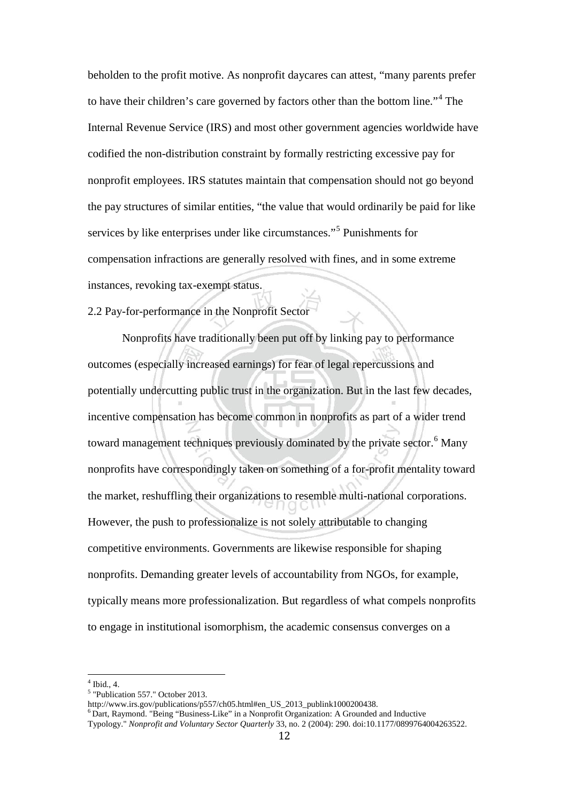beholden to the profit motive. As nonprofit daycares can attest, "many parents prefer to have their children's care governed by factors other than the bottom line."[4](#page-16-0) The Internal Revenue Service (IRS) and most other government agencies worldwide have codified the non-distribution constraint by formally restricting excessive pay for nonprofit employees. IRS statutes maintain that compensation should not go beyond the pay structures of similar entities, "the value that would ordinarily be paid for like services by like enterprises under like circumstances."[5](#page-16-1) Punishments for compensation infractions are generally resolved with fines, and in some extreme instances, revoking tax-exempt status.

2.2 Pay-for-performance in the Nonprofit Sector

Nonprofits have traditionally been put off by linking pay to performance outcomes (especially increased earnings) for fear of legal repercussions and potentially undercutting public trust in the organization. But in the last few decades, incentive compensation has become common in nonprofits as part of a wider trend toward management techniques previously dominated by the private sector.<sup>[6](#page-16-2)</sup> Many nonprofits have correspondingly taken on something of a for-profit mentality toward the market, reshuffling their organizations to resemble multi-national corporations. However, the push to professionalize is not solely attributable to changing competitive environments. Governments are likewise responsible for shaping nonprofits. Demanding greater levels of accountability from NGOs, for example, typically means more professionalization. But regardless of what compels nonprofits to engage in institutional isomorphism, the academic consensus converges on a

<span id="page-16-1"></span><span id="page-16-0"></span>

<sup>4</sup> Ibid., 4.<br>
<sup>5</sup> "Publication 557." October 2013.<br>
http://www.irs.gov/publications/p557/ch05.html#en\_US\_2013\_publink1000200438.

<span id="page-16-2"></span> $6$ Dart, Raymond. "Being "Business-Like" in a Nonprofit Organization: A Grounded and Inductive Typology." *Nonprofit and Voluntary Sector Quarterly* 33, no. 2 (2004): 290. doi:10.1177/0899764004263522.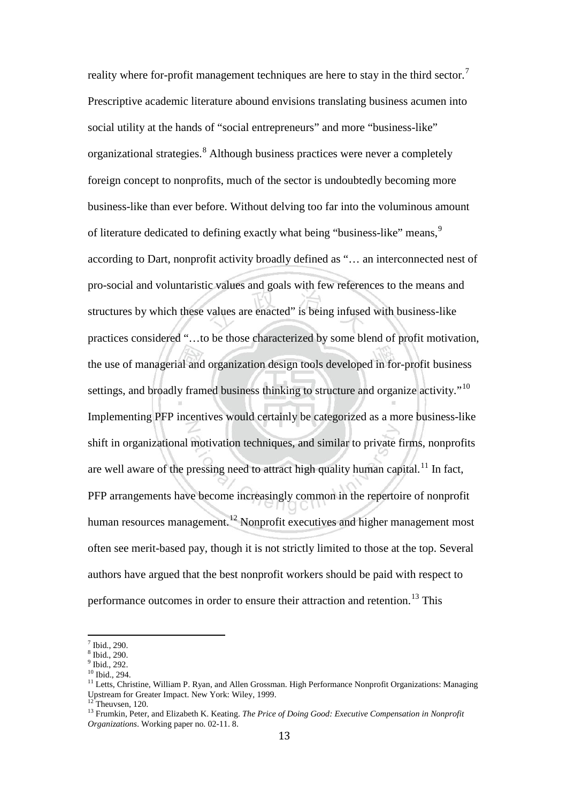reality where for-profit management techniques are here to stay in the third sector.<sup>[7](#page-17-0)</sup> Prescriptive academic literature abound envisions translating business acumen into social utility at the hands of "social entrepreneurs" and more "business-like" organizational strategies.[8](#page-17-1) Although business practices were never a completely foreign concept to nonprofits, much of the sector is undoubtedly becoming more business-like than ever before. Without delving too far into the voluminous amount of literature dedicated to defining exactly what being "business-like" means,  $\frac{9}{2}$  $\frac{9}{2}$  $\frac{9}{2}$ according to Dart, nonprofit activity broadly defined as "… an interconnected nest of pro-social and voluntaristic values and goals with few references to the means and structures by which these values are enacted" is being infused with business-like practices considered "…to be those characterized by some blend of profit motivation, the use of managerial and organization design tools developed in for-profit business settings, and broadly framed business thinking to structure and organize activity."<sup>[10](#page-17-3)</sup> Implementing PFP incentives would certainly be categorized as a more business-like shift in organizational motivation techniques, and similar to private firms, nonprofits are well aware of the pressing need to attract high quality human capital.<sup>[11](#page-17-4)</sup> In fact, PFP arrangements have become increasingly common in the repertoire of nonprofit human resources management.<sup>[12](#page-17-5)</sup> Nonprofit executives and higher management most often see merit-based pay, though it is not strictly limited to those at the top. Several authors have argued that the best nonprofit workers should be paid with respect to performance outcomes in order to ensure their attraction and retention.<sup>[13](#page-17-6)</sup> This

<span id="page-17-1"></span>

<span id="page-17-3"></span><span id="page-17-2"></span>

<span id="page-17-4"></span>

<span id="page-17-0"></span><sup>&</sup>lt;sup>7</sup> Ibid., 290.<br><sup>8</sup> Ibid., 290.<br><sup>9</sup> Ibid., 292.<br><sup>10</sup> Ibid., 294.<br><sup>11</sup> Letts, Christine, William P. Ryan, and Allen Grossman. High Performance Nonprofit Organizations: Managing Upstream for Greater Impact. New York: Wiley, 1999.

<span id="page-17-5"></span>

<span id="page-17-6"></span><sup>&</sup>lt;sup>13</sup> Frumkin, Peter, and Elizabeth K. Keating. *The Price of Doing Good: Executive Compensation in Nonprofit Organizations*. Working paper no. 02-11. 8.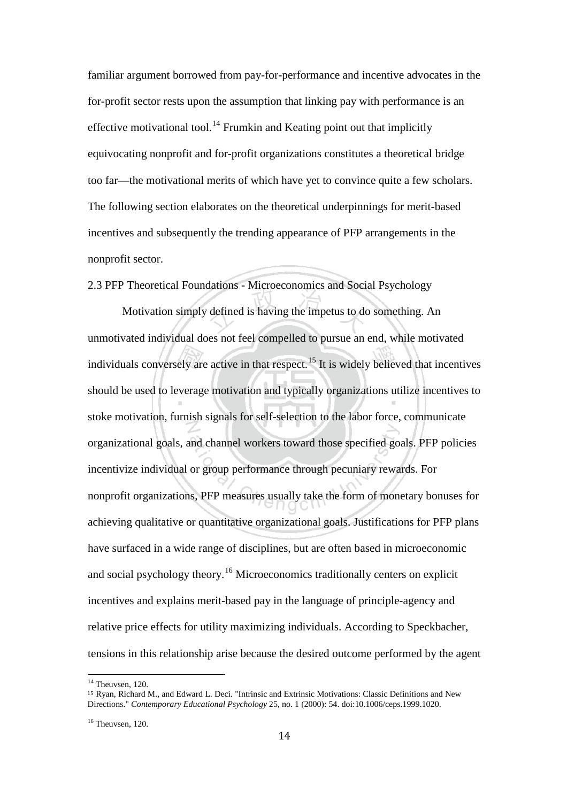familiar argument borrowed from pay-for-performance and incentive advocates in the for-profit sector rests upon the assumption that linking pay with performance is an effective motivational tool.<sup>[14](#page-18-0)</sup> Frumkin and Keating point out that implicitly equivocating nonprofit and for-profit organizations constitutes a theoretical bridge too far—the motivational merits of which have yet to convince quite a few scholars. The following section elaborates on the theoretical underpinnings for merit-based incentives and subsequently the trending appearance of PFP arrangements in the nonprofit sector.

2.3 PFP Theoretical Foundations - Microeconomics and Social Psychology

Motivation simply defined is having the impetus to do something. An unmotivated individual does not feel compelled to pursue an end, while motivated individuals conversely are active in that respect.<sup>[15](#page-18-1)</sup> It is widely believed that incentives should be used to leverage motivation and typically organizations utilize incentives to stoke motivation, furnish signals for self-selection to the labor force, communicate organizational goals, and channel workers toward those specified goals. PFP policies incentivize individual or group performance through pecuniary rewards. For nonprofit organizations, PFP measures usually take the form of monetary bonuses for achieving qualitative or quantitative organizational goals. Justifications for PFP plans have surfaced in a wide range of disciplines, but are often based in microeconomic and social psychology theory.[16](#page-18-2) Microeconomics traditionally centers on explicit incentives and explains merit-based pay in the language of principle-agency and relative price effects for utility maximizing individuals. According to Speckbacher, tensions in this relationship arise because the desired outcome performed by the agent

<span id="page-18-0"></span> $14$  Theuvsen, 120.

<span id="page-18-1"></span><sup>15</sup> Ryan, Richard M., and Edward L. Deci. "Intrinsic and Extrinsic Motivations: Classic Definitions and New Directions." *Contemporary Educational Psychology* 25, no. 1 (2000): 54. doi:10.1006/ceps.1999.1020.

<span id="page-18-2"></span><sup>&</sup>lt;sup>16</sup> Theuvsen, 120.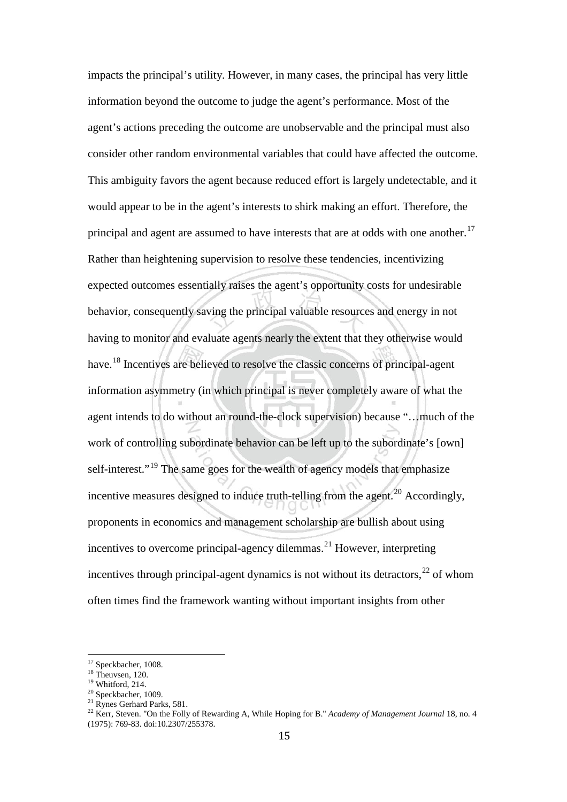impacts the principal's utility. However, in many cases, the principal has very little information beyond the outcome to judge the agent's performance. Most of the agent's actions preceding the outcome are unobservable and the principal must also consider other random environmental variables that could have affected the outcome. This ambiguity favors the agent because reduced effort is largely undetectable, and it would appear to be in the agent's interests to shirk making an effort. Therefore, the principal and agent are assumed to have interests that are at odds with one another.<sup>[17](#page-19-0)</sup> Rather than heightening supervision to resolve these tendencies, incentivizing expected outcomes essentially raises the agent's opportunity costs for undesirable behavior, consequently saving the principal valuable resources and energy in not having to monitor and evaluate agents nearly the extent that they otherwise would have.<sup>[18](#page-19-1)</sup> Incentives are believed to resolve the classic concerns of principal-agent information asymmetry (in which principal is never completely aware of what the agent intends to do without an round-the-clock supervision) because "…much of the work of controlling subordinate behavior can be left up to the subordinate's [own] self-interest."<sup>[19](#page-19-2)</sup> The same goes for the wealth of agency models that emphasize incentive measures designed to induce truth-telling from the agent.<sup>[20](#page-19-3)</sup> Accordingly, proponents in economics and management scholarship are bullish about using incentives to overcome principal-agency dilemmas. [21](#page-19-4) However, interpreting incentives through principal-agent dynamics is not without its detractors,  $^{22}$  $^{22}$  $^{22}$  of whom often times find the framework wanting without important insights from other

<span id="page-19-1"></span>

<span id="page-19-2"></span>

<span id="page-19-4"></span><span id="page-19-3"></span>

<span id="page-19-5"></span>

<span id="page-19-0"></span><sup>&</sup>lt;sup>17</sup> Speckbacher, 1008.<br><sup>18</sup> Theuvsen, 120.<br><sup>20</sup> Whitford, 214.<br><sup>21</sup> Rynes Gerhard Parks, 581.<br><sup>22</sup> Kerr, Steven. "On the Folly of Rewarding A, While Hoping for B." *Academy of Management Journal* 18, no. 4 (1975): 769-83. doi:10.2307/255378.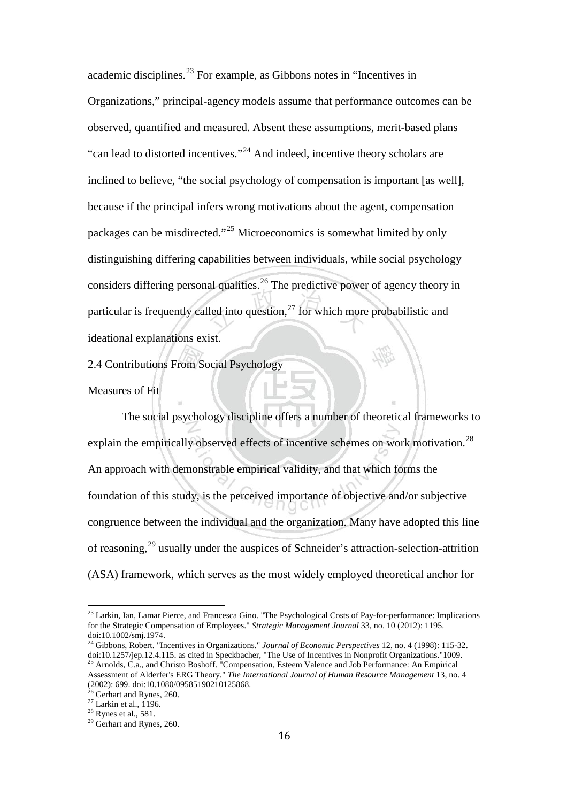academic disciplines.<sup>[23](#page-20-0)</sup> For example, as Gibbons notes in "Incentives in Organizations," principal-agency models assume that performance outcomes can be observed, quantified and measured. Absent these assumptions, merit-based plans "can lead to distorted incentives."[24](#page-20-1) And indeed, incentive theory scholars are inclined to believe, "the social psychology of compensation is important [as well], because if the principal infers wrong motivations about the agent, compensation packages can be misdirected."[25](#page-20-2) Microeconomics is somewhat limited by only distinguishing differing capabilities between individuals, while social psychology considers differing personal qualities.<sup>[26](#page-20-3)</sup> The predictive power of agency theory in particular is frequently called into question, $^{27}$  $^{27}$  $^{27}$  for which more probabilistic and ideational explanations exist.

2.4 Contributions From Social Psychology

Measures of Fit

The social psychology discipline offers a number of theoretical frameworks to explain the empirically observed effects of incentive schemes on work motivation.<sup>[28](#page-20-5)</sup> An approach with demonstrable empirical validity, and that which forms the foundation of this study, is the perceived importance of objective and/or subjective congruence between the individual and the organization. Many have adopted this line of reasoning,<sup>[29](#page-20-6)</sup> usually under the auspices of Schneider's attraction-selection-attrition (ASA) framework, which serves as the most widely employed theoretical anchor for

<span id="page-20-0"></span><sup>&</sup>lt;sup>23</sup> Larkin, Ian, Lamar Pierce, and Francesca Gino. "The Psychological Costs of Pay-for-performance: Implications for the Strategic Compensation of Employees." *Strategic Management Journal* 33, no. 10 (2012): 1195. doi:10.1002/smj.1974.

<span id="page-20-2"></span><span id="page-20-1"></span><sup>24</sup> Gibbons, Robert. "Incentives in Organizations." *Journal of Economic Perspectives* 12, no. 4 (1998): 115-32. doi:10.1257/jep.12.4.115. as cited in Speckbacher, "The Use of Incentives in Nonprofit Organizations."1009. 25 Arnolds, C.a., and Christo Boshoff. "Compensation, Esteem Valence and Job Performance: An Empirical Assessment of Alderfer's ERG Theory." *The International Journal of Human Resource Management* 13, no. 4 (2002): 699. doi:10.1080/09585190210125868.<br>
<sup>26</sup> Gerhart and Rynes, 260.<br>
<sup>27</sup> Larkin et al., 1196.<br>
<sup>28</sup> Rynes et al., 581.<br>
<sup>29</sup> Gerhart and Rynes, 260.

<span id="page-20-3"></span>

<span id="page-20-4"></span>

<span id="page-20-5"></span>

<span id="page-20-6"></span>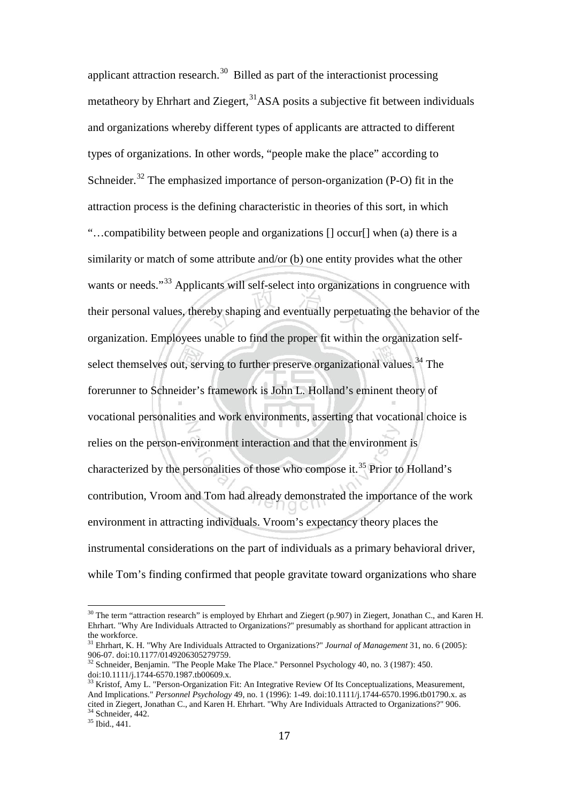applicant attraction research.<sup>[30](#page-21-0)</sup> Billed as part of the interactionist processing metatheory by Ehrhart and Ziegert,<sup>31</sup>ASA posits a subjective fit between individuals and organizations whereby different types of applicants are attracted to different types of organizations. In other words, "people make the place" according to Schneider.<sup>[32](#page-21-2)</sup> The emphasized importance of person-organization (P-O) fit in the attraction process is the defining characteristic in theories of this sort, in which "…compatibility between people and organizations [] occur[] when (a) there is a similarity or match of some attribute and/or (b) one entity provides what the other wants or needs."<sup>[33](#page-21-3)</sup> Applicants will self-select into organizations in congruence with their personal values, thereby shaping and eventually perpetuating the behavior of the organization. Employees unable to find the proper fit within the organization self-select themselves out, serving to further preserve organizational values.<sup>[34](#page-21-4)</sup> The forerunner to Schneider's framework is John L. Holland's eminent theory of vocational personalities and work environments, asserting that vocational choice is relies on the person-environment interaction and that the environment is characterized by the personalities of those who compose it.<sup>[35](#page-21-5)</sup> Prior to Holland's contribution, Vroom and Tom had already demonstrated the importance of the work environment in attracting individuals. Vroom's expectancy theory places the instrumental considerations on the part of individuals as a primary behavioral driver, while Tom's finding confirmed that people gravitate toward organizations who share

<span id="page-21-0"></span><sup>&</sup>lt;sup>30</sup> The term "attraction research" is employed by Ehrhart and Ziegert (p.907) in Ziegert, Jonathan C., and Karen H. Ehrhart. "Why Are Individuals Attracted to Organizations?" presumably as shorthand for applicant attraction in

<span id="page-21-1"></span><sup>&</sup>lt;sup>31</sup> Ehrhart, K. H. "Why Are Individuals Attracted to Organizations?" *Journal of Management* 31, no. 6 (2005): 906-07. doi:10.1177/0149206305279759.

<span id="page-21-2"></span><sup>&</sup>lt;sup>32</sup> Schneider, Benjamin. "The People Make The Place." Personnel Psychology 40, no. 3 (1987): 450. doi:10.1111/j.1744-6570.1987.tb00609.x.

<span id="page-21-3"></span>Kristof, Amy L. "Person-Organization Fit: An Integrative Review Of Its Conceptualizations, Measurement, And Implications." *Personnel Psychology* 49, no. 1 (1996): 1-49. doi:10.1111/j.1744-6570.1996.tb01790.x. as cited in Ziegert, Jonathan C., and Karen H. Ehrhart. "Why Are Individuals Attracted to Organizations?" 906.<br><sup>34</sup> Schneider, 442.<br><sup>35</sup> Ibid., 441.

<span id="page-21-5"></span><span id="page-21-4"></span>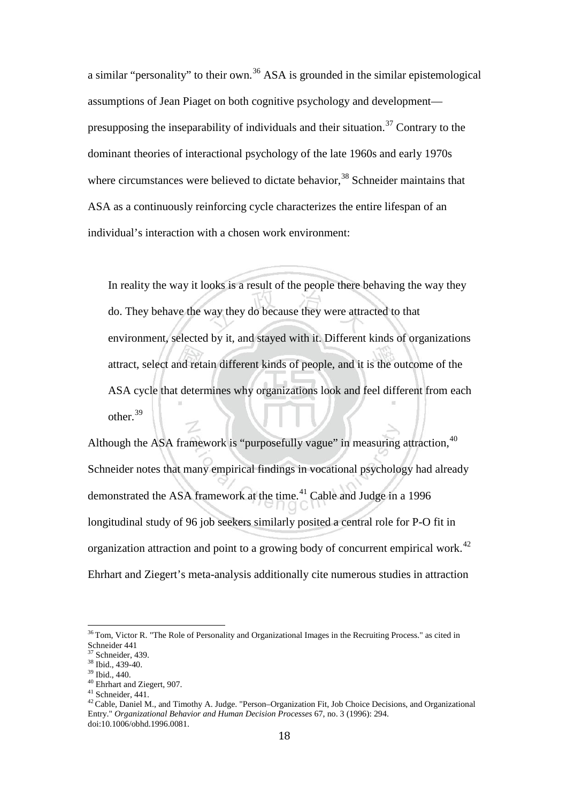a similar "personality" to their own.<sup>[36](#page-22-0)</sup> ASA is grounded in the similar epistemological assumptions of Jean Piaget on both cognitive psychology and development— presupposing the inseparability of individuals and their situation.<sup>[37](#page-22-1)</sup> Contrary to the dominant theories of interactional psychology of the late 1960s and early 1970s where circumstances were believed to dictate behavior,<sup>[38](#page-22-2)</sup> Schneider maintains that ASA as a continuously reinforcing cycle characterizes the entire lifespan of an individual's interaction with a chosen work environment:

In reality the way it looks is a result of the people there behaving the way they do. They behave the way they do because they were attracted to that environment, selected by it, and stayed with it. Different kinds of organizations attract, select and retain different kinds of people, and it is the outcome of the ASA cycle that determines why organizations look and feel different from each other.<sup>[39](#page-22-3)</sup>

Although the ASA framework is "purposefully vague" in measuring attraction, <sup>[40](#page-22-4)</sup> Schneider notes that many empirical findings in vocational psychology had already demonstrated the ASA framework at the time.<sup>[41](#page-22-5)</sup> Cable and Judge in a 1996 longitudinal study of 96 job seekers similarly posited a central role for P-O fit in organization attraction and point to a growing body of concurrent empirical work.<sup>[42](#page-22-6)</sup> Ehrhart and Ziegert's meta-analysis additionally cite numerous studies in attraction

<span id="page-22-0"></span><sup>&</sup>lt;sup>36</sup> Tom, Victor R. "The Role of Personality and Organizational Images in the Recruiting Process." as cited in Schneider 441<br><sup>37</sup> Schneider, 439.

<span id="page-22-4"></span>

<span id="page-22-6"></span><span id="page-22-5"></span>

<span id="page-22-3"></span><span id="page-22-2"></span><span id="page-22-1"></span><sup>&</sup>lt;sup>38</sup> Ibid., 439-40.<br><sup>39</sup> Ibid., 440.<br><sup>40</sup> Ehrhart and Ziegert, 907.<br><sup>41</sup> Schneider, 441.<br><sup>42</sup> Cable, Daniel M., and Timothy A. Judge. "Person–Organization Fit, Job Choice Decisions, and Organizational Entry." *Organizational Behavior and Human Decision Processes* 67, no. 3 (1996): 294. doi:10.1006/obhd.1996.0081.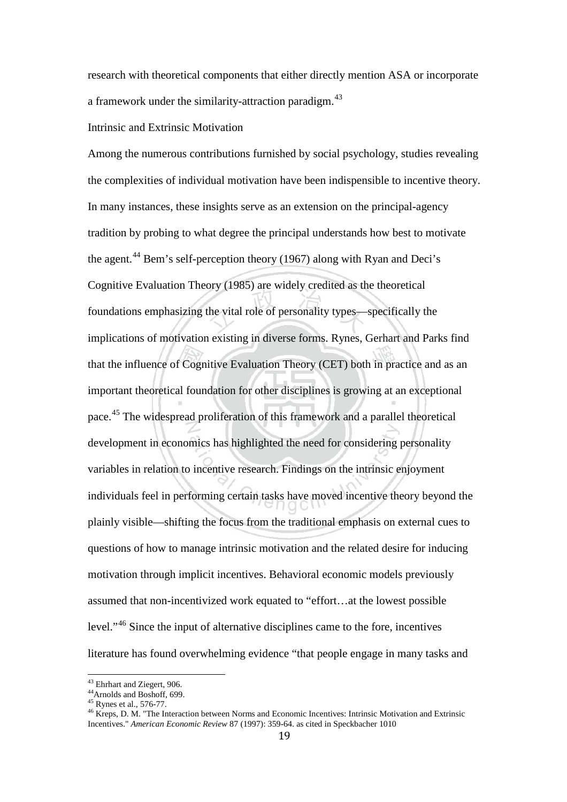research with theoretical components that either directly mention ASA or incorporate a framework under the similarity-attraction paradigm.<sup>[43](#page-23-0)</sup>

#### Intrinsic and Extrinsic Motivation

Among the numerous contributions furnished by social psychology, studies revealing the complexities of individual motivation have been indispensible to incentive theory. In many instances, these insights serve as an extension on the principal-agency tradition by probing to what degree the principal understands how best to motivate the agent.<sup>[44](#page-23-1)</sup> Bem's self-perception theory (1967) along with Ryan and Deci's Cognitive Evaluation Theory (1985) are widely credited as the theoretical foundations emphasizing the vital role of personality types—specifically the implications of motivation existing in diverse forms. Rynes, Gerhart and Parks find that the influence of Cognitive Evaluation Theory (CET) both in practice and as an important theoretical foundation for other disciplines is growing at an exceptional pace.[45](#page-23-2) The widespread proliferation of this framework and a parallel theoretical development in economics has highlighted the need for considering personality variables in relation to incentive research. Findings on the intrinsic enjoyment individuals feel in performing certain tasks have moved incentive theory beyond the plainly visible—shifting the focus from the traditional emphasis on external cues to questions of how to manage intrinsic motivation and the related desire for inducing motivation through implicit incentives. Behavioral economic models previously assumed that non-incentivized work equated to "effort…at the lowest possible level."[46](#page-23-3) Since the input of alternative disciplines came to the fore, incentives literature has found overwhelming evidence "that people engage in many tasks and

<span id="page-23-2"></span>

<span id="page-23-3"></span>

<span id="page-23-1"></span><span id="page-23-0"></span><sup>&</sup>lt;sup>43</sup> Ehrhart and Ziegert, 906.<br><sup>44</sup> Arnolds and Boshoff, 699.<br><sup>45</sup> Rynes et al., 576-77.<br><sup>46</sup> Kreps, D. M. "The Interaction between Norms and Economic Incentives: Intrinsic Motivation and Extrinsic Incentives." *American Economic Review* 87 (1997): 359-64. as cited in Speckbacher 1010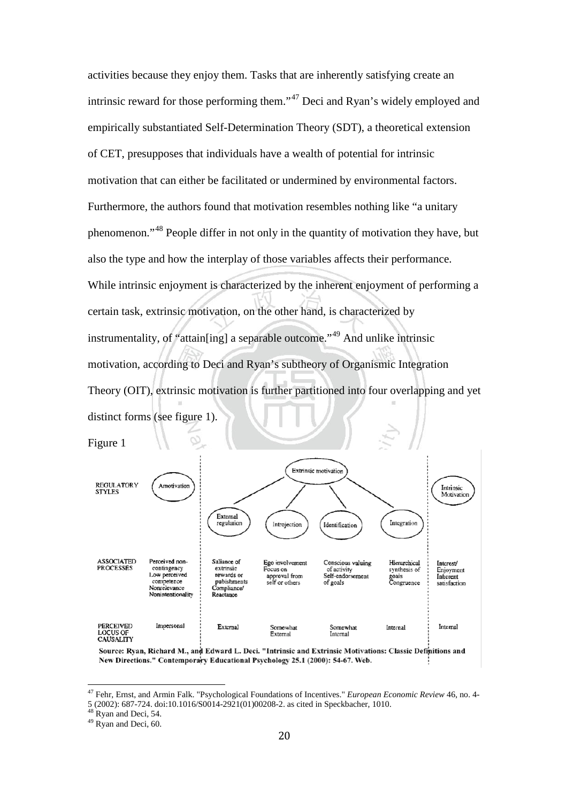activities because they enjoy them. Tasks that are inherently satisfying create an intrinsic reward for those performing them."[47](#page-24-0) Deci and Ryan's widely employed and empirically substantiated Self-Determination Theory (SDT), a theoretical extension of CET, presupposes that individuals have a wealth of potential for intrinsic motivation that can either be facilitated or undermined by environmental factors. Furthermore, the authors found that motivation resembles nothing like "a unitary phenomenon."[48](#page-24-1) People differ in not only in the quantity of motivation they have, but also the type and how the interplay of those variables affects their performance. While intrinsic enjoyment is characterized by the inherent enjoyment of performing a certain task, extrinsic motivation, on the other hand, is characterized by instrumentality, of "attain[ing] a separable outcome."<sup>[49](#page-24-2)</sup> And unlike intrinsic motivation, according to Deci and Ryan's subtheory of Organismic Integration Theory (OIT), extrinsic motivation is further partitioned into four overlapping and yet distinct forms (see figure 1).



Source: Ryan, Richard M., and Edward L. Deci. "Intrinsic and Extrinsic Motivations: Classic Definitions and New Directions." Contemporary Educational Psychology 25.1 (2000): 54-67. Web.

<span id="page-24-0"></span><sup>47</sup> Fehr, Ernst, and Armin Falk. "Psychological Foundations of Incentives." *European Economic Review* 46, no. 4- 5 (2002): 687-724. doi:10.1016/S0014-2921(01)00208-2. as cited in Speckbacher, 1010. 48 Ryan and Deci, 54. 49 Ryan and Deci, 60.

<span id="page-24-1"></span>

<span id="page-24-2"></span>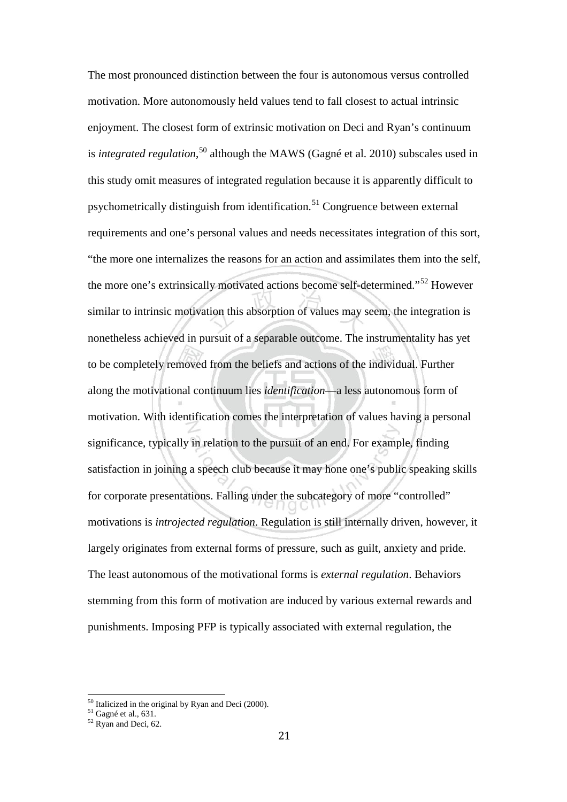The most pronounced distinction between the four is autonomous versus controlled motivation. More autonomously held values tend to fall closest to actual intrinsic enjoyment. The closest form of extrinsic motivation on Deci and Ryan's continuum is *integrated regulation*, [50](#page-25-0) although the MAWS (Gagné et al. 2010) subscales used in this study omit measures of integrated regulation because it is apparently difficult to psychometrically distinguish from identification.<sup>[51](#page-25-1)</sup> Congruence between external requirements and one's personal values and needs necessitates integration of this sort, "the more one internalizes the reasons for an action and assimilates them into the self, the more one's extrinsically motivated actions become self-determined."<sup>[52](#page-25-2)</sup> However similar to intrinsic motivation this absorption of values may seem, the integration is nonetheless achieved in pursuit of a separable outcome. The instrumentality has yet to be completely removed from the beliefs and actions of the individual. Further along the motivational continuum lies *identification*—a less autonomous form of motivation. With identification comes the interpretation of values having a personal significance, typically in relation to the pursuit of an end. For example, finding satisfaction in joining a speech club because it may hone one's public speaking skills for corporate presentations. Falling under the subcategory of more "controlled" motivations is *introjected regulation*. Regulation is still internally driven, however, it largely originates from external forms of pressure, such as guilt, anxiety and pride. The least autonomous of the motivational forms is *external regulation*. Behaviors stemming from this form of motivation are induced by various external rewards and punishments. Imposing PFP is typically associated with external regulation, the

<span id="page-25-1"></span><span id="page-25-0"></span><sup>&</sup>lt;sup>50</sup> Italicized in the original by Ryan and Deci (2000).<br><sup>51</sup> Gagné et al., 631.  $^{52}$  Ryan and Deci, 62.

<span id="page-25-2"></span>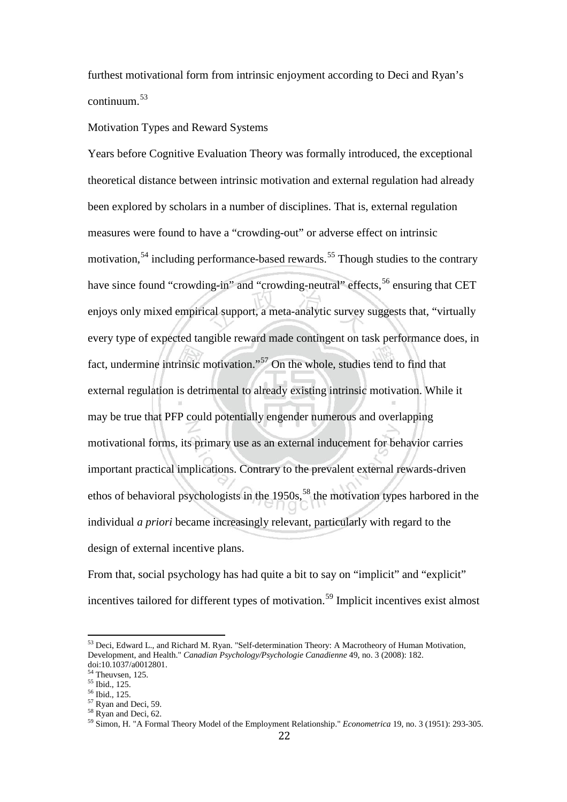furthest motivational form from intrinsic enjoyment according to Deci and Ryan's continuum. [53](#page-26-0)

#### Motivation Types and Reward Systems

Years before Cognitive Evaluation Theory was formally introduced, the exceptional theoretical distance between intrinsic motivation and external regulation had already been explored by scholars in a number of disciplines. That is, external regulation measures were found to have a "crowding-out" or adverse effect on intrinsic motivation,<sup>[54](#page-26-1)</sup> including performance-based rewards.<sup>[55](#page-26-2)</sup> Though studies to the contrary have since found "crowding-in" and "crowding-neutral" effects,<sup>[56](#page-26-3)</sup> ensuring that CET enjoys only mixed empirical support, a meta-analytic survey suggests that, "virtually every type of expected tangible reward made contingent on task performance does, in fact, undermine intrinsic motivation."[57](#page-26-4) On the whole, studies tend to find that external regulation is detrimental to already existing intrinsic motivation. While it may be true that PFP could potentially engender numerous and overlapping motivational forms, its primary use as an external inducement for behavior carries important practical implications. Contrary to the prevalent external rewards-driven ethos of behavioral psychologists in the  $1950s<sup>58</sup>$  $1950s<sup>58</sup>$  $1950s<sup>58</sup>$ , the motivation types harbored in the individual *a priori* became increasingly relevant, particularly with regard to the design of external incentive plans.

From that, social psychology has had quite a bit to say on "implicit" and "explicit" incentives tailored for different types of motivation.<sup>[59](#page-26-6)</sup> Implicit incentives exist almost

<span id="page-26-0"></span><sup>&</sup>lt;sup>53</sup> Deci, Edward L., and Richard M. Ryan. "Self-determination Theory: A Macrotheory of Human Motivation, Development, and Health." *Canadian Psychology/Psychologie Canadienne* 49, no. 3 (2008): 182. doi:10.1037/a0012801.<br><sup>54</sup> Theuvsen, 125.<br><sup>55</sup> Ibid., 125.

<span id="page-26-1"></span>

<span id="page-26-6"></span><span id="page-26-5"></span>

<span id="page-26-4"></span><span id="page-26-3"></span><span id="page-26-2"></span><sup>56</sup> Ibid., 125.<br>
<sup>57</sup> Ryan and Deci, 59.<br>
<sup>58</sup> Ryan and Deci, 62.<br>
<sup>58</sup> Simon, H. "A Formal Theory Model of the Employment Relationship." *Econometrica* 19, no. 3 (1951): 293-305.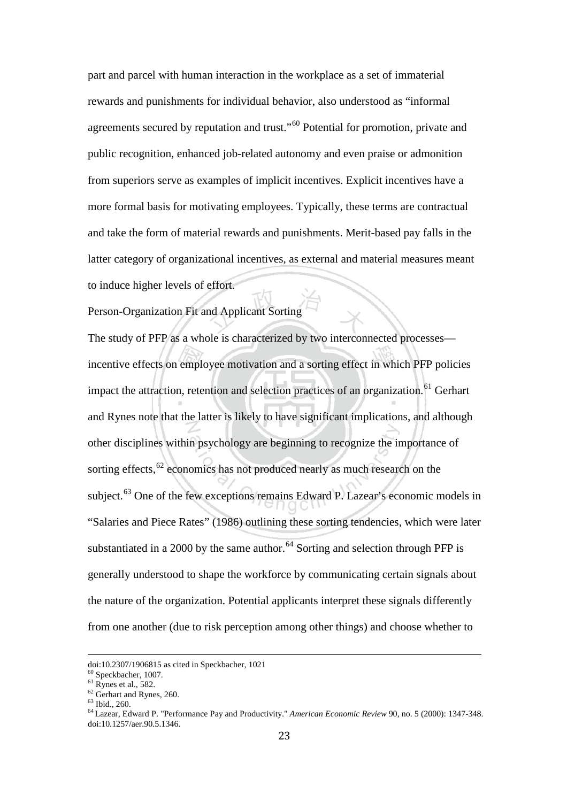part and parcel with human interaction in the workplace as a set of immaterial rewards and punishments for individual behavior, also understood as "informal agreements secured by reputation and trust."[60](#page-27-0) Potential for promotion, private and public recognition, enhanced job-related autonomy and even praise or admonition from superiors serve as examples of implicit incentives. Explicit incentives have a more formal basis for motivating employees. Typically, these terms are contractual and take the form of material rewards and punishments. Merit-based pay falls in the latter category of organizational incentives, as external and material measures meant to induce higher levels of effort.

Person-Organization Fit and Applicant Sorting

The study of PFP as a whole is characterized by two interconnected processes incentive effects on employee motivation and a sorting effect in which PFP policies impact the attraction, retention and selection practices of an organization.<sup>[61](#page-27-1)</sup> Gerhart and Rynes note that the latter is likely to have significant implications, and although other disciplines within psychology are beginning to recognize the importance of sorting effects, $62$  economics has not produced nearly as much research on the subject.<sup>[63](#page-27-3)</sup> One of the few exceptions remains Edward P. Lazear's economic models in "Salaries and Piece Rates" (1986) outlining these sorting tendencies, which were later substantiated in a 2000 by the same author.<sup>[64](#page-27-4)</sup> Sorting and selection through PFP is generally understood to shape the workforce by communicating certain signals about the nature of the organization. Potential applicants interpret these signals differently from one another (due to risk perception among other things) and choose whether to

<span id="page-27-2"></span><span id="page-27-1"></span>

<span id="page-27-4"></span><span id="page-27-3"></span>

<span id="page-27-0"></span>doi:10.2307/1906815 as cited in Speckbacher, 1021<br>
<sup>60</sup> Speckbacher, 1007.<br>
<sup>61</sup> Rynes et al., 582.<br>
<sup>62</sup> Gerhart and Rynes, 260.<br>
<sup>63</sup> Ibid., 260.<br>
<sup>64</sup> Lazear, Edward P. "Performance Pay and Productivity." *American Eco* doi:10.1257/aer.90.5.1346.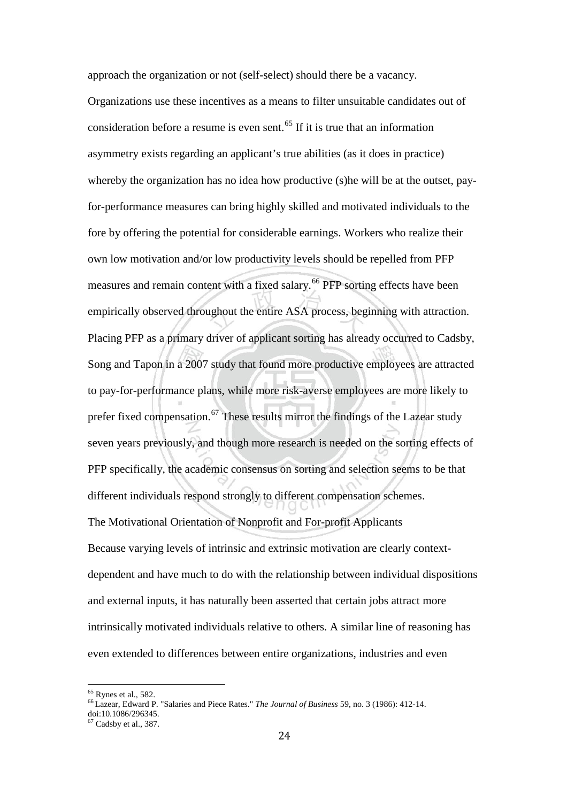approach the organization or not (self-select) should there be a vacancy.

Organizations use these incentives as a means to filter unsuitable candidates out of consideration before a resume is even sent.<sup> $65$ </sup> If it is true that an information asymmetry exists regarding an applicant's true abilities (as it does in practice) whereby the organization has no idea how productive (s)he will be at the outset, payfor-performance measures can bring highly skilled and motivated individuals to the fore by offering the potential for considerable earnings. Workers who realize their own low motivation and/or low productivity levels should be repelled from PFP measures and remain content with a fixed salary.<sup>[66](#page-28-1)</sup> PFP sorting effects have been empirically observed throughout the entire ASA process, beginning with attraction. Placing PFP as a primary driver of applicant sorting has already occurred to Cadsby, Song and Tapon in a 2007 study that found more productive employees are attracted to pay-for-performance plans, while more risk-averse employees are more likely to prefer fixed compensation.<sup>[67](#page-28-2)</sup> These results mirror the findings of the Lazear study seven years previously, and though more research is needed on the sorting effects of PFP specifically, the academic consensus on sorting and selection seems to be that different individuals respond strongly to different compensation schemes. The Motivational Orientation of Nonprofit and For-profit Applicants Because varying levels of intrinsic and extrinsic motivation are clearly contextdependent and have much to do with the relationship between individual dispositions and external inputs, it has naturally been asserted that certain jobs attract more intrinsically motivated individuals relative to others. A similar line of reasoning has even extended to differences between entire organizations, industries and even

<span id="page-28-0"></span><sup>65</sup> Rynes et al., 582. 66 Lazear, Edward P. "Salaries and Piece Rates." *The Journal of Business* 59, no. 3 (1986): 412-14.

<span id="page-28-1"></span>doi:10.1086/296345.

<span id="page-28-2"></span><sup>67</sup> Cadsby et al., 387.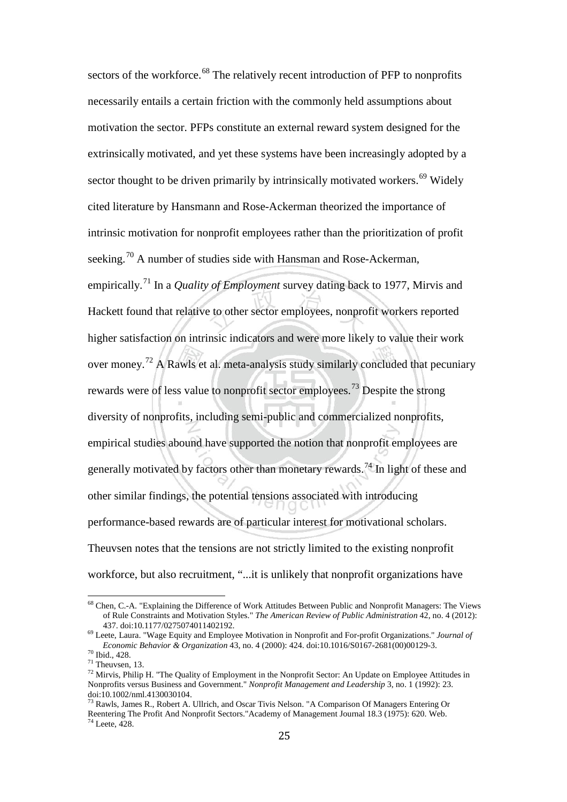sectors of the workforce.<sup>[68](#page-29-0)</sup> The relatively recent introduction of PFP to nonprofits necessarily entails a certain friction with the commonly held assumptions about motivation the sector. PFPs constitute an external reward system designed for the extrinsically motivated, and yet these systems have been increasingly adopted by a sector thought to be driven primarily by intrinsically motivated workers.<sup>[69](#page-29-1)</sup> Widely cited literature by Hansmann and Rose-Ackerman theorized the importance of intrinsic motivation for nonprofit employees rather than the prioritization of profit seeking.<sup>[70](#page-29-2)</sup> A number of studies side with Hansman and Rose-Ackerman, empirically. [71](#page-29-3) In a *Quality of Employment* survey dating back to 1977, Mirvis and Hackett found that relative to other sector employees, nonprofit workers reported higher satisfaction on intrinsic indicators and were more likely to value their work over money.[72](#page-29-4) A Rawls et al. meta-analysis study similarly concluded that pecuniary rewards were of less value to nonprofit sector employees.<sup>[73](#page-29-5)</sup> Despite the strong diversity of nonprofits, including semi-public and commercialized nonprofits, empirical studies abound have supported the notion that nonprofit employees are generally motivated by factors other than monetary rewards.<sup>[74](#page-29-6)</sup> In light of these and other similar findings, the potential tensions associated with introducing performance-based rewards are of particular interest for motivational scholars. Theuvsen notes that the tensions are not strictly limited to the existing nonprofit workforce, but also recruitment, "...it is unlikely that nonprofit organizations have

<span id="page-29-0"></span><sup>68</sup> Chen, C.-A. "Explaining the Difference of Work Attitudes Between Public and Nonprofit Managers: The Views of Rule Constraints and Motivation Styles." *The American Review of Public Administration* 42, no. 4 (2012):

<span id="page-29-1"></span><sup>&</sup>lt;sup>69</sup> Leete, Laura. "Wage Equity and Employee Motivation in Nonprofit and For-profit Organizations." *Journal of Economic Behavior & Organization* 43, no. 4 (2000): 424. doi:10.1016/S0167-2681(00)00129-3.

<span id="page-29-4"></span>

<span id="page-29-3"></span><span id="page-29-2"></span><sup>&</sup>lt;sup>70</sup> Ibid., 428.<br><sup>71</sup> Theuvsen, 13.<br><sup>72</sup> Mirvis, Philip H. "The Quality of Employment in the Nonprofit Sector: An Update on Employee Attitudes in Nonprofits versus Business and Government." *Nonprofit Management and Leadership* 3, no. 1 (1992): 23. doi:10.1002/nml.4130030104.

<span id="page-29-6"></span><span id="page-29-5"></span><sup>73</sup> Rawls, James R., Robert A. Ullrich, and Oscar Tivis Nelson. "A Comparison Of Managers Entering Or Reentering The Profit And Nonprofit Sectors."Academy of Management Journal 18.3 (1975): 620. Web. <sup>74</sup> Leete, 428.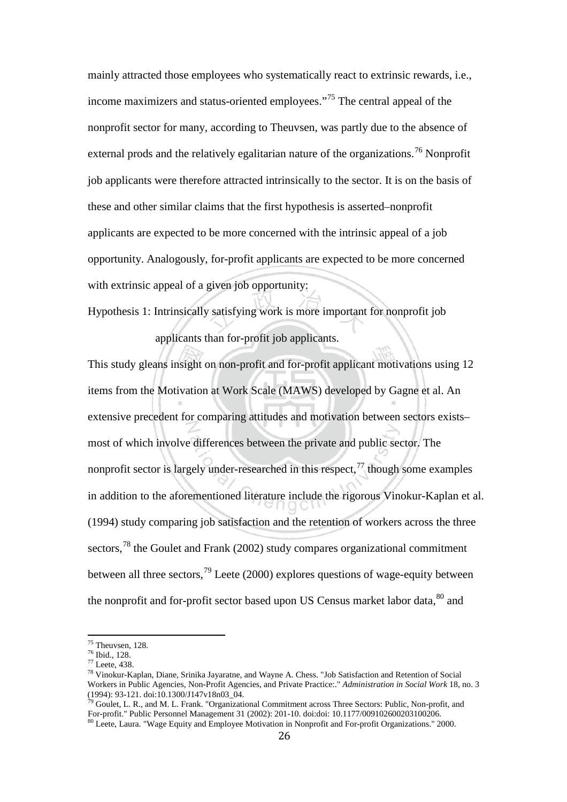mainly attracted those employees who systematically react to extrinsic rewards, i.e., income maximizers and status-oriented employees."<sup>[75](#page-30-0)</sup> The central appeal of the nonprofit sector for many, according to Theuvsen, was partly due to the absence of external prods and the relatively egalitarian nature of the organizations.<sup>[76](#page-30-1)</sup> Nonprofit job applicants were therefore attracted intrinsically to the sector. It is on the basis of these and other similar claims that the first hypothesis is asserted–nonprofit applicants are expected to be more concerned with the intrinsic appeal of a job opportunity. Analogously, for-profit applicants are expected to be more concerned with extrinsic appeal of a given job opportunity:

Hypothesis 1: Intrinsically satisfying work is more important for nonprofit job

applicants than for-profit job applicants.

This study gleans insight on non-profit and for-profit applicant motivations using 12 items from the Motivation at Work Scale (MAWS) developed by Gagne et al. An extensive precedent for comparing attitudes and motivation between sectors exists– most of which involve differences between the private and public sector. The nonprofit sector is largely under-researched in this respect, $^{77}$  $^{77}$  $^{77}$  though some examples in addition to the aforementioned literature include the rigorous Vinokur-Kaplan et al. (1994) study comparing job satisfaction and the retention of workers across the three sectors,  $^{78}$  $^{78}$  $^{78}$  the Goulet and Frank (2002) study compares organizational commitment between all three sectors,  $^{79}$  $^{79}$  $^{79}$  Leete (2000) explores questions of wage-equity between the nonprofit and for-profit sector based upon US Census market labor data,  $80$  and

<span id="page-30-3"></span><span id="page-30-2"></span>

<span id="page-30-1"></span><span id="page-30-0"></span><sup>&</sup>lt;sup>75</sup> Theuvsen, 128.<br><sup>76</sup> Ibid., 128.<br><sup>77</sup> Leete, 438.<br><sup>78</sup> Vinokur-Kaplan, Diane, Srinika Jayaratne, and Wayne A. Chess. "Job Satisfaction and Retention of Social Workers in Public Agencies, Non-Profit Agencies, and Private Practice:." *Administration in Social Work* 18, no. 3

<span id="page-30-5"></span><span id="page-30-4"></span> $\frac{\partial^6 y}{\partial \theta}$  Goulet, L. R., and M. L. Frank. "Organizational Commitment across Three Sectors: Public, Non-profit, and For-profit." Public Personnel Management 31 (2002): 201-10. doi:doi: 10.1177/009102600203100206. <sup>80</sup> Leete, Laura. "Wage Equity and Employee Motivation in Nonprofit and For-profit Organizations." 2000.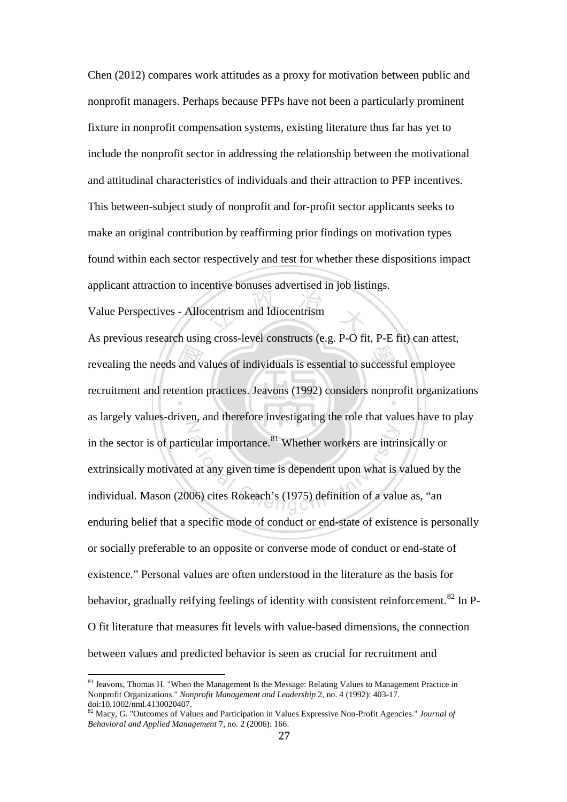Chen (2012) compares work attitudes as a proxy for motivation between public and nonprofit managers. Perhaps because PFPs have not been a particularly prominent fixture in nonprofit compensation systems, existing literature thus far has yet to include the nonprofit sector in addressing the relationship between the motivational and attitudinal characteristics of individuals and their attraction to PFP incentives. This between-subject study of nonprofit and for-profit sector applicants seeks to make an original contribution by reaffirming prior findings on motivation types found within each sector respectively and test for whether these dispositions impact applicant attraction to incentive bonuses advertised in job listings.

Value Perspectives - Allocentrism and Idiocentrism

As previous research using cross-level constructs (e.g. P-O fit, P-E fit) can attest, revealing the needs and values of individuals is essential to successful employee recruitment and retention practices. Jeavons (1992) considers nonprofit organizations as largely values-driven, and therefore investigating the role that values have to play in the sector is of particular importance. $81$  Whether workers are intrinsically or extrinsically motivated at any given time is dependent upon what is valued by the individual. Mason (2006) cites Rokeach's (1975) definition of a value as, "an enduring belief that a specific mode of conduct or end-state of existence is personally or socially preferable to an opposite or converse mode of conduct or end-state of existence." Personal values are often understood in the literature as the basis for behavior, gradually reifying feelings of identity with consistent reinforcement.<sup>[82](#page-31-1)</sup> In P-O fit literature that measures fit levels with value-based dimensions, the connection between values and predicted behavior is seen as crucial for recruitment and

<span id="page-31-0"></span><sup>&</sup>lt;sup>81</sup> Jeavons, Thomas H. "When the Management Is the Message: Relating Values to Management Practice in Nonprofit Organizations." *Nonprofit Management and Leadership* 2, no. 4 (1992): 403-17. doi:10.1002/nml.4130020407.

<span id="page-31-1"></span><sup>82</sup> Macy, G. "Outcomes of Values and Participation in Values Expressive Non-Profit Agencies." *Journal of Behavioral and Applied Management* 7, no. 2 (2006): 166.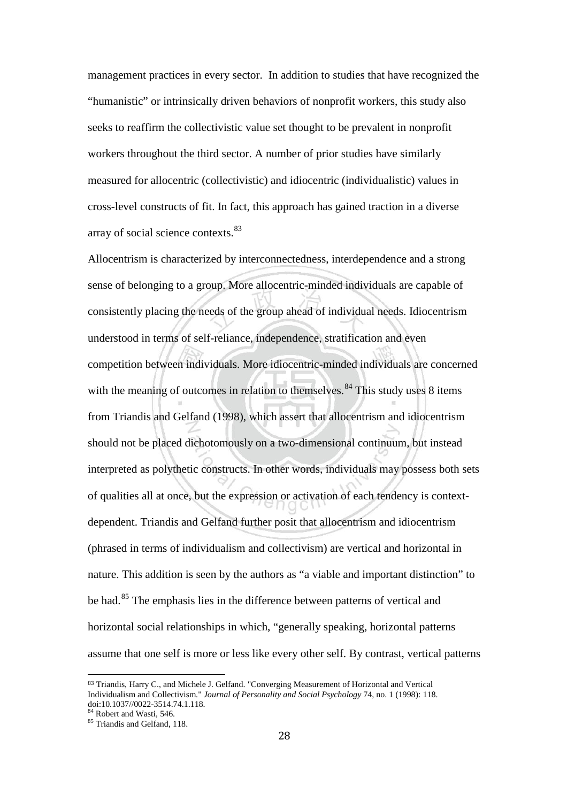management practices in every sector. In addition to studies that have recognized the "humanistic" or intrinsically driven behaviors of nonprofit workers, this study also seeks to reaffirm the collectivistic value set thought to be prevalent in nonprofit workers throughout the third sector. A number of prior studies have similarly measured for allocentric (collectivistic) and idiocentric (individualistic) values in cross-level constructs of fit. In fact, this approach has gained traction in a diverse array of social science contexts.<sup>[83](#page-32-0)</sup>

Allocentrism is characterized by interconnectedness, interdependence and a strong sense of belonging to a group. More allocentric-minded individuals are capable of consistently placing the needs of the group ahead of individual needs. Idiocentrism understood in terms of self-reliance, independence, stratification and even competition between individuals. More idiocentric-minded individuals are concerned with the meaning of outcomes in relation to themselves.<sup>[84](#page-32-1)</sup> This study uses 8 items from Triandis and Gelfand (1998), which assert that allocentrism and idiocentrism should not be placed dichotomously on a two-dimensional continuum, but instead interpreted as polythetic constructs. In other words, individuals may possess both sets of qualities all at once, but the expression or activation of each tendency is contextdependent. Triandis and Gelfand further posit that allocentrism and idiocentrism (phrased in terms of individualism and collectivism) are vertical and horizontal in nature. This addition is seen by the authors as "a viable and important distinction" to be had.<sup>[85](#page-32-2)</sup> The emphasis lies in the difference between patterns of vertical and horizontal social relationships in which, "generally speaking, horizontal patterns assume that one self is more or less like every other self. By contrast, vertical patterns

<span id="page-32-0"></span> <sup>83</sup> Triandis, Harry C., and Michele J. Gelfand. "Converging Measurement of Horizontal and Vertical Individualism and Collectivism." *Journal of Personality and Social Psychology* 74, no. 1 (1998): 118.

<span id="page-32-2"></span><span id="page-32-1"></span> $\frac{84}{85}$  Robert and Wasti, 546.  $\frac{85}{85}$  Triandis and Gelfand, 118.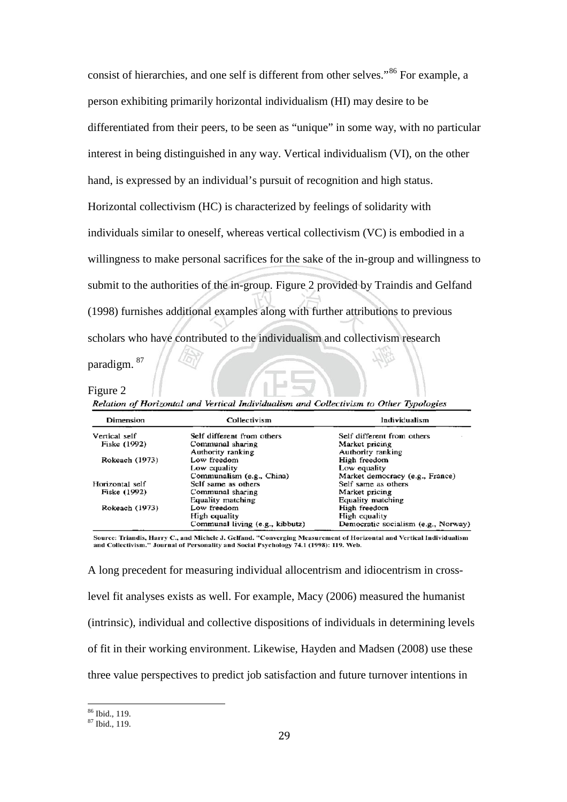consist of hierarchies, and one self is different from other selves."<sup>[86](#page-33-0)</sup> For example, a person exhibiting primarily horizontal individualism (HI) may desire to be differentiated from their peers, to be seen as "unique" in some way, with no particular interest in being distinguished in any way. Vertical individualism (VI), on the other hand, is expressed by an individual's pursuit of recognition and high status. Horizontal collectivism (HC) is characterized by feelings of solidarity with individuals similar to oneself, whereas vertical collectivism (VC) is embodied in a willingness to make personal sacrifices for the sake of the in-group and willingness to submit to the authorities of the in-group. Figure 2 provided by Traindis and Gelfand (1998) furnishes additional examples along with further attributions to previous scholars who have contributed to the individualism and collectivism research paradigm. [87](#page-33-1)

#### Figure 2

Relation of Horizontal and Vertical Individualism and Collectivism to Other Typologies

| Dimension       | Collectivism                    | Individualism                       |
|-----------------|---------------------------------|-------------------------------------|
| Vertical self   | Self different from others      | Self different from others          |
| Fiske (1992)    | Communal sharing                | Market pricing                      |
|                 | Authority ranking               | Authority ranking                   |
| Rokeach (1973)  | Low freedom                     | High freedom                        |
|                 | Low equality                    | Low equality                        |
|                 | Communalism (e.g., China)       | Market democracy (e.g., France)     |
| Horizontal self | Self same as others             | Self same as others                 |
| Fiske (1992)    | Communal sharing                | Market pricing                      |
|                 | Equality matching               | Equality matching                   |
| Rokeach (1973)  | Low freedom                     | High freedom                        |
|                 | High equality                   | High equality                       |
|                 | Communal living (e.g., kibbutz) | Democratic socialism (e.g., Norway) |

Source: Triandis, Harry C., and Michele J. Gelfand. "Converging Measurement of Horizontal and Vertical Individualism and Collectivism." Journal of Personality and Social Psychology 74.1 (1998): 119. Web.

A long precedent for measuring individual allocentrism and idiocentrism in crosslevel fit analyses exists as well. For example, Macy (2006) measured the humanist (intrinsic), individual and collective dispositions of individuals in determining levels of fit in their working environment. Likewise, Hayden and Madsen (2008) use these three value perspectives to predict job satisfaction and future turnover intentions in

<span id="page-33-1"></span><span id="page-33-0"></span> $\frac{86}{87}$  Ibid., 119.<br> $\frac{87}{87}$  Ibid., 119.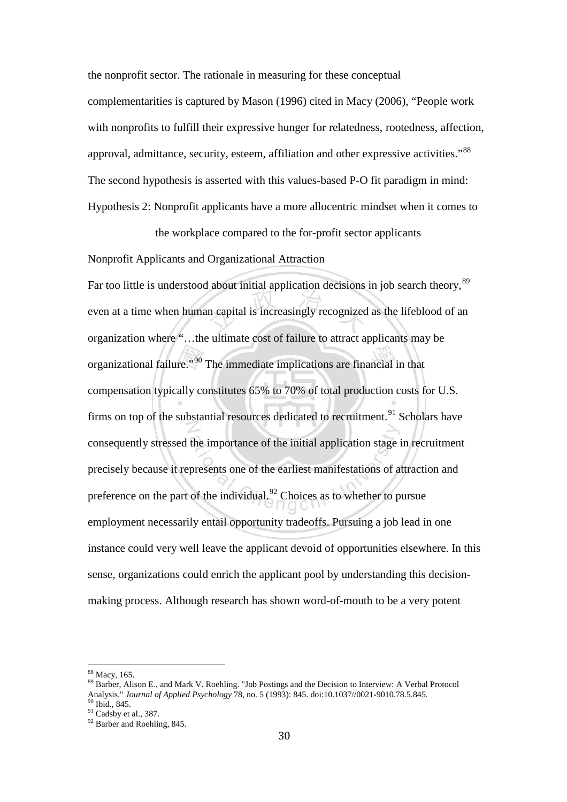the nonprofit sector. The rationale in measuring for these conceptual complementarities is captured by Mason (1996) cited in Macy (2006), "People work with nonprofits to fulfill their expressive hunger for relatedness, rootedness, affection, approval, admittance, security, esteem, affiliation and other expressive activities."<sup>[88](#page-34-0)</sup> The second hypothesis is asserted with this values-based P-O fit paradigm in mind: Hypothesis 2: Nonprofit applicants have a more allocentric mindset when it comes to

the workplace compared to the for-profit sector applicants

Nonprofit Applicants and Organizational Attraction

Far too little is understood about initial application decisions in job search theory,<sup>[89](#page-34-1)</sup> even at a time when human capital is increasingly recognized as the lifeblood of an organization where "…the ultimate cost of failure to attract applicants may be organizational failure."[90](#page-34-2) The immediate implications are financial in that compensation typically constitutes 65% to 70% of total production costs for U.S. firms on top of the substantial resources dedicated to recruitment.<sup>[91](#page-34-3)</sup> Scholars have consequently stressed the importance of the initial application stage in recruitment precisely because it represents one of the earliest manifestations of attraction and preference on the part of the individual. $92$  Choices as to whether to pursue employment necessarily entail opportunity tradeoffs. Pursuing a job lead in one instance could very well leave the applicant devoid of opportunities elsewhere. In this sense, organizations could enrich the applicant pool by understanding this decisionmaking process. Although research has shown word-of-mouth to be a very potent

<span id="page-34-1"></span>

<span id="page-34-0"></span> $\frac{88}{20}$  Macy, 165.<br> $\frac{89}{20}$  Barber, Alison E., and Mark V. Roehling. "Job Postings and the Decision to Interview: A Verbal Protocol Analysis." *Journal of Applied Psychology* 78, no. 5 (1993): 845. doi:10.1037//0021-9010.78.5.845.<br><sup>90</sup> Ibid., 845.<br><sup>91</sup> Cadsby et al., 387.<br><sup>92</sup> Barber and Roehling, 845.

<span id="page-34-3"></span><span id="page-34-2"></span>

<span id="page-34-4"></span>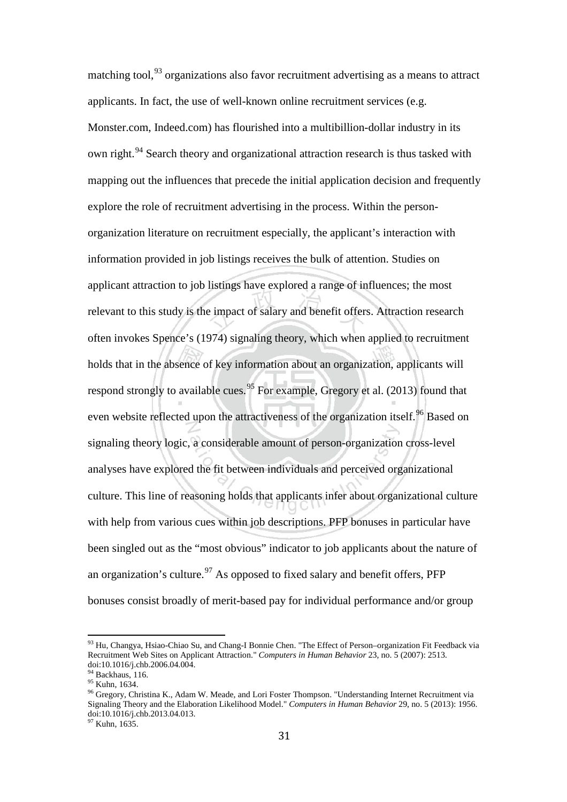matching tool,  $93$  organizations also favor recruitment advertising as a means to attract applicants. In fact, the use of well-known online recruitment services (e.g. Monster.com, Indeed.com) has flourished into a multibillion-dollar industry in its own right.<sup>[94](#page-35-1)</sup> Search theory and organizational attraction research is thus tasked with mapping out the influences that precede the initial application decision and frequently explore the role of recruitment advertising in the process. Within the personorganization literature on recruitment especially, the applicant's interaction with information provided in job listings receives the bulk of attention. Studies on applicant attraction to job listings have explored a range of influences; the most relevant to this study is the impact of salary and benefit offers. Attraction research often invokes Spence's (1974) signaling theory, which when applied to recruitment holds that in the absence of key information about an organization, applicants will respond strongly to available cues.<sup>[95](#page-35-2)</sup> For example, Gregory et al.  $(2013)$  found that even website reflected upon the attractiveness of the organization itself.<sup>[96](#page-35-3)</sup> Based on signaling theory logic, a considerable amount of person-organization cross-level analyses have explored the fit between individuals and perceived organizational culture. This line of reasoning holds that applicants infer about organizational culture with help from various cues within job descriptions. PFP bonuses in particular have been singled out as the "most obvious" indicator to job applicants about the nature of an organization's culture.<sup>[97](#page-35-4)</sup> As opposed to fixed salary and benefit offers, PFP bonuses consist broadly of merit-based pay for individual performance and/or group

<span id="page-35-0"></span><sup>&</sup>lt;sup>93</sup> Hu, Changya, Hsiao-Chiao Su, and Chang-I Bonnie Chen. "The Effect of Person–organization Fit Feedback via Recruitment Web Sites on Applicant Attraction." *Computers in Human Behavior* 23, no. 5 (2007): 2513. doi:10.1016/j.chb.2006.04.004.<br><sup>94</sup> Backhaus, 116.

<span id="page-35-3"></span><span id="page-35-2"></span><span id="page-35-1"></span><sup>&</sup>lt;sup>95</sup> Kuhn, 1634.<br><sup>95</sup> Kuhn, 1634.<br><sup>96</sup> Gregory, Christina K., Adam W. Meade, and Lori Foster Thompson. "Understanding Internet Recruitment via Signaling Theory and the Elaboration Likelihood Model." *Computers in Human Behavior* 29, no. 5 (2013): 1956. doi:10.1016/j.chb.2013.04.013.

<span id="page-35-4"></span><sup>&</sup>lt;sup>97</sup> Kuhn, 1635.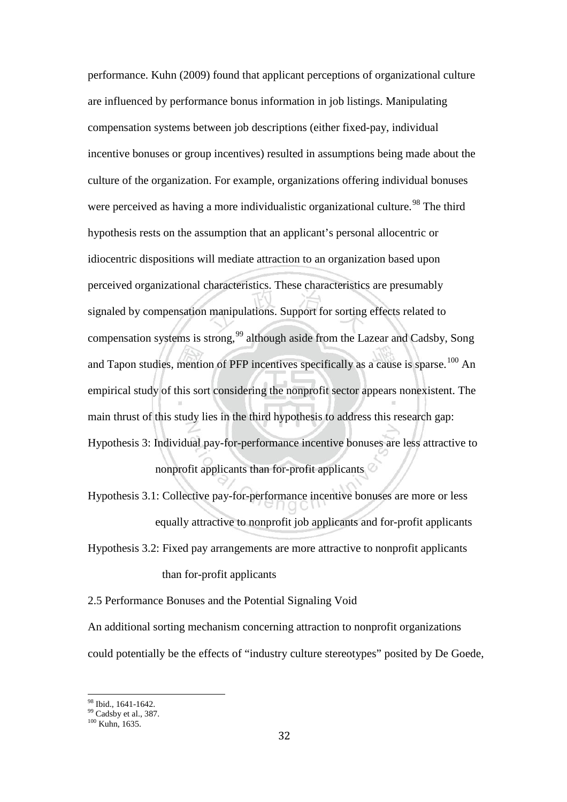performance. Kuhn (2009) found that applicant perceptions of organizational culture are influenced by performance bonus information in job listings. Manipulating compensation systems between job descriptions (either fixed-pay, individual incentive bonuses or group incentives) resulted in assumptions being made about the culture of the organization. For example, organizations offering individual bonuses were perceived as having a more individualistic organizational culture.<sup>[98](#page-36-0)</sup> The third hypothesis rests on the assumption that an applicant's personal allocentric or idiocentric dispositions will mediate attraction to an organization based upon perceived organizational characteristics. These characteristics are presumably signaled by compensation manipulations. Support for sorting effects related to compensation systems is strong,<sup>[99](#page-36-1)</sup> although aside from the Lazear and Cadsby, Song and Tapon studies, mention of PFP incentives specifically as a cause is sparse.<sup>[100](#page-36-2)</sup> An empirical study of this sort considering the nonprofit sector appears nonexistent. The main thrust of this study lies in the third hypothesis to address this research gap: Hypothesis 3: Individual pay-for-performance incentive bonuses are less attractive to nonprofit applicants than for-profit applicants

Hypothesis 3.1: Collective pay-for-performance incentive bonuses are more or less equally attractive to nonprofit job applicants and for-profit applicants Hypothesis 3.2: Fixed pay arrangements are more attractive to nonprofit applicants than for-profit applicants

2.5 Performance Bonuses and the Potential Signaling Void

An additional sorting mechanism concerning attraction to nonprofit organizations could potentially be the effects of "industry culture stereotypes" posited by De Goede,

<span id="page-36-2"></span><span id="page-36-1"></span><span id="page-36-0"></span><sup>&</sup>lt;sup>98</sup> Ibid., 1641-1642.<br><sup>99</sup> Cadsby et al., 387.<br><sup>100</sup> Kuhn, 1635.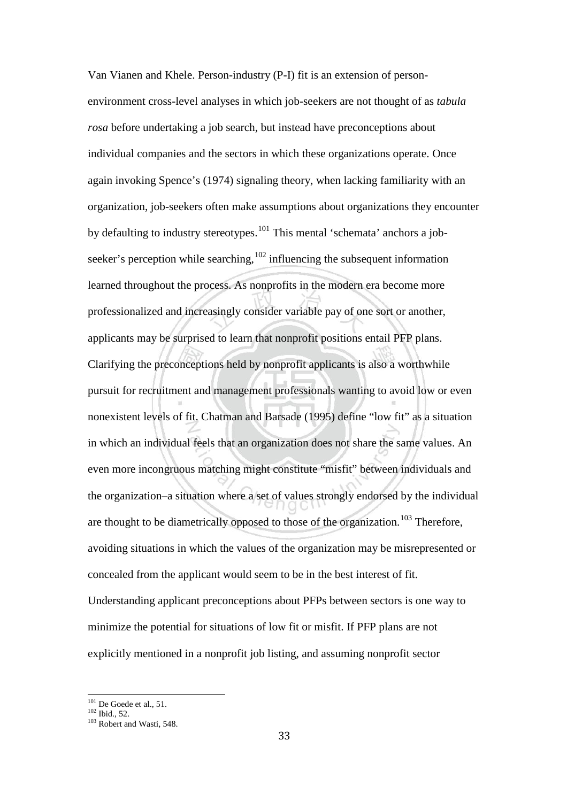Van Vianen and Khele. Person-industry (P-I) fit is an extension of personenvironment cross-level analyses in which job-seekers are not thought of as *tabula rosa* before undertaking a job search, but instead have preconceptions about individual companies and the sectors in which these organizations operate. Once again invoking Spence's (1974) signaling theory, when lacking familiarity with an organization, job-seekers often make assumptions about organizations they encounter by defaulting to industry stereotypes.<sup>[101](#page-37-0)</sup> This mental 'schemata' anchors a jobseeker's perception while searching, $102$  influencing the subsequent information learned throughout the process. As nonprofits in the modern era become more professionalized and increasingly consider variable pay of one sort or another, applicants may be surprised to learn that nonprofit positions entail PFP plans. Clarifying the preconceptions held by nonprofit applicants is also a worthwhile pursuit for recruitment and management professionals wanting to avoid low or even nonexistent levels of fit. Chatman and Barsade (1995) define "low fit" as a situation in which an individual feels that an organization does not share the same values. An even more incongruous matching might constitute "misfit" between individuals and the organization–a situation where a set of values strongly endorsed by the individual are thought to be diametrically opposed to those of the organization.<sup>[103](#page-37-2)</sup> Therefore, avoiding situations in which the values of the organization may be misrepresented or concealed from the applicant would seem to be in the best interest of fit. Understanding applicant preconceptions about PFPs between sectors is one way to minimize the potential for situations of low fit or misfit. If PFP plans are not explicitly mentioned in a nonprofit job listing, and assuming nonprofit sector

<span id="page-37-0"></span><sup>&</sup>lt;sup>101</sup> De Goede et al., 51.<br><sup>102</sup> Ibid., 52.<br><sup>103</sup> Robert and Wasti, 548.

<span id="page-37-2"></span><span id="page-37-1"></span>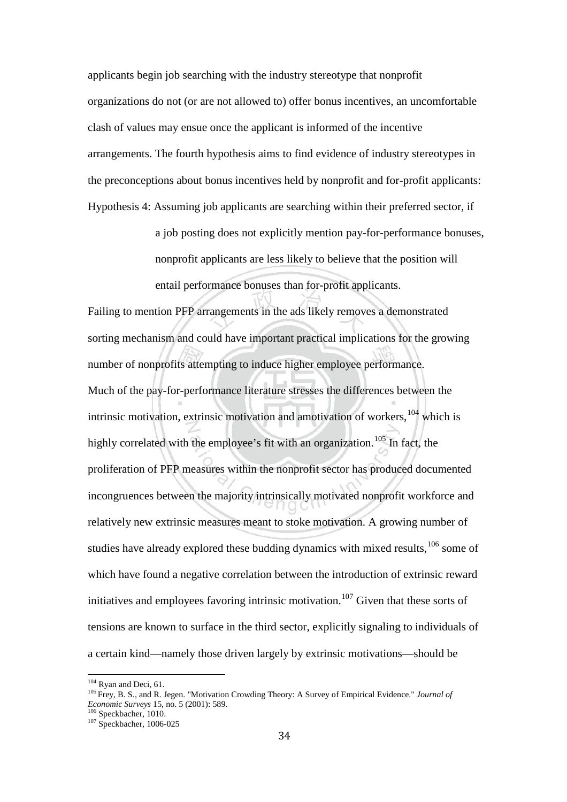applicants begin job searching with the industry stereotype that nonprofit organizations do not (or are not allowed to) offer bonus incentives, an uncomfortable clash of values may ensue once the applicant is informed of the incentive arrangements. The fourth hypothesis aims to find evidence of industry stereotypes in the preconceptions about bonus incentives held by nonprofit and for-profit applicants: Hypothesis 4: Assuming job applicants are searching within their preferred sector, if

> a job posting does not explicitly mention pay-for-performance bonuses, nonprofit applicants are less likely to believe that the position will entail performance bonuses than for-profit applicants.

Failing to mention PFP arrangements in the ads likely removes a demonstrated sorting mechanism and could have important practical implications for the growing number of nonprofits attempting to induce higher employee performance. Much of the pay-for-performance literature stresses the differences between the intrinsic motivation, extrinsic motivation and amotivation of workers,  $104$  which is highly correlated with the employee's fit with an organization.<sup>[105](#page-38-1)</sup> In fact, the proliferation of PFP measures within the nonprofit sector has produced documented incongruences between the majority intrinsically motivated nonprofit workforce and relatively new extrinsic measures meant to stoke motivation. A growing number of studies have already explored these budding dynamics with mixed results, $106$  some of which have found a negative correlation between the introduction of extrinsic reward initiatives and employees favoring intrinsic motivation.<sup>[107](#page-38-3)</sup> Given that these sorts of tensions are known to surface in the third sector, explicitly signaling to individuals of a certain kind—namely those driven largely by extrinsic motivations—should be

<span id="page-38-1"></span>

<span id="page-38-0"></span><sup>104</sup> Ryan and Deci, 61.<br><sup>105</sup> Frey, B. S., and R. Jegen. "Motivation Crowding Theory: A Survey of Empirical Evidence." *Journal of Economic Surveys* 15, no. 5 (2001): 589.<br><sup>106</sup> Speckbacher, 1010.<br><sup>107</sup> Speckbacher, 1006-025

<span id="page-38-3"></span><span id="page-38-2"></span>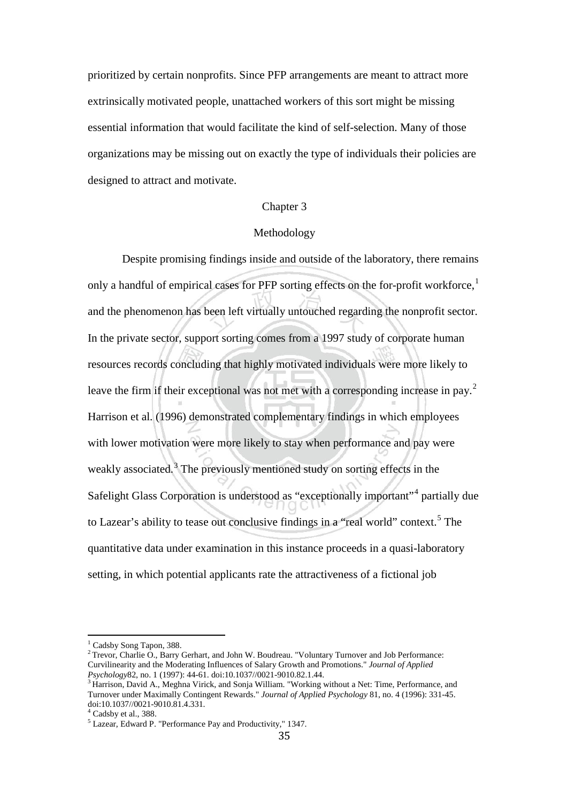prioritized by certain nonprofits. Since PFP arrangements are meant to attract more extrinsically motivated people, unattached workers of this sort might be missing essential information that would facilitate the kind of self-selection. Many of those organizations may be missing out on exactly the type of individuals their policies are designed to attract and motivate.

## Chapter 3

### Methodology

Despite promising findings inside and outside of the laboratory, there remains only a handful of empirical cases for PFP sorting effects on the for-profit workforce,<sup>[1](#page-39-0)</sup> and the phenomenon has been left virtually untouched regarding the nonprofit sector. In the private sector, support sorting comes from a 1997 study of corporate human resources records concluding that highly motivated individuals were more likely to leave the firm if their exceptional was not met with a corresponding increase in pay.<sup>[2](#page-39-1)</sup> Harrison et al. (1996) demonstrated complementary findings in which employees with lower motivation were more likely to stay when performance and pay were weakly associated.<sup>[3](#page-39-2)</sup> The previously mentioned study on sorting effects in the Safelight Glass Corporation is understood as "exceptionally important"<sup>[4](#page-39-3)</sup> partially due to Lazear's ability to tease out conclusive findings in a "real world" context.<sup>[5](#page-39-4)</sup> The quantitative data under examination in this instance proceeds in a quasi-laboratory setting, in which potential applicants rate the attractiveness of a fictional job

<span id="page-39-1"></span><span id="page-39-0"></span><sup>&</sup>lt;sup>1</sup> Cadsby Song Tapon, 388.<br><sup>2</sup> Trevor, Charlie O., Barry Gerhart, and John W. Boudreau. "Voluntary Turnover and Job Performance: Curvilinearity and the Moderating Influences of Salary Growth and Promotions." *Journal of Applied Psychology*82, no. 1 (1997): 44-61. doi:10.1037//0021-9010.82.1.44. <sup>3</sup> Harrison, David A., Meghna Virick, and Sonja William. "Working without a Net: Time, Performance, and

<span id="page-39-2"></span>Turnover under Maximally Contingent Rewards." *Journal of Applied Psychology* 81, no. 4 (1996): 331-45.

<span id="page-39-4"></span><span id="page-39-3"></span>

<sup>&</sup>lt;sup>4</sup> Cadsby et al., 388.  $\frac{5}{1}$  Lazear, Edward P. "Performance Pay and Productivity," 1347.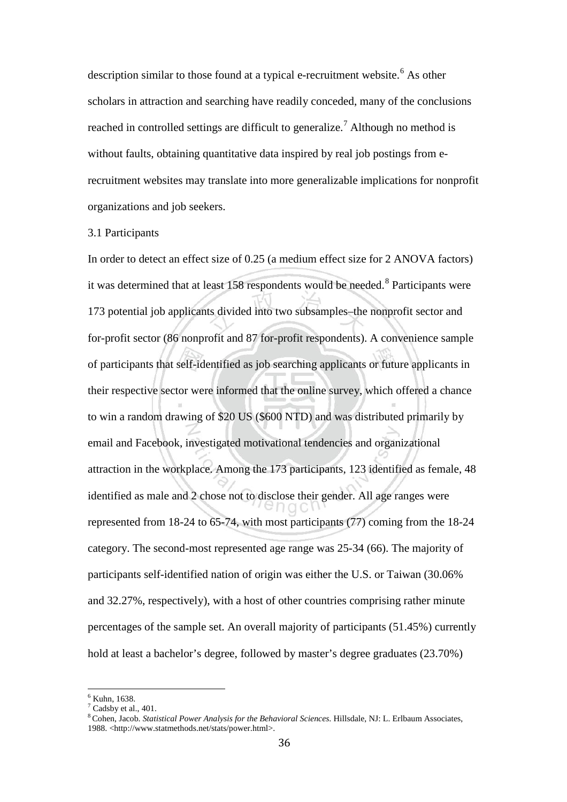description similar to those found at a typical e-recruitment website.<sup>[6](#page-40-0)</sup> As other scholars in attraction and searching have readily conceded, many of the conclusions reached in controlled settings are difficult to generalize.<sup>[7](#page-40-1)</sup> Although no method is without faults, obtaining quantitative data inspired by real job postings from erecruitment websites may translate into more generalizable implications for nonprofit organizations and job seekers.

### 3.1 Participants

In order to detect an effect size of 0.25 (a medium effect size for 2 ANOVA factors) it was determined that at least 15[8](#page-40-2) respondents would be needed.<sup>8</sup> Participants were 173 potential job applicants divided into two subsamples–the nonprofit sector and for-profit sector (86 nonprofit and 87 for-profit respondents). A convenience sample of participants that self-identified as job searching applicants or future applicants in their respective sector were informed that the online survey, which offered a chance to win a random drawing of \$20 US (\$600 NTD) and was distributed primarily by email and Facebook, investigated motivational tendencies and organizational attraction in the workplace. Among the 173 participants, 123 identified as female, 48 identified as male and 2 chose not to disclose their gender. All age ranges were represented from 18-24 to 65-74, with most participants (77) coming from the 18-24 category. The second-most represented age range was 25-34 (66). The majority of participants self-identified nation of origin was either the U.S. or Taiwan (30.06% and 32.27%, respectively), with a host of other countries comprising rather minute percentages of the sample set. An overall majority of participants (51.45%) currently hold at least a bachelor's degree, followed by master's degree graduates (23.70%)

<span id="page-40-1"></span><span id="page-40-0"></span> $\frac{6}{7}$  Kuhn, 1638.<br> $\frac{7}{7}$  Cadsby et al., 401.

<span id="page-40-2"></span><sup>&</sup>lt;sup>8</sup> Cohen, Jacob. *Statistical Power Analysis for the Behavioral Sciences*. Hillsdale, NJ: L. Erlbaum Associates, 1988. <http://www.statmethods.net/stats/power.html>.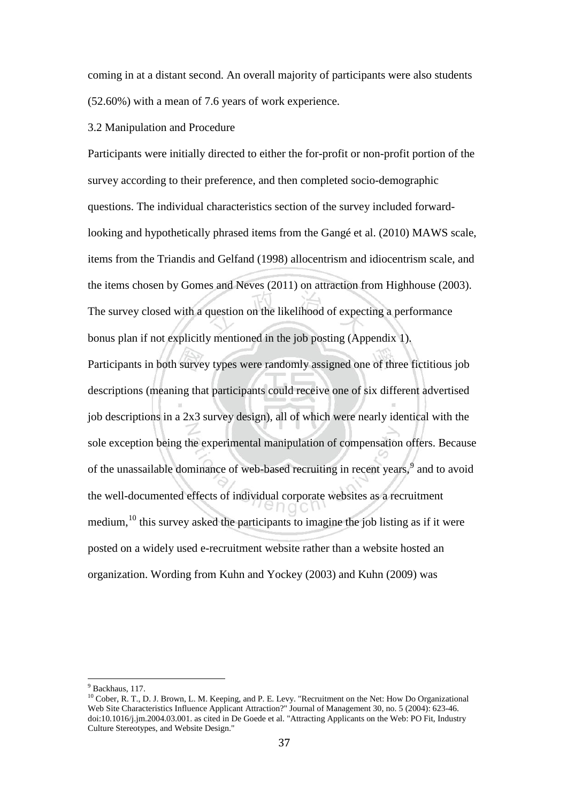coming in at a distant second. An overall majority of participants were also students (52.60%) with a mean of 7.6 years of work experience.

## 3.2 Manipulation and Procedure

Participants were initially directed to either the for-profit or non-profit portion of the survey according to their preference, and then completed socio-demographic questions. The individual characteristics section of the survey included forwardlooking and hypothetically phrased items from the Gangé et al. (2010) MAWS scale, items from the Triandis and Gelfand (1998) allocentrism and idiocentrism scale, and the items chosen by Gomes and Neves (2011) on attraction from Highhouse (2003). The survey closed with a question on the likelihood of expecting a performance bonus plan if not explicitly mentioned in the job posting (Appendix 1). Participants in both survey types were randomly assigned one of three fictitious job descriptions (meaning that participants could receive one of six different advertised job descriptions in a 2x3 survey design), all of which were nearly identical with the sole exception being the experimental manipulation of compensation offers. Because of the unassailable dominance of web-based recruiting in recent years,<sup>[9](#page-41-0)</sup> and to avoid the well-documented effects of individual corporate websites as a recruitment medium,<sup>[10](#page-41-1)</sup> this survey asked the participants to imagine the job listing as if it were posted on a widely used e-recruitment website rather than a website hosted an organization. Wording from Kuhn and Yockey (2003) and Kuhn (2009) was

<span id="page-41-1"></span><span id="page-41-0"></span> $9$  Backhaus, 117.<br><sup>10</sup> Cober, R. T., D. J. Brown, L. M. Keeping, and P. E. Levy. "Recruitment on the Net: How Do Organizational Web Site Characteristics Influence Applicant Attraction?" Journal of Management 30, no. 5 (2004): 623-46. doi:10.1016/j.jm.2004.03.001. as cited in De Goede et al. "Attracting Applicants on the Web: PO Fit, Industry Culture Stereotypes, and Website Design."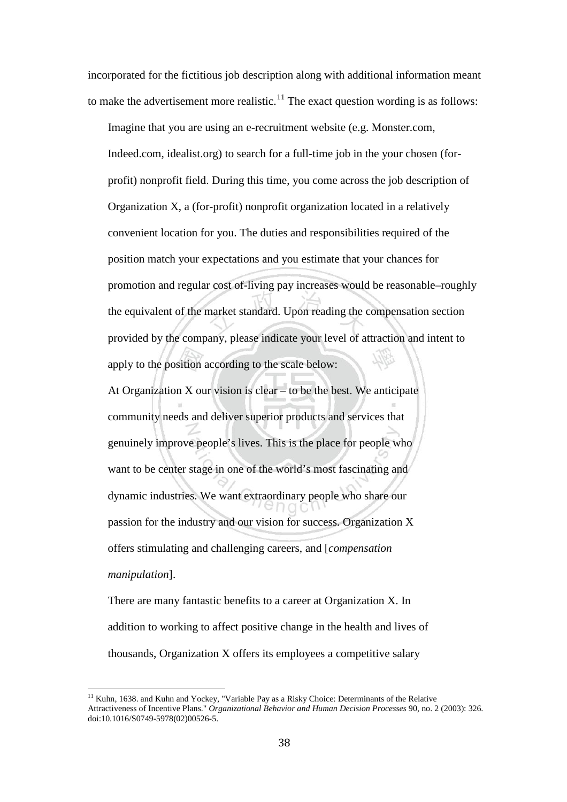incorporated for the fictitious job description along with additional information meant to make the advertisement more realistic.<sup>[11](#page-42-0)</sup> The exact question wording is as follows:

Imagine that you are using an e-recruitment website (e.g. Monster.com, Indeed.com, idealist.org) to search for a full-time job in the your chosen (forprofit) nonprofit field. During this time, you come across the job description of Organization X, a (for-profit) nonprofit organization located in a relatively convenient location for you. The duties and responsibilities required of the position match your expectations and you estimate that your chances for promotion and regular cost of-living pay increases would be reasonable–roughly the equivalent of the market standard. Upon reading the compensation section provided by the company, please indicate your level of attraction and intent to apply to the position according to the scale below:

At Organization  $X$  our vision is clear – to be the best. We anticipate community needs and deliver superior products and services that genuinely improve people's lives. This is the place for people who want to be center stage in one of the world's most fascinating and dynamic industries. We want extraordinary people who share our passion for the industry and our vision for success. Organization X offers stimulating and challenging careers, and [*compensation manipulation*].

There are many fantastic benefits to a career at Organization X. In addition to working to affect positive change in the health and lives of thousands, Organization X offers its employees a competitive salary

<span id="page-42-0"></span><sup>&</sup>lt;sup>11</sup> Kuhn, 1638. and Kuhn and Yockey, "Variable Pay as a Risky Choice: Determinants of the Relative Attractiveness of Incentive Plans." *Organizational Behavior and Human Decision Processes* 90, no. 2 (2003): 326. doi:10.1016/S0749-5978(02)00526-5.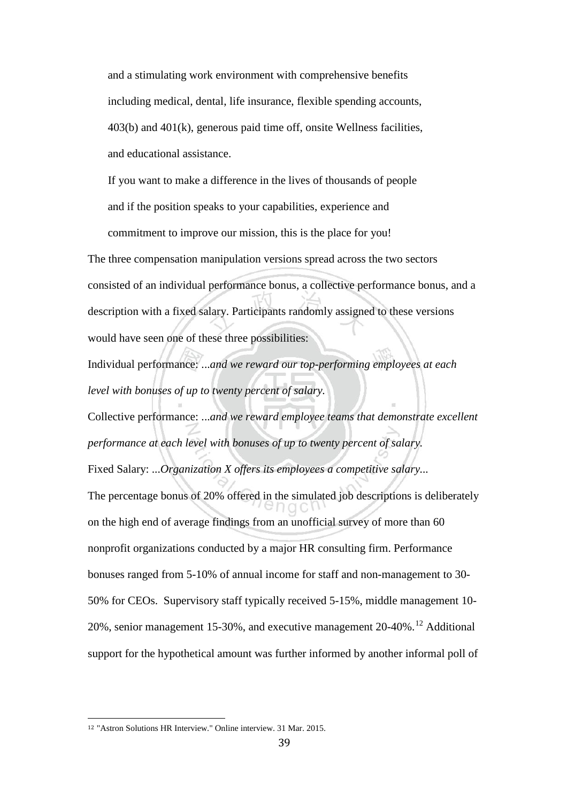and a stimulating work environment with comprehensive benefits including medical, dental, life insurance, flexible spending accounts, 403(b) and 401(k), generous paid time off, onsite Wellness facilities, and educational assistance.

If you want to make a difference in the lives of thousands of people and if the position speaks to your capabilities, experience and commitment to improve our mission, this is the place for you!

The three compensation manipulation versions spread across the two sectors consisted of an individual performance bonus, a collective performance bonus, and a description with a fixed salary. Participants randomly assigned to these versions would have seen one of these three possibilities:

Individual performance: ...*and we reward our top-performing employees at each level with bonuses of up to twenty percent of salary.*

Collective performance: ...*and we reward employee teams that demonstrate excellent performance at each level with bonuses of up to twenty percent of salary.* Fixed Salary: ...*Organization X offers its employees a competitive salary...* The percentage bonus of 20% offered in the simulated job descriptions is deliberately on the high end of average findings from an unofficial survey of more than 60 nonprofit organizations conducted by a major HR consulting firm. Performance bonuses ranged from 5-10% of annual income for staff and non-management to 30- 50% for CEOs. Supervisory staff typically received 5-15%, middle management 10- 20%, senior management 15-30%, and executive management  $20-40\%$ .<sup>[12](#page-43-0)</sup> Additional support for the hypothetical amount was further informed by another informal poll of

<span id="page-43-0"></span> <sup>12</sup> "Astron Solutions HR Interview." Online interview. 31 Mar. 2015.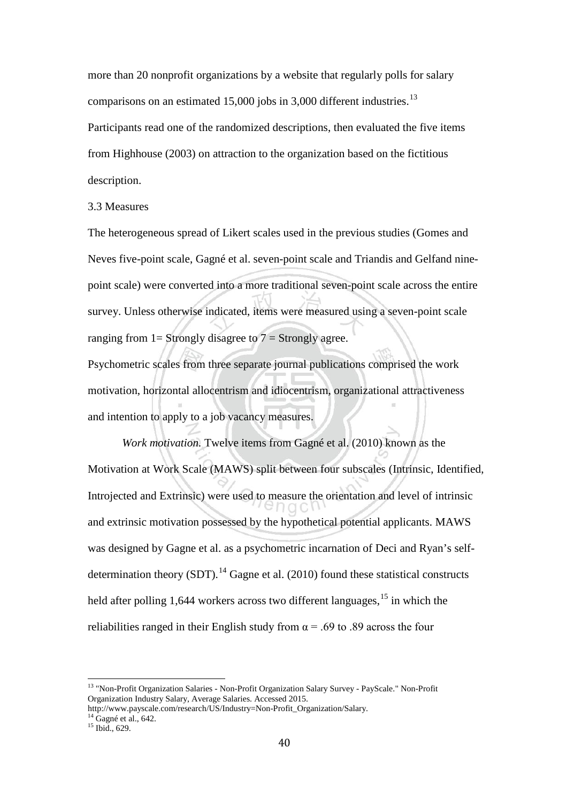more than 20 nonprofit organizations by a website that regularly polls for salary comparisons on an estimated 15,000 jobs in 3,000 different industries.<sup>[13](#page-44-0)</sup> Participants read one of the randomized descriptions, then evaluated the five items from Highhouse (2003) on attraction to the organization based on the fictitious description.

## 3.3 Measures

The heterogeneous spread of Likert scales used in the previous studies (Gomes and Neves five-point scale, Gagné et al. seven-point scale and Triandis and Gelfand ninepoint scale) were converted into a more traditional seven-point scale across the entire survey. Unless otherwise indicated, items were measured using a seven-point scale ranging from  $1 =$  Strongly disagree to  $7 =$  Strongly agree.

Psychometric scales from three separate journal publications comprised the work motivation, horizontal allocentrism and idiocentrism, organizational attractiveness and intention to apply to a job vacancy measures.

*Work motivation.* Twelve items from Gagné et al. (2010) known as the Motivation at Work Scale (MAWS) split between four subscales (Intrinsic, Identified, Introjected and Extrinsic) were used to measure the orientation and level of intrinsic and extrinsic motivation possessed by the hypothetical potential applicants. MAWS was designed by Gagne et al. as a psychometric incarnation of Deci and Ryan's selfdetermination theory  $(SDT)$ .<sup>[14](#page-44-1)</sup> Gagne et al. (2010) found these statistical constructs held after polling 1,644 workers across two different languages, <sup>[15](#page-44-2)</sup> in which the reliabilities ranged in their English study from  $\alpha$  = .69 to .89 across the four

<span id="page-44-0"></span><sup>&</sup>lt;sup>13</sup> "Non-Profit Organization Salaries - Non-Profit Organization Salary Survey - PayScale." Non-Profit Organization Industry Salary, Average Salaries. Accessed 2015.

<span id="page-44-1"></span>http://www.payscale.com/research/US/Industry=Non-Profit\_Organization/Salary.<br><sup>14</sup> Gagné et al., 642.<br><sup>15</sup> Ibid., 629.

<span id="page-44-2"></span>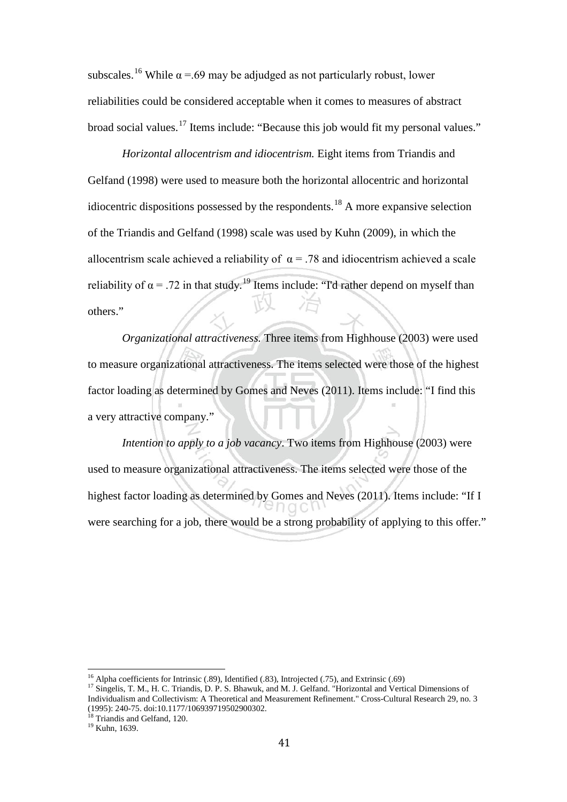subscales.<sup>[16](#page-45-0)</sup> While  $\alpha$  =.69 may be adjudged as not particularly robust, lower reliabilities could be considered acceptable when it comes to measures of abstract broad social values.<sup>[17](#page-45-1)</sup> Items include: "Because this job would fit my personal values."

*Horizontal allocentrism and idiocentrism.* Eight items from Triandis and Gelfand (1998) were used to measure both the horizontal allocentric and horizontal idiocentric dispositions possessed by the respondents.<sup>[18](#page-45-2)</sup> A more expansive selection of the Triandis and Gelfand (1998) scale was used by Kuhn (2009), in which the allocentrism scale achieved a reliability of  $\alpha$  = .78 and idiocentrism achieved a scale reliability of  $\alpha$  = .72 in that study.<sup>[19](#page-45-3)</sup> Items include: "I'd rather depend on myself than others."

*Organizational attractiveness.* Three items from Highhouse (2003) were used to measure organizational attractiveness. The items selected were those of the highest factor loading as determined by Gomes and Neves (2011). Items include: "I find this a very attractive company."

*Intention to apply to a job vacancy*. Two items from Highhouse (2003) were used to measure organizational attractiveness. The items selected were those of the highest factor loading as determined by Gomes and Neves (2011). Items include: "If I were searching for a job, there would be a strong probability of applying to this offer."

<span id="page-45-1"></span><span id="page-45-0"></span><sup>&</sup>lt;sup>16</sup> Alpha coefficients for Intrinsic (.89), Identified (.83), Introjected (.75), and Extrinsic (.69) <sup>17</sup> Singelis, T. M., H. C. Triandis, D. P. S. Bhawuk, and M. J. Gelfand. "Horizontal and Vertical Dimensions of Individualism and Collectivism: A Theoretical and Measurement Refinement." Cross-Cultural Research 29, no. 3 (1995): 240-75. doi:10.1177/106939719502900302.<br><sup>18</sup> Triandis and Gelfand, 120.<br><sup>19</sup> Kuhn, 1639.

<span id="page-45-2"></span>

<span id="page-45-3"></span>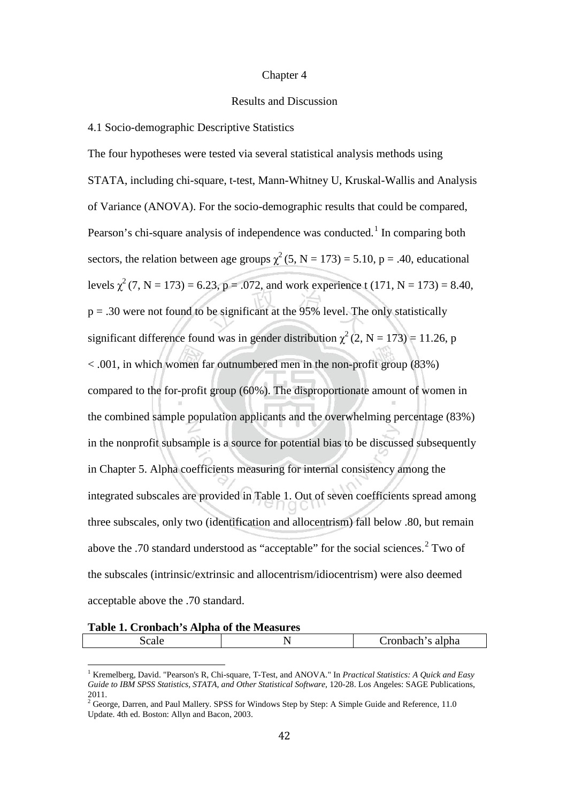#### Chapter 4

## Results and Discussion

### 4.1 Socio-demographic Descriptive Statistics

The four hypotheses were tested via several statistical analysis methods using STATA, including chi-square, t-test, Mann-Whitney U, Kruskal-Wallis and Analysis of Variance (ANOVA). For the socio-demographic results that could be compared, Pearson's chi-square analysis of independence was conducted.<sup>[1](#page-46-0)</sup> In comparing both sectors, the relation between age groups  $\chi^2$  (5, N = 173) = 5.10, p = .40, educational levels  $\chi^2$  (7, N = 173) = 6.23, p = .072, and work experience t (171, N = 173) = 8.40,  $p = .30$  were not found to be significant at the 95% level. The only statistically significant difference found was in gender distribution  $\chi^2$  (2, N = 173) = 11.26, p < .001, in which women far outnumbered men in the non-profit group (83%) compared to the for-profit group (60%). The disproportionate amount of women in the combined sample population applicants and the overwhelming percentage (83%) in the nonprofit subsample is a source for potential bias to be discussed subsequently in Chapter 5. Alpha coefficients measuring for internal consistency among the integrated subscales are provided in Table 1. Out of seven coefficients spread among three subscales, only two (identification and allocentrism) fall below .80, but remain above the .70 standard understood as "acceptable" for the social sciences.<sup>[2](#page-46-1)</sup> Two of the subscales (intrinsic/extrinsic and allocentrism/idiocentrism) were also deemed acceptable above the .70 standard.

### **Table 1. Cronbach's Alpha of the Measures**

| $\sim$ $\sim$<br>-21 I F | -<br>$\overline{\phantom{0}}$ | alpha<br>- -<br>-141<br>. |
|--------------------------|-------------------------------|---------------------------|
|                          |                               |                           |

<span id="page-46-0"></span><sup>1</sup> Kremelberg, David. "Pearson's R, Chi-square, T-Test, and ANOVA." In *Practical Statistics: A Quick and Easy Guide to IBM SPSS Statistics, STATA, and Other Statistical Software*, 120-28. Los Angeles: SAGE Publications, 2011.

<span id="page-46-1"></span><sup>&</sup>lt;sup>2</sup> George, Darren, and Paul Mallery. SPSS for Windows Step by Step: A Simple Guide and Reference, 11.0 Update. 4th ed. Boston: Allyn and Bacon, 2003.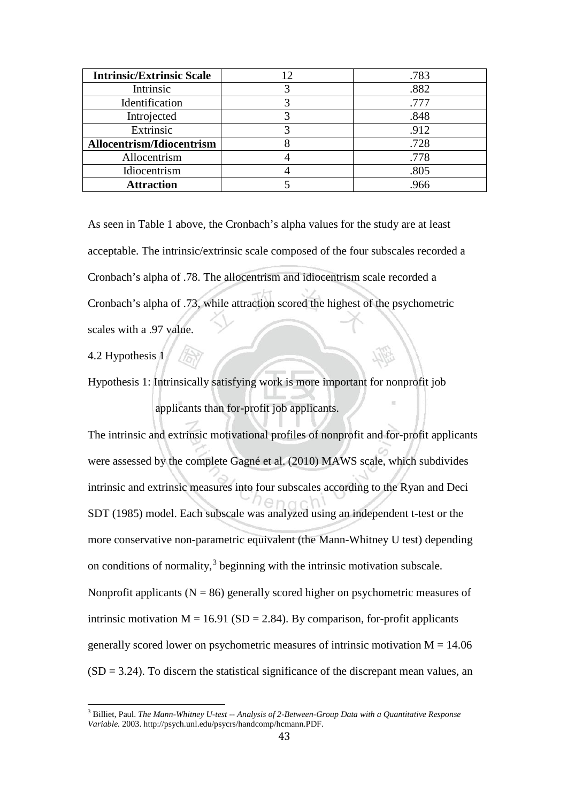| <b>Intrinsic/Extrinsic Scale</b> | .783 |
|----------------------------------|------|
| Intrinsic                        | .882 |
| Identification                   | .777 |
| Introjected                      | .848 |
| Extrinsic                        | .912 |
| Allocentrism/Idiocentrism        | .728 |
| Allocentrism                     | .778 |
| Idiocentrism                     | .805 |
| <b>Attraction</b>                | .966 |

As seen in Table 1 above, the Cronbach's alpha values for the study are at least acceptable. The intrinsic/extrinsic scale composed of the four subscales recorded a Cronbach's alpha of .78. The allocentrism and idiocentrism scale recorded a Cronbach's alpha of .73, while attraction scored the highest of the psychometric scales with a .97 value.

4.2 Hypothesis 1

Hypothesis 1: Intrinsically satisfying work is more important for nonprofit job applicants than for-profit job applicants.

The intrinsic and extrinsic motivational profiles of nonprofit and for-profit applicants were assessed by the complete Gagné et al. (2010) MAWS scale, which subdivides intrinsic and extrinsic measures into four subscales according to the Ryan and Deci SDT (1985) model. Each subscale was analyzed using an independent t-test or the more conservative non-parametric equivalent (the Mann-Whitney U test) depending on conditions of normality, $3$  beginning with the intrinsic motivation subscale. Nonprofit applicants ( $N = 86$ ) generally scored higher on psychometric measures of intrinsic motivation  $M = 16.91$  (SD = 2.84). By comparison, for-profit applicants generally scored lower on psychometric measures of intrinsic motivation  $M = 14.06$  $(SD = 3.24)$ . To discern the statistical significance of the discrepant mean values, an

<span id="page-47-0"></span><sup>3</sup> Billiet, Paul. *The Mann-Whitney U-test -- Analysis of 2-Between-Group Data with a Quantitative Response Variable.* 2003. http://psych.unl.edu/psycrs/handcomp/hcmann.PDF.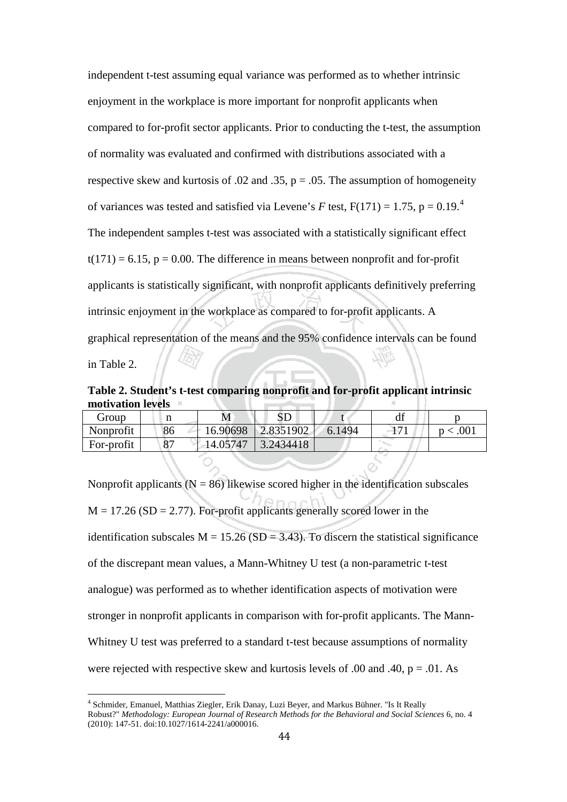independent t-test assuming equal variance was performed as to whether intrinsic enjoyment in the workplace is more important for nonprofit applicants when compared to for-profit sector applicants. Prior to conducting the t-test, the assumption of normality was evaluated and confirmed with distributions associated with a respective skew and kurtosis of .02 and .35,  $p = .05$ . The assumption of homogeneity of variances was tested and satisfied via Levene's *F* test,  $F(171) = 1.75$ ,  $p = 0.19$ .<sup>[4](#page-48-0)</sup> The independent samples t-test was associated with a statistically significant effect  $t(171) = 6.15$ ,  $p = 0.00$ . The difference in means between nonprofit and for-profit applicants is statistically significant, with nonprofit applicants definitively preferring intrinsic enjoyment in the workplace as compared to for-profit applicants. A graphical representation of the means and the 95% confidence intervals can be found in Table 2.

**Table 2. Student's t-test comparing nonprofit and for-profit applicant intrinsic motivation levels**

| Group      |             | M        | பட        |        | $a_{\rm L}$ |  |
|------------|-------------|----------|-----------|--------|-------------|--|
| Nonprofit  | 86          | 16.90698 | 2.8351902 | 6.1494 | $-11$       |  |
| For-profit | $\mathbf o$ | 14.05747 | : 2434418 |        |             |  |

Nonprofit applicants ( $N = 86$ ) likewise scored higher in the identification subscales  $M = 17.26$  (SD = 2.77). For-profit applicants generally scored lower in the identification subscales  $M = 15.26$  (SD = 3.43). To discern the statistical significance of the discrepant mean values, a Mann-Whitney U test (a non-parametric t-test analogue) was performed as to whether identification aspects of motivation were stronger in nonprofit applicants in comparison with for-profit applicants. The Mann-Whitney U test was preferred to a standard t-test because assumptions of normality were rejected with respective skew and kurtosis levels of .00 and .40,  $p = .01$ . As

<span id="page-48-0"></span><sup>4</sup> Schmider, Emanuel, Matthias Ziegler, Erik Danay, Luzi Beyer, and Markus Bühner. "Is It Really Robust?" *Methodology: European Journal of Research Methods for the Behavioral and Social Sciences* 6, no. 4 (2010): 147-51. doi:10.1027/1614-2241/a000016.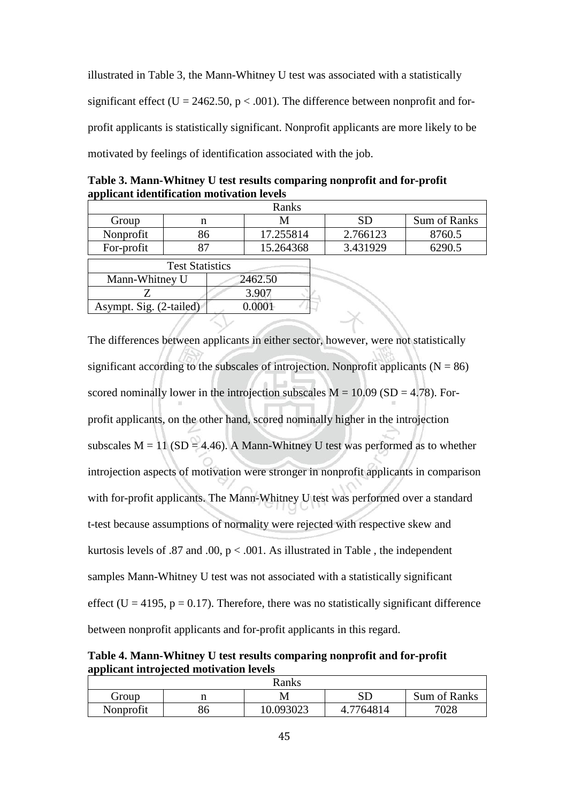illustrated in Table 3, the Mann-Whitney U test was associated with a statistically significant effect (U = 2462.50,  $p < .001$ ). The difference between nonprofit and forprofit applicants is statistically significant. Nonprofit applicants are more likely to be motivated by feelings of identification associated with the job.

|                | applicant fuchtification motivation icvels |         |           |          |              |  |  |  |
|----------------|--------------------------------------------|---------|-----------|----------|--------------|--|--|--|
|                |                                            |         | Ranks     |          |              |  |  |  |
| Group          | n                                          |         |           | SD       | Sum of Ranks |  |  |  |
| Nonprofit      | 86                                         |         | 17.255814 | 2.766123 | 8760.5       |  |  |  |
| For-profit     |                                            |         | 15.264368 | 3.431929 | 6290.5       |  |  |  |
|                | <b>Test Statistics</b>                     |         |           |          |              |  |  |  |
| Mann-Whitney U |                                            | 2462.50 |           |          |              |  |  |  |
|                |                                            |         |           |          |              |  |  |  |

**Table 3. Mann-Whitney U test results comparing nonprofit and for-profit applicant identification motivation levels**

 $Z \t 3.907$ 

Asympt. Sig.  $(2$ -tailed)  $\Big|$  0.0001

The differences between applicants in either sector, however, were not statistically significant according to the subscales of introjection. Nonprofit applicants  $(N = 86)$ scored nominally lower in the introjection subscales  $M = 10.09$  (SD = 4.78). Forprofit applicants, on the other hand, scored nominally higher in the introjection subscales  $M = 11$  (SD = 4.46). A Mann-Whitney U test was performed as to whether introjection aspects of motivation were stronger in nonprofit applicants in comparison with for-profit applicants. The Mann-Whitney U test was performed over a standard t-test because assumptions of normality were rejected with respective skew and kurtosis levels of .87 and .00,  $p < .001$ . As illustrated in Table, the independent samples Mann-Whitney U test was not associated with a statistically significant effect (U = 4195,  $p = 0.17$ ). Therefore, there was no statistically significant difference between nonprofit applicants and for-profit applicants in this regard.

**Table 4. Mann-Whitney U test results comparing nonprofit and for-profit applicant introjected motivation levels**

| Ranks     |    |           |                     |              |  |
|-----------|----|-----------|---------------------|--------------|--|
| Group     |    |           | $\operatorname{SD}$ | Sum of Ranks |  |
| Nonprofit | 86 | 10.093023 | 7764814<br>4.       | 7028         |  |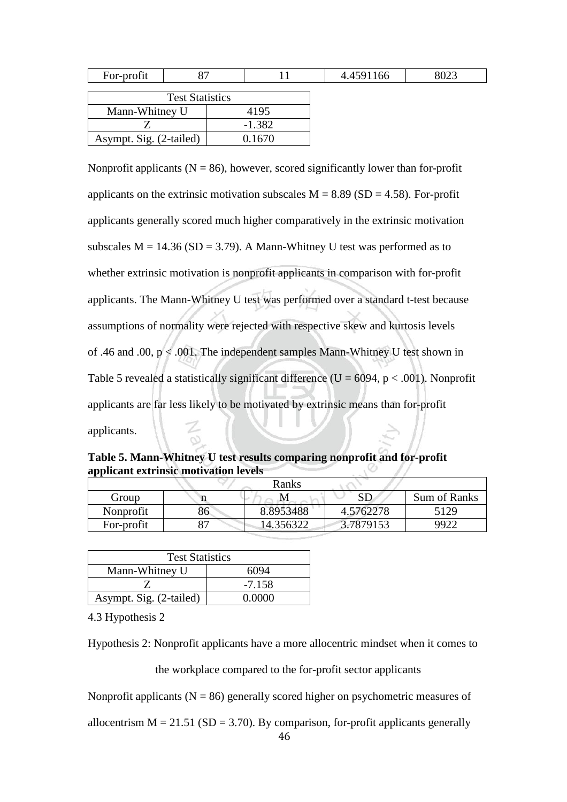| For-profit              |  |  |          |  | 4.4591166 | 8023 |
|-------------------------|--|--|----------|--|-----------|------|
| <b>Test Statistics</b>  |  |  |          |  |           |      |
| Mann-Whitney U          |  |  | 4195     |  |           |      |
|                         |  |  | $-1.382$ |  |           |      |
| Asympt. Sig. (2-tailed) |  |  | 0.1670   |  |           |      |

Nonprofit applicants ( $N = 86$ ), however, scored significantly lower than for-profit applicants on the extrinsic motivation subscales  $M = 8.89$  (SD = 4.58). For-profit applicants generally scored much higher comparatively in the extrinsic motivation subscales  $M = 14.36$  (SD = 3.79). A Mann-Whitney U test was performed as to whether extrinsic motivation is nonprofit applicants in comparison with for-profit applicants. The Mann-Whitney U test was performed over a standard t-test because assumptions of normality were rejected with respective skew and kurtosis levels of .46 and .00,  $p < .001$ . The independent samples Mann-Whitney U test shown in Table 5 revealed a statistically significant difference ( $U = 6094$ ,  $p < .001$ ). Nonprofit applicants are far less likely to be motivated by extrinsic means than for-profit applicants.

**Table 5. Mann-Whitney U test results comparing nonprofit and for-profit applicant extrinsic motivation levels**

| Ranks      |    |           |           |                              |  |  |
|------------|----|-----------|-----------|------------------------------|--|--|
| Group      |    | 1VI       | SГ        | <b>Sum of Ranks</b>          |  |  |
| Nonprofit  | 86 | 8.8953488 | 4.5762278 | 5129                         |  |  |
| For-profit | oп | 14.356322 | 3.7879153 | $\mathbf{Q} \mathbf{Q} \cap$ |  |  |

| <b>Test Statistics</b>  |          |  |  |  |  |
|-------------------------|----------|--|--|--|--|
| Mann-Whitney U          | 6094     |  |  |  |  |
|                         | $-7.158$ |  |  |  |  |
| Asympt. Sig. (2-tailed) | 0.0000   |  |  |  |  |

4.3 Hypothesis 2

Hypothesis 2: Nonprofit applicants have a more allocentric mindset when it comes to

the workplace compared to the for-profit sector applicants

Nonprofit applicants ( $N = 86$ ) generally scored higher on psychometric measures of

allocentrism  $M = 21.51$  (SD = 3.70). By comparison, for-profit applicants generally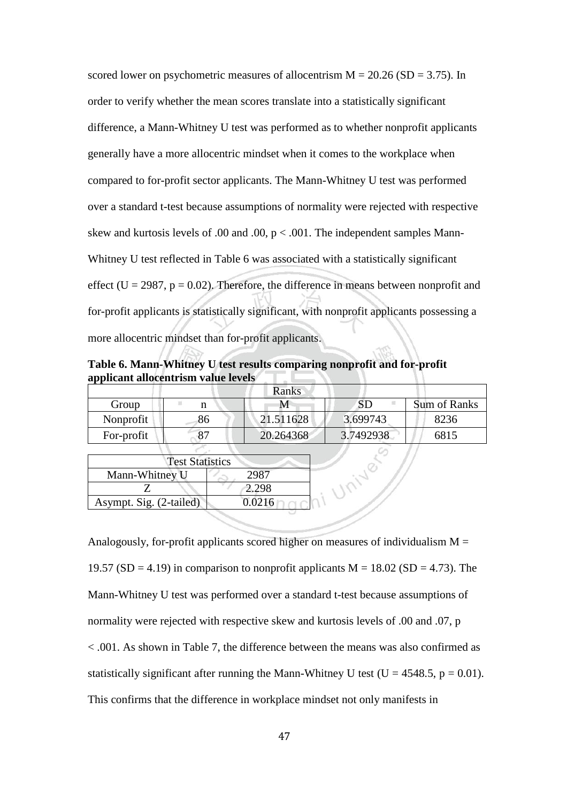scored lower on psychometric measures of allocentrism  $M = 20.26$  (SD = 3.75). In order to verify whether the mean scores translate into a statistically significant difference, a Mann-Whitney U test was performed as to whether nonprofit applicants generally have a more allocentric mindset when it comes to the workplace when compared to for-profit sector applicants. The Mann-Whitney U test was performed over a standard t-test because assumptions of normality were rejected with respective skew and kurtosis levels of .00 and .00,  $p < .001$ . The independent samples Mann-Whitney U test reflected in Table 6 was associated with a statistically significant effect (U = 2987,  $p = 0.02$ ). Therefore, the difference in means between nonprofit and for-profit applicants is statistically significant, with nonprofit applicants possessing a more allocentric mindset than for-profit applicants.

**Table 6. Mann-Whitney U test results comparing nonprofit and for-profit applicant allocentrism value levels**

|            |    | Ranks     |           |                     |
|------------|----|-----------|-----------|---------------------|
| Group      |    |           | SD        | <b>Sum of Ranks</b> |
| Nonprofit  | 86 | 21.511628 | 3.699743  | 8236                |
| For-profit |    | 20.264368 | 3.7492938 | 6815                |
|            |    |           |           |                     |

| <b>Test Statistics</b>  |        |  |  |  |  |
|-------------------------|--------|--|--|--|--|
| Mann-Whitney U          |        |  |  |  |  |
|                         | 2.298  |  |  |  |  |
| Asympt. Sig. (2-tailed) | 0.0216 |  |  |  |  |

Analogously, for-profit applicants scored higher on measures of individualism  $M =$ 19.57 (SD = 4.19) in comparison to nonprofit applicants  $M = 18.02$  (SD = 4.73). The Mann-Whitney U test was performed over a standard t-test because assumptions of normality were rejected with respective skew and kurtosis levels of .00 and .07, p < .001. As shown in Table 7, the difference between the means was also confirmed as statistically significant after running the Mann-Whitney U test ( $U = 4548.5$ ,  $p = 0.01$ ). This confirms that the difference in workplace mindset not only manifests in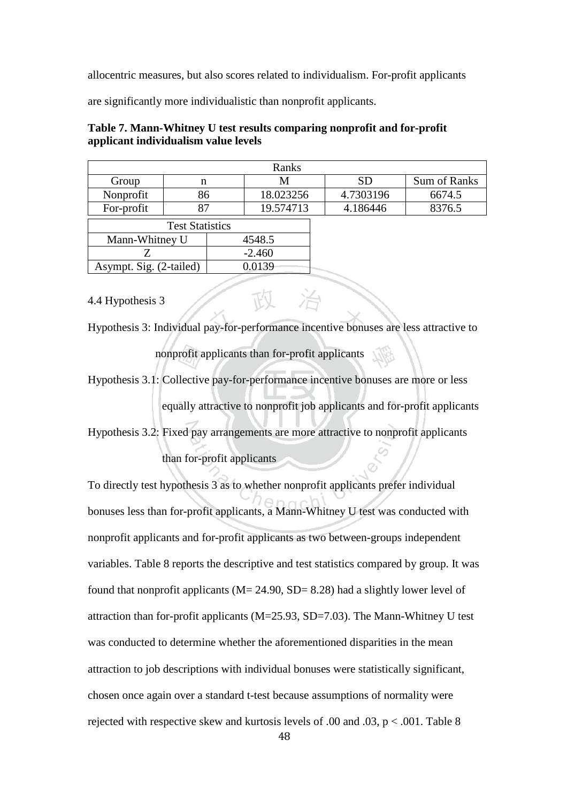allocentric measures, but also scores related to individualism. For-profit applicants

are significantly more individualistic than nonprofit applicants.

| Ranks                   |                        |           |           |  |           |              |
|-------------------------|------------------------|-----------|-----------|--|-----------|--------------|
| Group                   | n                      |           | M         |  | SD        | Sum of Ranks |
| Nonprofit               | 86                     |           | 18.023256 |  | 4.7303196 | 6674.5       |
| For-profit              | 87                     | 19.574713 |           |  | 4.186446  | 8376.5       |
|                         | <b>Test Statistics</b> |           |           |  |           |              |
| Mann-Whitney U          |                        |           | 4548.5    |  |           |              |
|                         |                        | $-2.460$  |           |  |           |              |
| Asympt. Sig. (2-tailed) |                        |           | 0.0139    |  |           |              |

# **Table 7. Mann-Whitney U test results comparing nonprofit and for-profit applicant individualism value levels**

## 4.4 Hypothesis 3

Hypothesis 3: Individual pay-for-performance incentive bonuses are less attractive to nonprofit applicants than for-profit applicants

Hypothesis 3.1: Collective pay-for-performance incentive bonuses are more or less equally attractive to nonprofit job applicants and for-profit applicants

Hypothesis 3.2: Fixed pay arrangements are more attractive to nonprofit applicants

than for-profit applicants

To directly test hypothesis 3 as to whether nonprofit applicants prefer individual bonuses less than for-profit applicants, a Mann-Whitney U test was conducted with nonprofit applicants and for-profit applicants as two between-groups independent variables. Table 8 reports the descriptive and test statistics compared by group. It was found that nonprofit applicants ( $M = 24.90$ ,  $SD = 8.28$ ) had a slightly lower level of attraction than for-profit applicants (M=25.93, SD=7.03). The Mann-Whitney U test was conducted to determine whether the aforementioned disparities in the mean attraction to job descriptions with individual bonuses were statistically significant, chosen once again over a standard t-test because assumptions of normality were rejected with respective skew and kurtosis levels of .00 and .03,  $p < .001$ . Table 8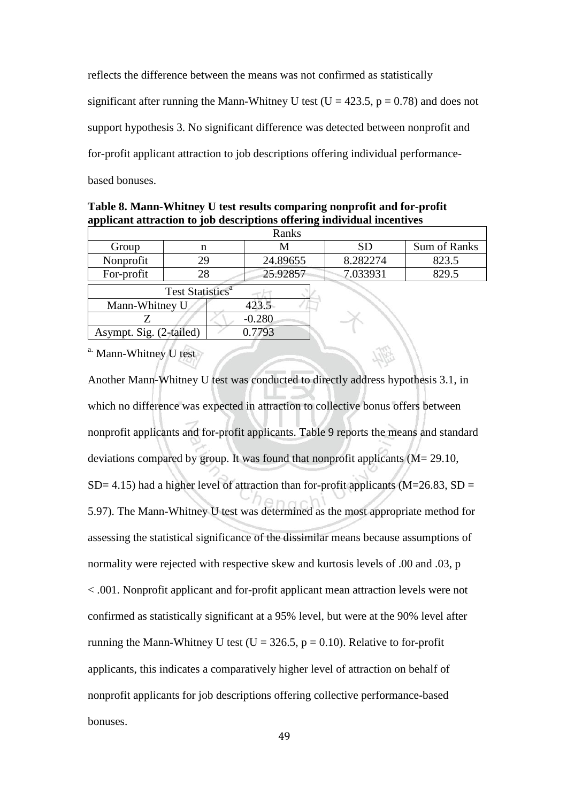reflects the difference between the means was not confirmed as statistically significant after running the Mann-Whitney U test ( $U = 423.5$ ,  $p = 0.78$ ) and does not support hypothesis 3. No significant difference was detected between nonprofit and for-profit applicant attraction to job descriptions offering individual performance-

based bonuses.

| Ranks                   |                              |    |          |          |          |              |  |  |
|-------------------------|------------------------------|----|----------|----------|----------|--------------|--|--|
| Group                   | n                            |    | M        |          | SD       | Sum of Ranks |  |  |
| Nonprofit               |                              | 29 |          | 24.89655 | 8.282274 | 823.5        |  |  |
| For-profit              |                              | 28 |          | 25.92857 | 7.033931 | 829.5        |  |  |
|                         | Test Statistics <sup>a</sup> |    |          |          |          |              |  |  |
| Mann-Whitney U          |                              |    | 423.5    |          |          |              |  |  |
|                         |                              |    | $-0.280$ |          |          |              |  |  |
| Asympt. Sig. (2-tailed) |                              |    | 0.7793   |          |          |              |  |  |

| Table 8. Mann-Whitney U test results comparing nonprofit and for-profit |
|-------------------------------------------------------------------------|
| applicant attraction to job descriptions offering individual incentives |

<sup>a.</sup> Mann-Whitney U test

Another Mann-Whitney U test was conducted to directly address hypothesis 3.1, in which no difference was expected in attraction to collective bonus offers between nonprofit applicants and for-profit applicants. Table 9 reports the means and standard deviations compared by group. It was found that nonprofit applicants (M= 29.10, SD= 4.15) had a higher level of attraction than for-profit applicants ( $M=26.83$ , SD = 5.97). The Mann-Whitney U test was determined as the most appropriate method for assessing the statistical significance of the dissimilar means because assumptions of normality were rejected with respective skew and kurtosis levels of .00 and .03, p < .001. Nonprofit applicant and for-profit applicant mean attraction levels were not confirmed as statistically significant at a 95% level, but were at the 90% level after running the Mann-Whitney U test ( $U = 326.5$ ,  $p = 0.10$ ). Relative to for-profit applicants, this indicates a comparatively higher level of attraction on behalf of nonprofit applicants for job descriptions offering collective performance-based bonuses.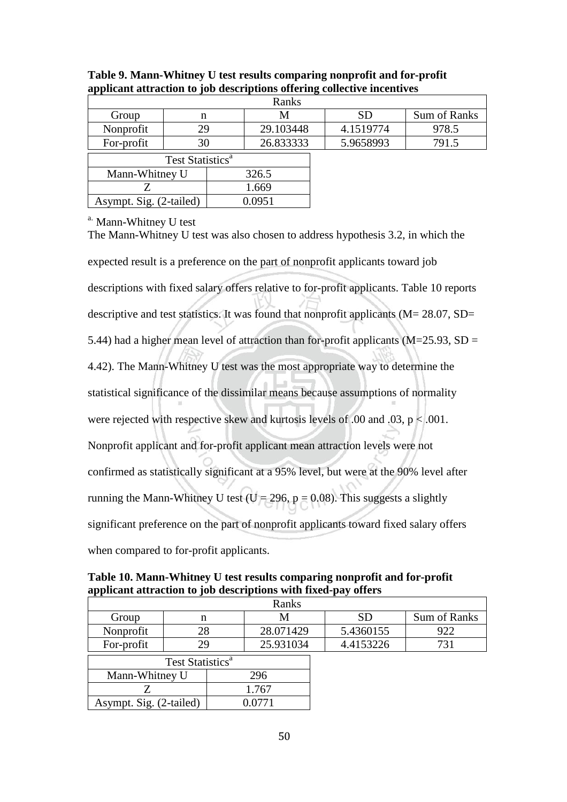| Ranks          |                                   |       |           |  |           |              |  |
|----------------|-----------------------------------|-------|-----------|--|-----------|--------------|--|
| Group          | n                                 | M     |           |  | <b>SD</b> | Sum of Ranks |  |
| Nonprofit      | 29                                |       | 29.103448 |  | 4.1519774 | 978.5        |  |
| For-profit     | 30                                |       | 26.833333 |  | 5.9658993 | 791.5        |  |
|                | Test Statistics <sup>a</sup>      |       |           |  |           |              |  |
| Mann-Whitney U |                                   | 326.5 |           |  |           |              |  |
|                |                                   | 1.669 |           |  |           |              |  |
|                | 0.0951<br>Asympt. Sig. (2-tailed) |       |           |  |           |              |  |

**Table 9. Mann-Whitney U test results comparing nonprofit and for-profit applicant attraction to job descriptions offering collective incentives**

a. Mann-Whitney U test

The Mann-Whitney U test was also chosen to address hypothesis 3.2, in which the expected result is a preference on the part of nonprofit applicants toward job descriptions with fixed salary offers relative to for-profit applicants. Table 10 reports descriptive and test statistics. It was found that nonprofit applicants  $(M = 28.07, SD =$ 5.44) had a higher mean level of attraction than for-profit applicants ( $M=25.93$ ,  $SD =$ 4.42). The Mann-Whitney U test was the most appropriate way to determine the statistical significance of the dissimilar means because assumptions of normality were rejected with respective skew and kurtosis levels of .00 and .03,  $p < .001$ . Nonprofit applicant and for-profit applicant mean attraction levels were not confirmed as statistically significant at a 95% level, but were at the 90% level after running the Mann-Whitney U test ( $U = 296$ ,  $p = 0.08$ ). This suggests a slightly significant preference on the part of nonprofit applicants toward fixed salary offers when compared to for-profit applicants.

**Table 10. Mann-Whitney U test results comparing nonprofit and for-profit applicant attraction to job descriptions with fixed-pay offers**

| Ranks                        |    |     |           |  |           |              |  |
|------------------------------|----|-----|-----------|--|-----------|--------------|--|
| Group                        | n  |     |           |  | SD        | Sum of Ranks |  |
| Nonprofit                    | 28 |     | 28.071429 |  | 5.4360155 | 922          |  |
| For-profit                   | 29 |     | 25.931034 |  | 4.4153226 |              |  |
| Test Statistics <sup>a</sup> |    |     |           |  |           |              |  |
| Mann-Whitney U               |    | 296 |           |  |           |              |  |
|                              |    |     |           |  |           |              |  |

Asympt. Sig.  $(2$ -tailed)  $\vert$  0.0771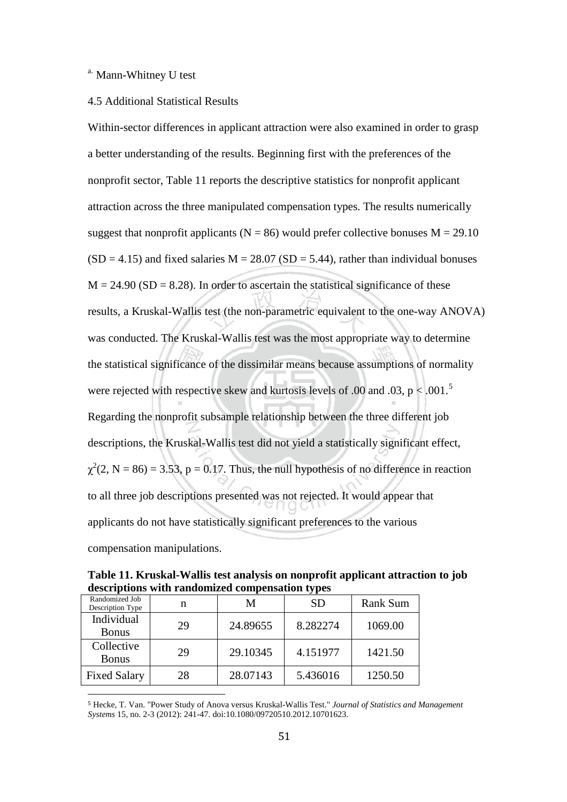## a. Mann-Whitney U test

### 4.5 Additional Statistical Results

Within-sector differences in applicant attraction were also examined in order to grasp a better understanding of the results. Beginning first with the preferences of the nonprofit sector, Table 11 reports the descriptive statistics for nonprofit applicant attraction across the three manipulated compensation types. The results numerically suggest that nonprofit applicants ( $N = 86$ ) would prefer collective bonuses  $M = 29.10$  $(SD = 4.15)$  and fixed salaries M = 28.07 (SD = 5.44), rather than individual bonuses  $M = 24.90$  (SD = 8.28). In order to ascertain the statistical significance of these results, a Kruskal-Wallis test (the non-parametric equivalent to the one-way ANOVA) was conducted. The Kruskal-Wallis test was the most appropriate way to determine the statistical significance of the dissimilar means because assumptions of normality were rejected with respective skew and kurtosis levels of .00 and .03,  $p < .001$ .<sup>[5](#page-55-0)</sup> Regarding the nonprofit subsample relationship between the three different job descriptions, the Kruskal-Wallis test did not yield a statistically significant effect,  $\chi^2$ (2, N = 86) = 3.53, p = 0.17. Thus, the null hypothesis of no difference in reaction to all three job descriptions presented was not rejected. It would appear that applicants do not have statistically significant preferences to the various compensation manipulations.

**Table 11. Kruskal-Wallis test analysis on nonprofit applicant attraction to job descriptions with randomized compensation types**

|                                    |    |          | . .       |                 |
|------------------------------------|----|----------|-----------|-----------------|
| Randomized Job<br>Description Type | n  | М        | <b>SD</b> | <b>Rank Sum</b> |
| Individual<br><b>Bonus</b>         | 29 | 24.89655 | 8.282274  | 1069.00         |
| Collective<br><b>Bonus</b>         | 29 | 29.10345 | 4.151977  | 1421.50         |
| <b>Fixed Salary</b>                | 28 | 28.07143 | 5.436016  | 1250.50         |

<span id="page-55-0"></span> 5 Hecke, T. Van. "Power Study of Anova versus Kruskal-Wallis Test." *Journal of Statistics and Management Systems* 15, no. 2-3 (2012): 241-47. doi:10.1080/09720510.2012.10701623.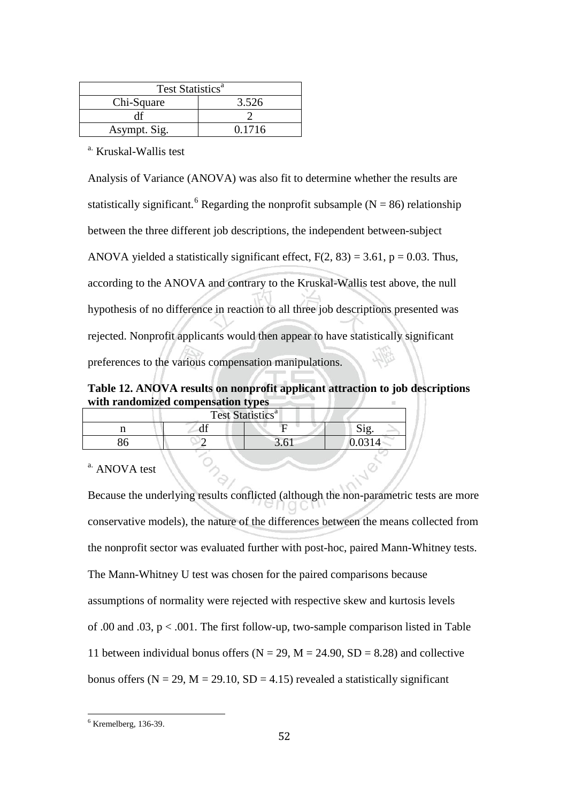| Test Statistics <sup>a</sup> |        |  |  |  |  |  |
|------------------------------|--------|--|--|--|--|--|
| Chi-Square                   | 3.526  |  |  |  |  |  |
|                              |        |  |  |  |  |  |
| Asympt. Sig.                 | 0.1716 |  |  |  |  |  |

a. Kruskal-Wallis test

Analysis of Variance (ANOVA) was also fit to determine whether the results are statistically significant.<sup>[6](#page-56-0)</sup> Regarding the nonprofit subsample (N = 86) relationship between the three different job descriptions, the independent between-subject ANOVA yielded a statistically significant effect,  $F(2, 83) = 3.61$ ,  $p = 0.03$ . Thus, according to the ANOVA and contrary to the Kruskal-Wallis test above, the null hypothesis of no difference in reaction to all three job descriptions presented was rejected. Nonprofit applicants would then appear to have statistically significant preferences to the various compensation manipulations.

**Table 12. ANOVA results on nonprofit applicant attraction to job descriptions with randomized compensation types**

|  | Test Statistics <sup>a</sup> |  |
|--|------------------------------|--|
|  |                              |  |
|  | L                            |  |

<sup>a.</sup> ANOVA test

Because the underlying results conflicted (although the non-parametric tests are more conservative models), the nature of the differences between the means collected from the nonprofit sector was evaluated further with post-hoc, paired Mann-Whitney tests. The Mann-Whitney U test was chosen for the paired comparisons because assumptions of normality were rejected with respective skew and kurtosis levels of .00 and .03, p < .001. The first follow-up, two-sample comparison listed in Table 11 between individual bonus offers ( $N = 29$ ,  $M = 24.90$ ,  $SD = 8.28$ ) and collective bonus offers ( $N = 29$ ,  $M = 29.10$ ,  $SD = 4.15$ ) revealed a statistically significant

<span id="page-56-0"></span> $6$  Kremelberg, 136-39.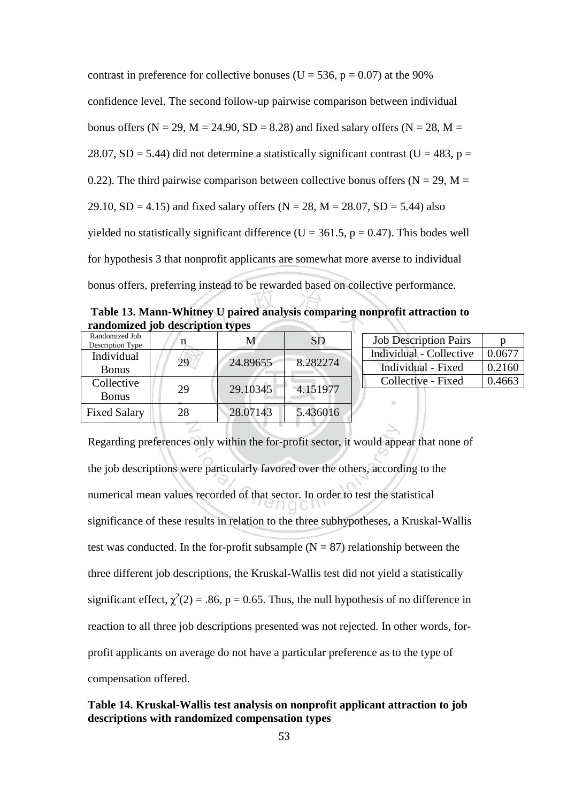contrast in preference for collective bonuses ( $U = 536$ ,  $p = 0.07$ ) at the 90% confidence level. The second follow-up pairwise comparison between individual bonus offers ( $N = 29$ ,  $M = 24.90$ ,  $SD = 8.28$ ) and fixed salary offers ( $N = 28$ ,  $M =$ 28.07, SD = 5.44) did not determine a statistically significant contrast (U = 483, p = 0.22). The third pairwise comparison between collective bonus offers ( $N = 29$ ,  $M =$ 29.10, SD = 4.15) and fixed salary offers ( $N = 28$ ,  $M = 28.07$ , SD = 5.44) also yielded no statistically significant difference (U = 361.5,  $p = 0.47$ ). This bodes well for hypothesis 3 that nonprofit applicants are somewhat more averse to individual bonus offers, preferring instead to be rewarded based on collective performance.

**Table 13. Mann-Whitney U paired analysis comparing nonprofit attraction to randomized job description types**

| Randomized Job<br>Description Type |    | Μ        | <b>SD</b> | <b>Job Description Pairs</b> |        |
|------------------------------------|----|----------|-----------|------------------------------|--------|
| Individual                         |    |          |           | Individual - Collective      | 0.0677 |
| <b>Bonus</b>                       | 29 | 24.89655 | 8.282274  | Individual - Fixed           | 0.2160 |
| Collective                         |    |          |           | Collective - Fixed           | 0.4663 |
| <b>Bonus</b>                       | 29 | 29.10345 | 4.151977  | 珊                            |        |
| <b>Fixed Salary</b>                | 28 | 28.07143 | 5.436016  |                              |        |

Regarding preferences only within the for-profit sector, it would appear that none of the job descriptions were particularly favored over the others, according to the numerical mean values recorded of that sector. In order to test the statistical significance of these results in relation to the three subhypotheses, a Kruskal-Wallis test was conducted. In the for-profit subsample  $(N = 87)$  relationship between the three different job descriptions, the Kruskal-Wallis test did not yield a statistically significant effect,  $\chi^2(2) = .86$ , p = 0.65. Thus, the null hypothesis of no difference in reaction to all three job descriptions presented was not rejected. In other words, forprofit applicants on average do not have a particular preference as to the type of compensation offered.

# **Table 14. Kruskal-Wallis test analysis on nonprofit applicant attraction to job descriptions with randomized compensation types**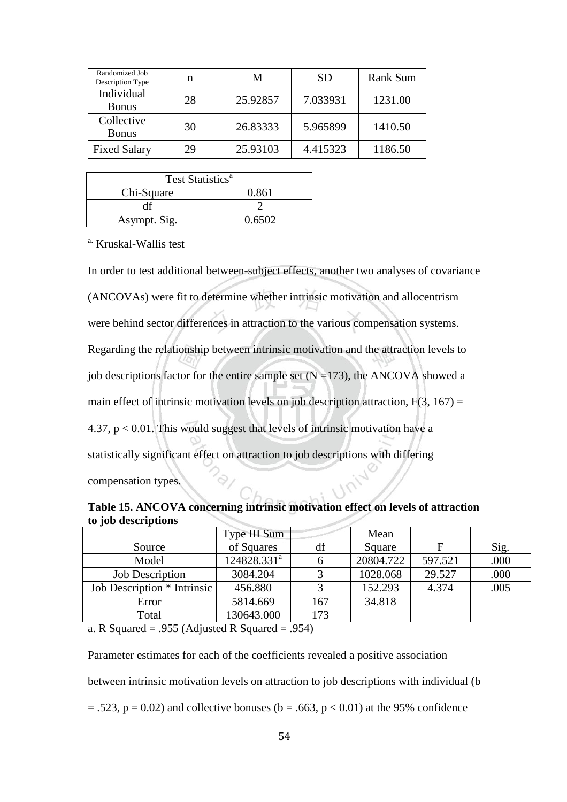| Randomized Job<br>Description Type | n  | М        | <b>SD</b> | <b>Rank Sum</b> |
|------------------------------------|----|----------|-----------|-----------------|
| Individual<br><b>Bonus</b>         | 28 | 25.92857 | 7.033931  | 1231.00         |
| Collective<br><b>Bonus</b>         | 30 | 26.83333 | 5.965899  | 1410.50         |
| <b>Fixed Salary</b>                | 29 | 25.93103 | 4.415323  | 1186.50         |

| Test Statistics <sup>a</sup> |        |  |  |  |  |  |
|------------------------------|--------|--|--|--|--|--|
| Chi-Square                   | 0.861  |  |  |  |  |  |
|                              |        |  |  |  |  |  |
| Asympt. Sig.                 | 0.6502 |  |  |  |  |  |

a. Kruskal-Wallis test

In order to test additional between-subject effects, another two analyses of covariance (ANCOVAs) were fit to determine whether intrinsic motivation and allocentrism were behind sector differences in attraction to the various compensation systems. Regarding the relationship between intrinsic motivation and the attraction levels to job descriptions factor for the entire sample set  $(N = 173)$ , the ANCOVA showed a main effect of intrinsic motivation levels on job description attraction,  $F(3, 167) =$ 4.37, p < 0.01. This would suggest that levels of intrinsic motivation have a statistically significant effect on attraction to job descriptions with differing compensation types.

**Table 15. ANCOVA concerning intrinsic motivation effect on levels of attraction to job descriptions**

|                             | Type III Sum   |     | Mean      |         |      |
|-----------------------------|----------------|-----|-----------|---------|------|
| Source                      | of Squares     | df  | Square    | F       | Sig. |
| Model                       | $124828.331^a$ |     | 20804.722 | 597.521 | .000 |
| <b>Job Description</b>      | 3084.204       |     | 1028.068  | 29.527  | .000 |
| Job Description * Intrinsic | 456.880        |     | 152.293   | 4.374   | .005 |
| Error                       | 5814.669       | 167 | 34.818    |         |      |
| Total                       | 130643.000     | 173 |           |         |      |

a. R Squared = .955 (Adjusted R Squared = .954)

Parameter estimates for each of the coefficients revealed a positive association

between intrinsic motivation levels on attraction to job descriptions with individual (b

 $= .523$ ,  $p = 0.02$ ) and collective bonuses (b = .663, p < 0.01) at the 95% confidence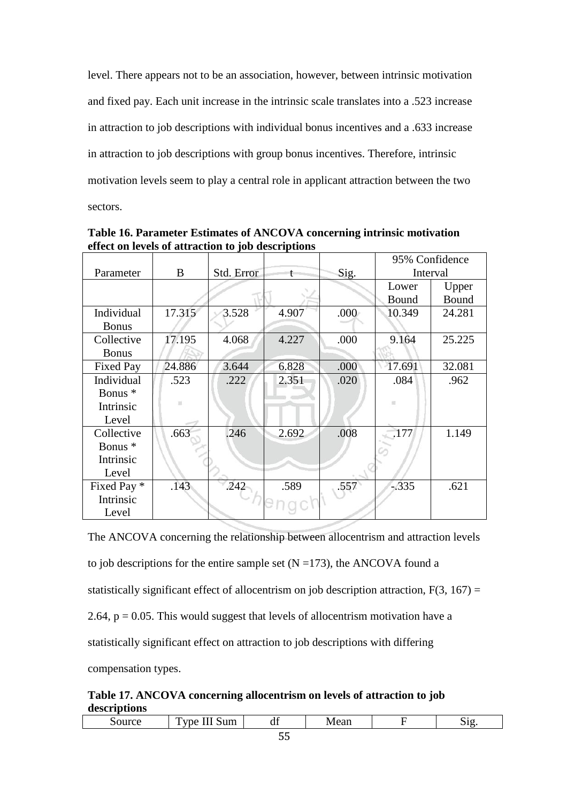level. There appears not to be an association, however, between intrinsic motivation and fixed pay. Each unit increase in the intrinsic scale translates into a .523 increase in attraction to job descriptions with individual bonus incentives and a .633 increase in attraction to job descriptions with group bonus incentives. Therefore, intrinsic motivation levels seem to play a central role in applicant attraction between the two sectors.

|                  |        |            |       |      | 95% Confidence |        |
|------------------|--------|------------|-------|------|----------------|--------|
| Parameter        | B      | Std. Error | t     | Sig. | Interval       |        |
|                  |        |            |       |      | Lower          | Upper  |
|                  |        |            |       |      | Bound          | Bound  |
| Individual       | 17.315 | 3.528      | 4.907 | .000 | 10.349         | 24.281 |
| <b>Bonus</b>     |        |            |       |      |                |        |
| Collective       | 17.195 | 4.068      | 4.227 | .000 | 9.164          | 25.225 |
| <b>Bonus</b>     |        |            |       |      |                |        |
| <b>Fixed Pay</b> | 24.886 | 3.644      | 6.828 | .000 | 17.691         | 32.081 |
| Individual       | .523   | .222       | 2.351 | .020 | .084           | .962   |
| Bonus *          |        |            |       |      |                |        |
| Intrinsic        |        |            |       |      | 短              |        |
| Level            |        |            |       |      |                |        |
| Collective       | .663   | .246       | 2.692 | .008 | 177            | 1.149  |
| Bonus *          |        |            |       |      |                |        |
| Intrinsic        |        |            |       |      |                |        |
| Level            |        |            |       |      |                |        |
| Fixed Pay *      | .143   | .242       | .589  | .557 | $-335$         | .621   |
| Intrinsic        |        |            |       |      |                |        |
| Level            |        |            |       |      |                |        |

**Table 16. Parameter Estimates of ANCOVA concerning intrinsic motivation effect on levels of attraction to job descriptions**

The ANCOVA concerning the relationship between allocentrism and attraction levels to job descriptions for the entire sample set  $(N = 173)$ , the ANCOVA found a statistically significant effect of allocentrism on job description attraction,  $F(3, 167) =$ 2.64,  $p = 0.05$ . This would suggest that levels of allocentrism motivation have a statistically significant effect on attraction to job descriptions with differing compensation types.

**Table 17. ANCOVA concerning allocentrism on levels of attraction to job descriptions**

|     | ---<br>m<br>$\lim$<br><b>THE</b><br>, ne<br>ຼ<br>.<br>-- | $\sqrt{2}$<br>df | Mean |  | $\Omega$ |  |  |
|-----|----------------------------------------------------------|------------------|------|--|----------|--|--|
| $-$ |                                                          |                  |      |  |          |  |  |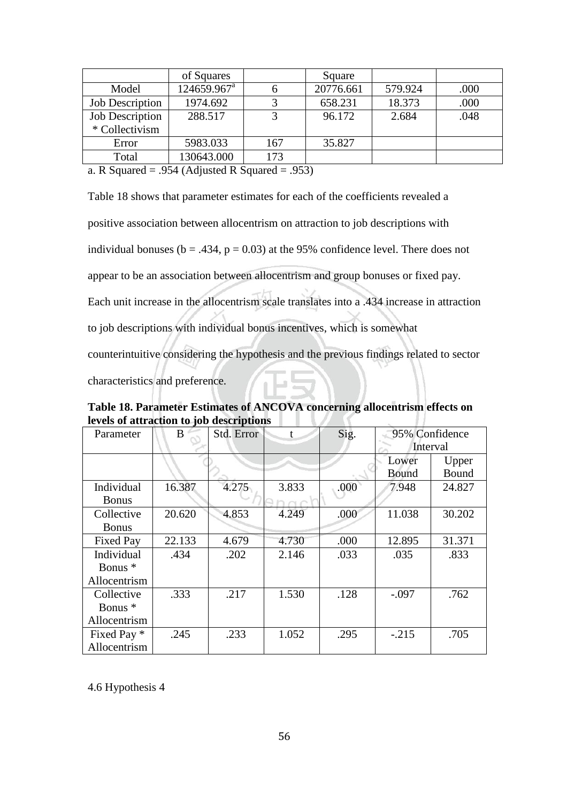|                        | of Squares              |     | Square    |         |      |
|------------------------|-------------------------|-----|-----------|---------|------|
| Model                  | 124659.967 <sup>a</sup> |     | 20776.661 | 579.924 | .000 |
| <b>Job Description</b> | 1974.692                |     | 658.231   | 18.373  | .000 |
| <b>Job Description</b> | 288.517                 |     | 96.172    | 2.684   | .048 |
| * Collectivism         |                         |     |           |         |      |
| Error                  | 5983.033                | 167 | 35.827    |         |      |
| Total                  | 130643.000              | 173 |           |         |      |

a. R Squared = .954 (Adjusted R Squared = .953)

Table 18 shows that parameter estimates for each of the coefficients revealed a positive association between allocentrism on attraction to job descriptions with individual bonuses ( $b = .434$ ,  $p = 0.03$ ) at the 95% confidence level. There does not appear to be an association between allocentrism and group bonuses or fixed pay. Each unit increase in the allocentrism scale translates into a .434 increase in attraction to job descriptions with individual bonus incentives, which is somewhat counterintuitive considering the hypothesis and the previous findings related to sector characteristics and preference.

**Table 18. Parameter Estimates of ANCOVA concerning allocentrism effects on levels of attraction to job descriptions** LZZ K

| Parameter    | Std. Error<br>B |       | t     | Sig. | 95% Confidence |        |
|--------------|-----------------|-------|-------|------|----------------|--------|
|              |                 |       |       |      | Interval       |        |
|              |                 |       |       |      | Lower          | Upper  |
|              |                 |       |       |      | <b>Bound</b>   | Bound  |
| Individual   | 16.387          | 4.275 | 3.833 | .000 | 7.948          | 24.827 |
| <b>Bonus</b> |                 |       |       |      |                |        |
| Collective   | 20.620          | 4.853 | 4.249 | .000 | 11.038         | 30.202 |
| <b>Bonus</b> |                 |       |       |      |                |        |
| Fixed Pay    | 22.133          | 4.679 | 4.730 | .000 | 12.895         | 31.371 |
| Individual   | .434            | .202  | 2.146 | .033 | .035           | .833   |
| Bonus *      |                 |       |       |      |                |        |
| Allocentrism |                 |       |       |      |                |        |
| Collective   | .333            | .217  | 1.530 | .128 | $-.097$        | .762   |
| Bonus *      |                 |       |       |      |                |        |
| Allocentrism |                 |       |       |      |                |        |
| Fixed Pay *  | .245            | .233  | 1.052 | .295 | $-.215$        | .705   |
| Allocentrism |                 |       |       |      |                |        |

4.6 Hypothesis 4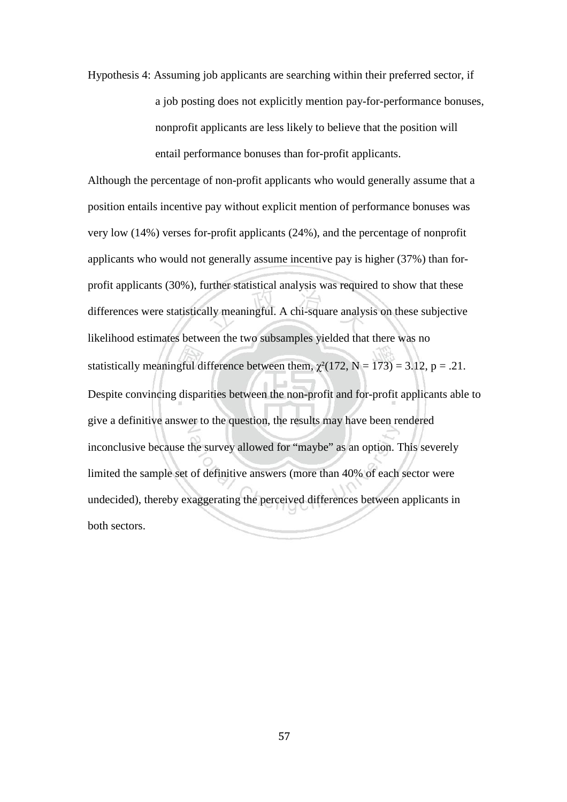Hypothesis 4: Assuming job applicants are searching within their preferred sector, if a job posting does not explicitly mention pay-for-performance bonuses, nonprofit applicants are less likely to believe that the position will entail performance bonuses than for-profit applicants.

Although the percentage of non-profit applicants who would generally assume that a position entails incentive pay without explicit mention of performance bonuses was very low (14%) verses for-profit applicants (24%), and the percentage of nonprofit applicants who would not generally assume incentive pay is higher (37%) than forprofit applicants (30%), further statistical analysis was required to show that these differences were statistically meaningful. A chi-square analysis on these subjective likelihood estimates between the two subsamples yielded that there was no statistically meaningful difference between them,  $\chi^2(172, N = 173) = 3.12$ , p = .21. Despite convincing disparities between the non-profit and for-profit applicants able to give a definitive answer to the question, the results may have been rendered inconclusive because the survey allowed for "maybe" as an option. This severely limited the sample set of definitive answers (more than 40% of each sector were undecided), thereby exaggerating the perceived differences between applicants in both sectors.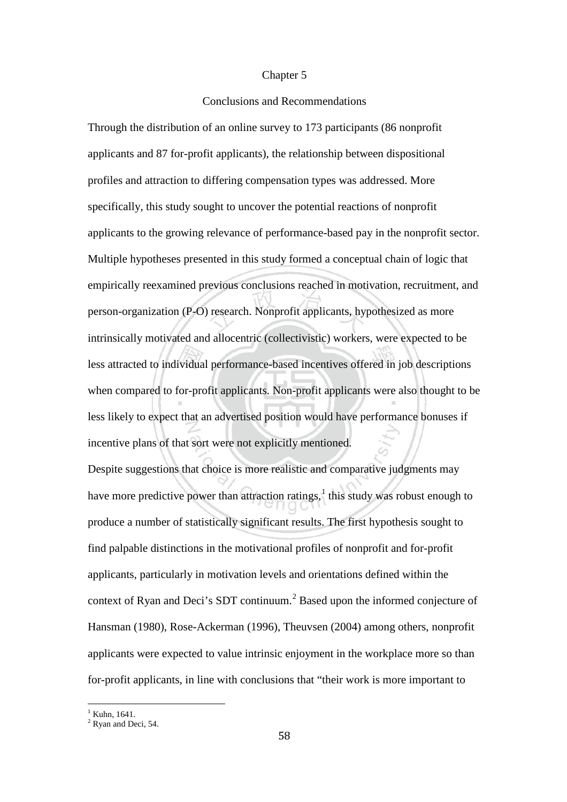#### Chapter 5

### Conclusions and Recommendations

Through the distribution of an online survey to 173 participants (86 nonprofit applicants and 87 for-profit applicants), the relationship between dispositional profiles and attraction to differing compensation types was addressed. More specifically, this study sought to uncover the potential reactions of nonprofit applicants to the growing relevance of performance-based pay in the nonprofit sector. Multiple hypotheses presented in this study formed a conceptual chain of logic that empirically reexamined previous conclusions reached in motivation, recruitment, and person-organization (P-O) research. Nonprofit applicants, hypothesized as more intrinsically motivated and allocentric (collectivistic) workers, were expected to be less attracted to individual performance-based incentives offered in job descriptions when compared to for-profit applicants. Non-profit applicants were also thought to be less likely to expect that an advertised position would have performance bonuses if incentive plans of that sort were not explicitly mentioned.

Despite suggestions that choice is more realistic and comparative judgments may have more predictive power than attraction ratings, $\frac{1}{1}$  $\frac{1}{1}$  $\frac{1}{1}$  this study was robust enough to produce a number of statistically significant results. The first hypothesis sought to find palpable distinctions in the motivational profiles of nonprofit and for-profit applicants, particularly in motivation levels and orientations defined within the context of Ryan and Deci's SDT continuum.<sup>[2](#page-62-1)</sup> Based upon the informed conjecture of Hansman (1980), Rose-Ackerman (1996), Theuvsen (2004) among others, nonprofit applicants were expected to value intrinsic enjoyment in the workplace more so than for-profit applicants, in line with conclusions that "their work is more important to

<span id="page-62-0"></span> $1$  Kuhn, 1641.

<span id="page-62-1"></span><sup>&</sup>lt;sup>2</sup> Ryan and Deci, 54.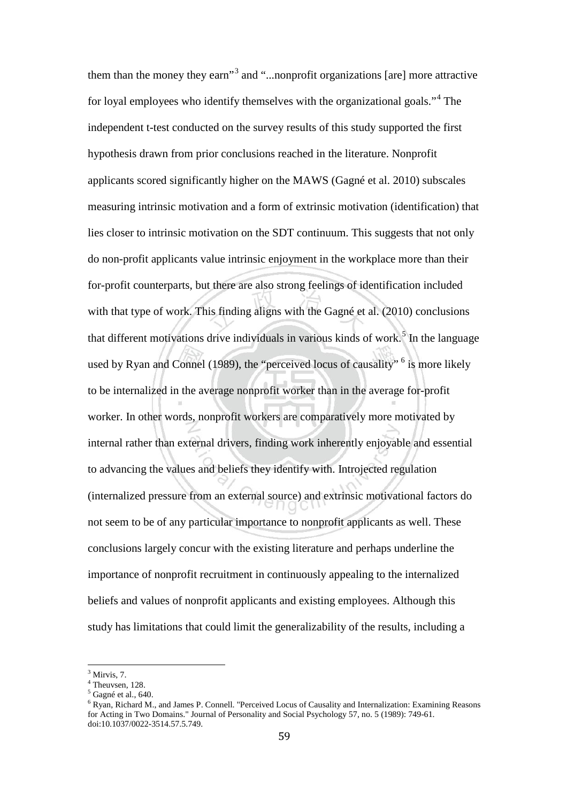them than the money they earn<sup>[3](#page-63-0)</sup> and "...nonprofit organizations [are] more attractive for loyal employees who identify themselves with the organizational goals."[4](#page-63-1) The independent t-test conducted on the survey results of this study supported the first hypothesis drawn from prior conclusions reached in the literature. Nonprofit applicants scored significantly higher on the MAWS (Gagné et al. 2010) subscales measuring intrinsic motivation and a form of extrinsic motivation (identification) that lies closer to intrinsic motivation on the SDT continuum. This suggests that not only do non-profit applicants value intrinsic enjoyment in the workplace more than their for-profit counterparts, but there are also strong feelings of identification included with that type of work. This finding aligns with the Gagné et al. (2010) conclusions that different motivations drive individuals in various kinds of work.<sup>[5](#page-63-2)</sup> In the language used by Ryan and Connel (1989), the "perceived locus of causality"  $6$  is more likely to be internalized in the average nonprofit worker than in the average for-profit worker. In other words, nonprofit workers are comparatively more motivated by internal rather than external drivers, finding work inherently enjoyable and essential to advancing the values and beliefs they identify with. Introjected regulation (internalized pressure from an external source) and extrinsic motivational factors do not seem to be of any particular importance to nonprofit applicants as well. These conclusions largely concur with the existing literature and perhaps underline the importance of nonprofit recruitment in continuously appealing to the internalized beliefs and values of nonprofit applicants and existing employees. Although this study has limitations that could limit the generalizability of the results, including a

 $3$  Mirvis, 7.

<span id="page-63-2"></span><span id="page-63-1"></span><span id="page-63-0"></span><sup>4</sup> Theuvsen, 128.

 $<sup>5</sup>$  Gagné et al., 640.</sup>

<span id="page-63-3"></span><sup>6</sup> Ryan, Richard M., and James P. Connell. "Perceived Locus of Causality and Internalization: Examining Reasons for Acting in Two Domains." Journal of Personality and Social Psychology 57, no. 5 (1989): 749-61. doi:10.1037/0022-3514.57.5.749.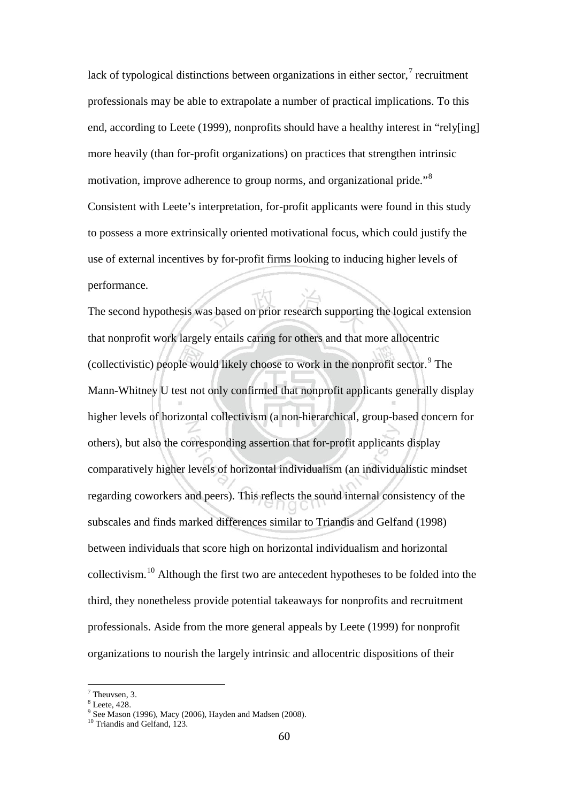lack of typological distinctions between organizations in either sector, $\frac{7}{1}$  $\frac{7}{1}$  $\frac{7}{1}$  recruitment professionals may be able to extrapolate a number of practical implications. To this end, according to Leete (1999), nonprofits should have a healthy interest in "rely[ing] more heavily (than for-profit organizations) on practices that strengthen intrinsic motivation, improve adherence to group norms, and organizational pride."[8](#page-64-1) Consistent with Leete's interpretation, for-profit applicants were found in this study to possess a more extrinsically oriented motivational focus, which could justify the use of external incentives by for-profit firms looking to inducing higher levels of performance.

The second hypothesis was based on prior research supporting the logical extension that nonprofit work largely entails caring for others and that more allocentric (collectivistic) people would likely choose to work in the nonprofit sector.<sup>[9](#page-64-2)</sup> The Mann-Whitney U test not only confirmed that nonprofit applicants generally display higher levels of horizontal collectivism (a non-hierarchical, group-based concern for others), but also the corresponding assertion that for-profit applicants display comparatively higher levels of horizontal individualism (an individualistic mindset regarding coworkers and peers). This reflects the sound internal consistency of the subscales and finds marked differences similar to Triandis and Gelfand (1998) between individuals that score high on horizontal individualism and horizontal collectivism.[10](#page-64-3) Although the first two are antecedent hypotheses to be folded into the third, they nonetheless provide potential takeaways for nonprofits and recruitment professionals. Aside from the more general appeals by Leete (1999) for nonprofit organizations to nourish the largely intrinsic and allocentric dispositions of their

Theuvsen, 3.

<span id="page-64-2"></span><span id="page-64-1"></span><span id="page-64-0"></span><sup>8</sup> Leete, 428.

 $9^9$  See Mason (1996), Macy (2006), Hayden and Madsen (2008).

<span id="page-64-3"></span><sup>&</sup>lt;sup>10</sup> Triandis and Gelfand, 123.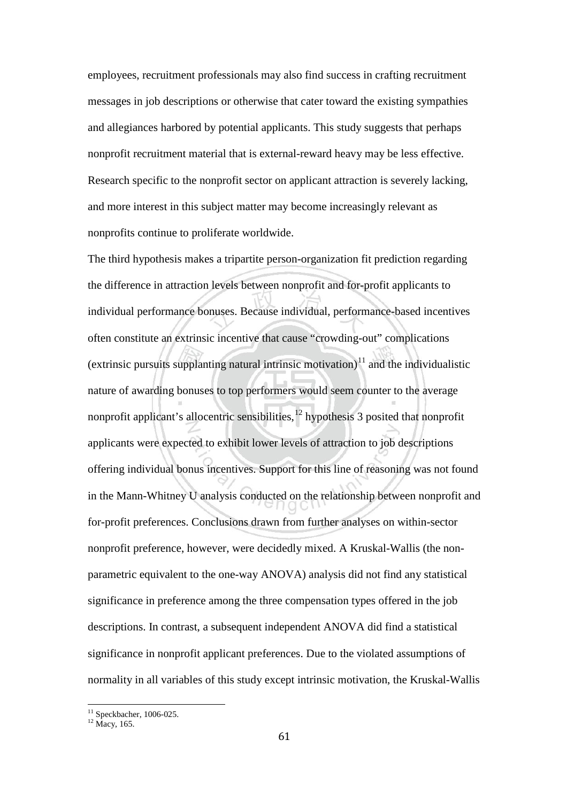employees, recruitment professionals may also find success in crafting recruitment messages in job descriptions or otherwise that cater toward the existing sympathies and allegiances harbored by potential applicants. This study suggests that perhaps nonprofit recruitment material that is external-reward heavy may be less effective. Research specific to the nonprofit sector on applicant attraction is severely lacking, and more interest in this subject matter may become increasingly relevant as nonprofits continue to proliferate worldwide.

The third hypothesis makes a tripartite person-organization fit prediction regarding the difference in attraction levels between nonprofit and for-profit applicants to individual performance bonuses. Because individual, performance-based incentives often constitute an extrinsic incentive that cause "crowding-out" complications (extrinsic pursuits supplanting natural intrinsic motivation) $11$  and the individualistic nature of awarding bonuses to top performers would seem counter to the average nonprofit applicant's allocentric sensibilities, $12$  hypothesis 3 posited that nonprofit applicants were expected to exhibit lower levels of attraction to job descriptions offering individual bonus incentives. Support for this line of reasoning was not found in the Mann-Whitney U analysis conducted on the relationship between nonprofit and for-profit preferences. Conclusions drawn from further analyses on within-sector nonprofit preference, however, were decidedly mixed. A Kruskal-Wallis (the nonparametric equivalent to the one-way ANOVA) analysis did not find any statistical significance in preference among the three compensation types offered in the job descriptions. In contrast, a subsequent independent ANOVA did find a statistical significance in nonprofit applicant preferences. Due to the violated assumptions of normality in all variables of this study except intrinsic motivation, the Kruskal-Wallis

<span id="page-65-1"></span><span id="page-65-0"></span> $^{11}_{12}$  Speckbacher, 1006-025.<br> $^{12}$  Macy, 165.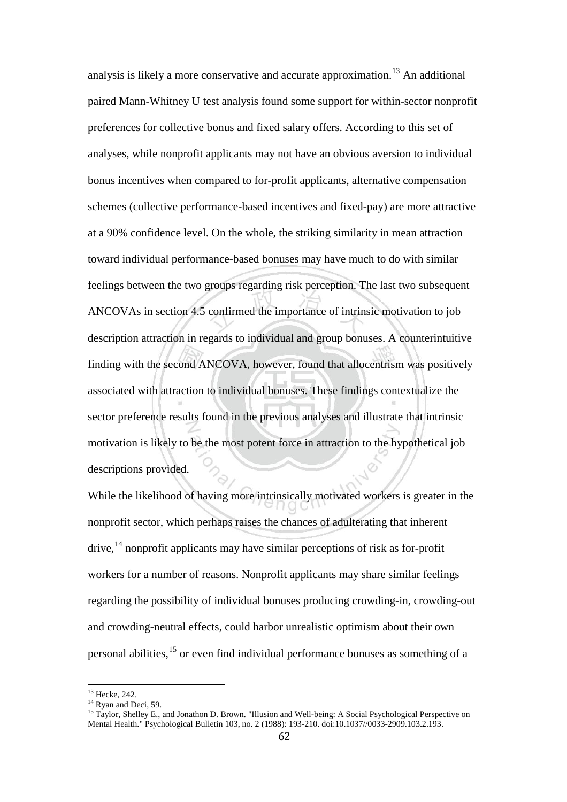analysis is likely a more conservative and accurate approximation.<sup>[13](#page-66-0)</sup> An additional paired Mann-Whitney U test analysis found some support for within-sector nonprofit preferences for collective bonus and fixed salary offers. According to this set of analyses, while nonprofit applicants may not have an obvious aversion to individual bonus incentives when compared to for-profit applicants, alternative compensation schemes (collective performance-based incentives and fixed-pay) are more attractive at a 90% confidence level. On the whole, the striking similarity in mean attraction toward individual performance-based bonuses may have much to do with similar feelings between the two groups regarding risk perception. The last two subsequent ANCOVAs in section 4.5 confirmed the importance of intrinsic motivation to job description attraction in regards to individual and group bonuses. A counterintuitive finding with the second ANCOVA, however, found that allocentrism was positively associated with attraction to individual bonuses. These findings contextualize the sector preference results found in the previous analyses and illustrate that intrinsic motivation is likely to be the most potent force in attraction to the hypothetical job descriptions provided.

While the likelihood of having more intrinsically motivated workers is greater in the nonprofit sector, which perhaps raises the chances of adulterating that inherent  $\text{drive}$ ,  $\frac{14}{4}$  $\frac{14}{4}$  $\frac{14}{4}$  nonprofit applicants may have similar perceptions of risk as for-profit workers for a number of reasons. Nonprofit applicants may share similar feelings regarding the possibility of individual bonuses producing crowding-in, crowding-out and crowding-neutral effects, could harbor unrealistic optimism about their own personal abilities,[15](#page-66-2) or even find individual performance bonuses as something of a

<span id="page-66-2"></span><span id="page-66-1"></span>

<span id="page-66-0"></span><sup>&</sup>lt;sup>13</sup> Hecke, 242.<br><sup>14</sup> Ryan and Deci, 59.<br><sup>15</sup> Taylor, Shelley E., and Jonathon D. Brown. "Illusion and Well-being: A Social Psychological Perspective on Mental Health." Psychological Bulletin 103, no. 2 (1988): 193-210. doi:10.1037//0033-2909.103.2.193.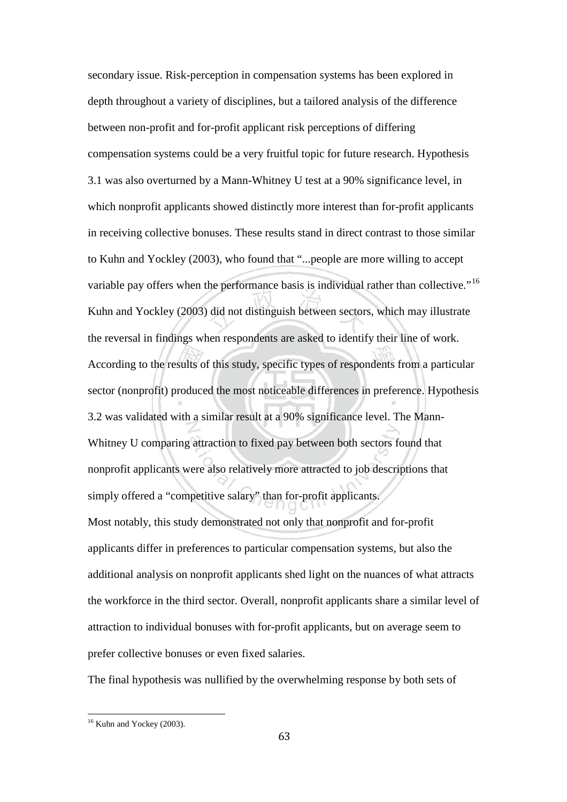secondary issue. Risk-perception in compensation systems has been explored in depth throughout a variety of disciplines, but a tailored analysis of the difference between non-profit and for-profit applicant risk perceptions of differing compensation systems could be a very fruitful topic for future research. Hypothesis 3.1 was also overturned by a Mann-Whitney U test at a 90% significance level, in which nonprofit applicants showed distinctly more interest than for-profit applicants in receiving collective bonuses. These results stand in direct contrast to those similar to Kuhn and Yockley (2003), who found that "...people are more willing to accept variable pay offers when the performance basis is individual rather than collective."<sup>[16](#page-67-0)</sup> Kuhn and Yockley (2003) did not distinguish between sectors, which may illustrate the reversal in findings when respondents are asked to identify their line of work. According to the results of this study, specific types of respondents from a particular sector (nonprofit) produced the most noticeable differences in preference. Hypothesis 3.2 was validated with a similar result at a 90% significance level. The Mann-Whitney U comparing attraction to fixed pay between both sectors found that nonprofit applicants were also relatively more attracted to job descriptions that simply offered a "competitive salary" than for-profit applicants. Most notably, this study demonstrated not only that nonprofit and for-profit applicants differ in preferences to particular compensation systems, but also the additional analysis on nonprofit applicants shed light on the nuances of what attracts the workforce in the third sector. Overall, nonprofit applicants share a similar level of attraction to individual bonuses with for-profit applicants, but on average seem to prefer collective bonuses or even fixed salaries.

The final hypothesis was nullified by the overwhelming response by both sets of

<span id="page-67-0"></span><sup>&</sup>lt;sup>16</sup> Kuhn and Yockey (2003).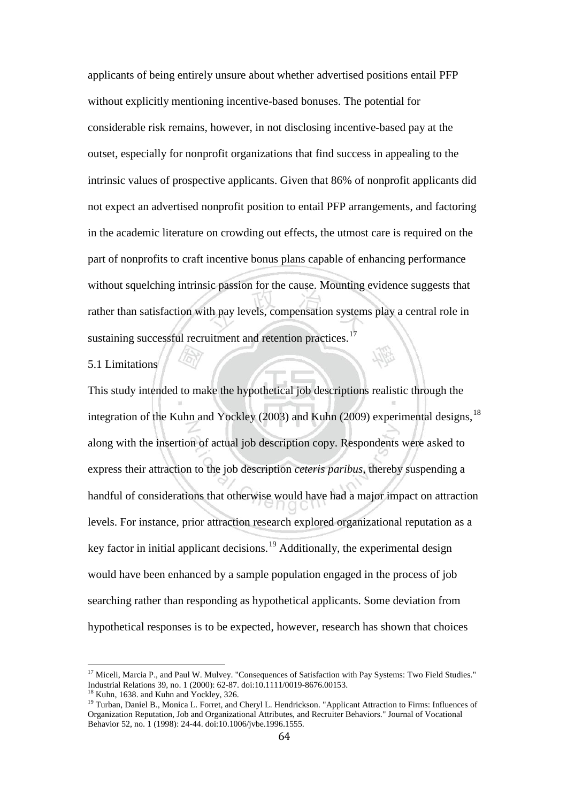applicants of being entirely unsure about whether advertised positions entail PFP without explicitly mentioning incentive-based bonuses. The potential for considerable risk remains, however, in not disclosing incentive-based pay at the outset, especially for nonprofit organizations that find success in appealing to the intrinsic values of prospective applicants. Given that 86% of nonprofit applicants did not expect an advertised nonprofit position to entail PFP arrangements, and factoring in the academic literature on crowding out effects, the utmost care is required on the part of nonprofits to craft incentive bonus plans capable of enhancing performance without squelching intrinsic passion for the cause. Mounting evidence suggests that rather than satisfaction with pay levels, compensation systems play a central role in sustaining successful recruitment and retention practices.<sup>[17](#page-68-0)</sup>

# 5.1 Limitations

This study intended to make the hypothetical job descriptions realistic through the integration of the Kuhn and Yockley (2003) and Kuhn (2009) experimental designs,  $^{18}$  $^{18}$  $^{18}$ along with the insertion of actual job description copy. Respondents were asked to express their attraction to the job description *ceteris paribus*, thereby suspending a handful of considerations that otherwise would have had a major impact on attraction levels. For instance, prior attraction research explored organizational reputation as a key factor in initial applicant decisions.<sup>[19](#page-68-2)</sup> Additionally, the experimental design would have been enhanced by a sample population engaged in the process of job searching rather than responding as hypothetical applicants. Some deviation from hypothetical responses is to be expected, however, research has shown that choices

<span id="page-68-0"></span><sup>&</sup>lt;sup>17</sup> Miceli, Marcia P., and Paul W. Mulvey. "Consequences of Satisfaction with Pay Systems: Two Field Studies." Industrial Relations 39, no. 1 (2000): 62-87. doi:10.1111/0019-8676.00153.

<span id="page-68-2"></span>

<span id="page-68-1"></span><sup>&</sup>lt;sup>18</sup> Kuhn, 1638. and Kuhn and Yockley, 326.<br><sup>19</sup> Turban, Daniel B., Monica L. Forret, and Cheryl L. Hendrickson. "Applicant Attraction to Firms: Influences of Organization Reputation, Job and Organizational Attributes, and Recruiter Behaviors." Journal of Vocational Behavior 52, no. 1 (1998): 24-44. doi:10.1006/jvbe.1996.1555.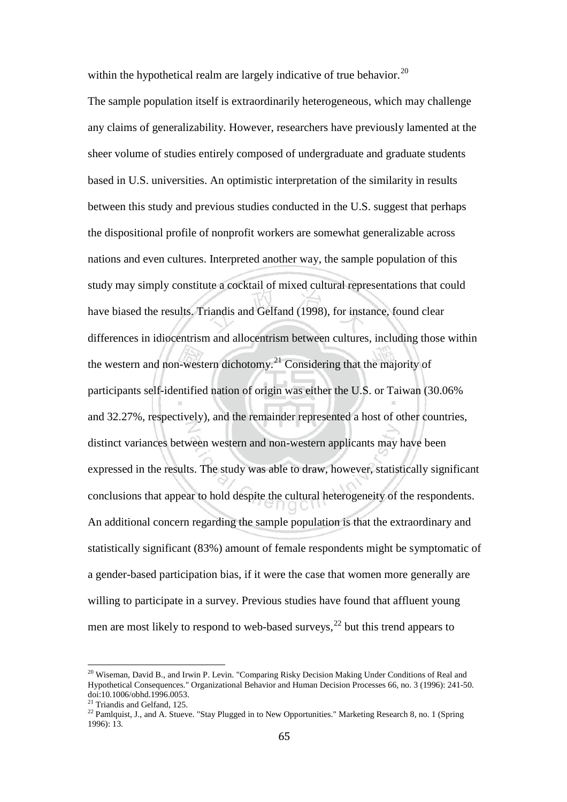within the hypothetical realm are largely indicative of true behavior.<sup>[20](#page-69-0)</sup>

The sample population itself is extraordinarily heterogeneous, which may challenge any claims of generalizability. However, researchers have previously lamented at the sheer volume of studies entirely composed of undergraduate and graduate students based in U.S. universities. An optimistic interpretation of the similarity in results between this study and previous studies conducted in the U.S. suggest that perhaps the dispositional profile of nonprofit workers are somewhat generalizable across nations and even cultures. Interpreted another way, the sample population of this study may simply constitute a cocktail of mixed cultural representations that could have biased the results. Triandis and Gelfand (1998), for instance, found clear differences in idiocentrism and allocentrism between cultures, including those within the western and non-western dichotomy.<sup>[21](#page-69-1)</sup> Considering that the majority of participants self-identified nation of origin was either the U.S. or Taiwan (30.06% and 32.27%, respectively), and the remainder represented a host of other countries, distinct variances between western and non-western applicants may have been expressed in the results. The study was able to draw, however, statistically significant conclusions that appear to hold despite the cultural heterogeneity of the respondents. An additional concern regarding the sample population is that the extraordinary and statistically significant (83%) amount of female respondents might be symptomatic of a gender-based participation bias, if it were the case that women more generally are willing to participate in a survey. Previous studies have found that affluent young men are most likely to respond to web-based surveys, $^{22}$  $^{22}$  $^{22}$  but this trend appears to

<span id="page-69-0"></span><sup>&</sup>lt;sup>20</sup> Wiseman, David B., and Irwin P. Levin. "Comparing Risky Decision Making Under Conditions of Real and Hypothetical Consequences." Organizational Behavior and Human Decision Processes 66, no. 3 (1996): 241-50. doi:10.1006/obhd.1996.0053.<br><sup>21</sup> Triandis and Gelfand, 125.

<span id="page-69-1"></span>

<span id="page-69-2"></span><sup>&</sup>lt;sup>22</sup> Pamlquist, J., and A. Stueve. "Stay Plugged in to New Opportunities." Marketing Research 8, no. 1 (Spring 1996): 13.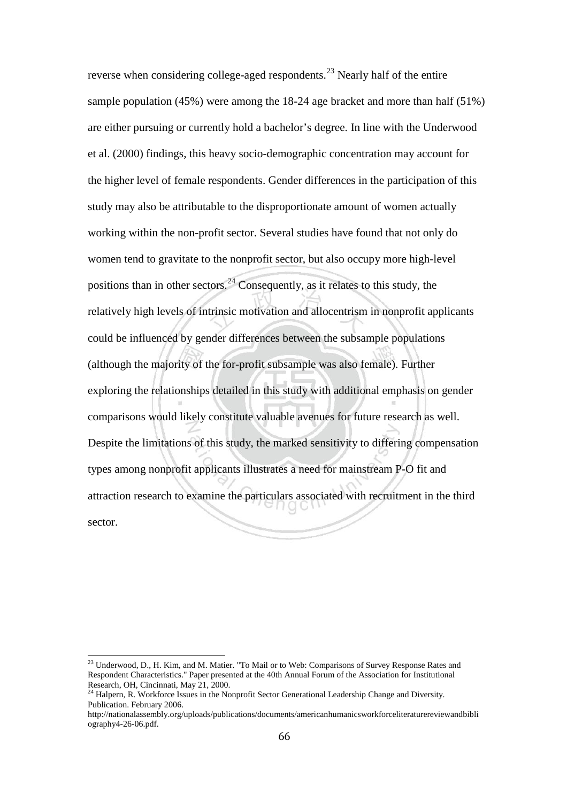reverse when considering college-aged respondents.<sup>[23](#page-70-0)</sup> Nearly half of the entire sample population (45%) were among the 18-24 age bracket and more than half (51%) are either pursuing or currently hold a bachelor's degree. In line with the Underwood et al. (2000) findings, this heavy socio-demographic concentration may account for the higher level of female respondents. Gender differences in the participation of this study may also be attributable to the disproportionate amount of women actually working within the non-profit sector. Several studies have found that not only do women tend to gravitate to the nonprofit sector, but also occupy more high-level positions than in other sectors.<sup>[24](#page-70-1)</sup> Consequently, as it relates to this study, the relatively high levels of intrinsic motivation and allocentrism in nonprofit applicants could be influenced by gender differences between the subsample populations (although the majority of the for-profit subsample was also female). Further exploring the relationships detailed in this study with additional emphasis on gender comparisons would likely constitute valuable avenues for future research as well. Despite the limitations of this study, the marked sensitivity to differing compensation types among nonprofit applicants illustrates a need for mainstream P-O fit and attraction research to examine the particulars associated with recruitment in the third sector.

<span id="page-70-0"></span><sup>&</sup>lt;sup>23</sup> Underwood, D., H. Kim, and M. Matier. "To Mail or to Web: Comparisons of Survey Response Rates and Respondent Characteristics." Paper presented at the 40th Annual Forum of the Association for Institutional Research, OH, Cincinnati, May 21, 2000.

<span id="page-70-1"></span><sup>&</sup>lt;sup>24</sup> Halpern, R. Workforce Issues in the Nonprofit Sector Generational Leadership Change and Diversity. Publication. February 2006.

http://nationalassembly.org/uploads/publications/documents/americanhumanicsworkforceliteraturereviewandbibli ography4-26-06.pdf.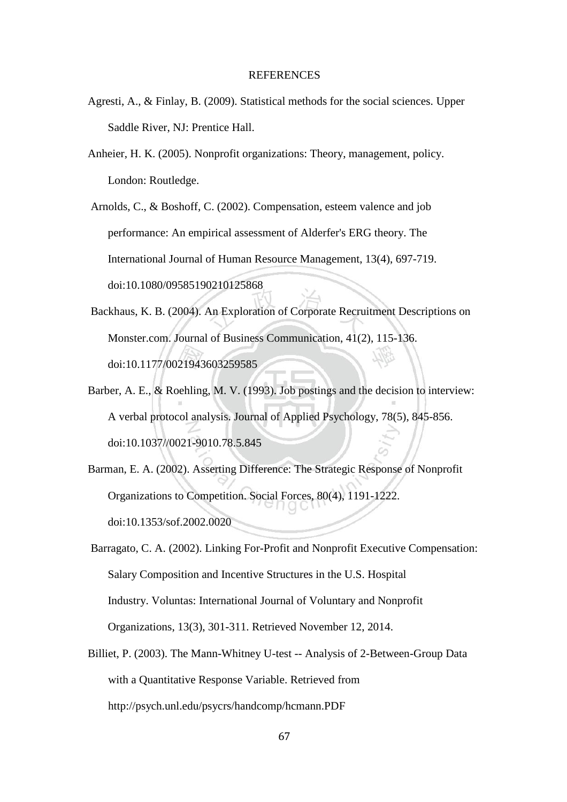#### **REFERENCES**

- Agresti, A., & Finlay, B. (2009). Statistical methods for the social sciences. Upper Saddle River, NJ: Prentice Hall.
- Anheier, H. K. (2005). Nonprofit organizations: Theory, management, policy. London: Routledge.

Arnolds, C., & Boshoff, C. (2002). Compensation, esteem valence and job performance: An empirical assessment of Alderfer's ERG theory. The International Journal of Human Resource Management, 13(4), 697-719. doi:10.1080/09585190210125868

- Backhaus, K. B. (2004). An Exploration of Corporate Recruitment Descriptions on Monster.com. Journal of Business Communication, 41(2), 115-136. doi:10.1177/0021943603259585
- Barber, A. E., & Roehling, M. V. (1993). Job postings and the decision to interview: A verbal protocol analysis. Journal of Applied Psychology, 78(5), 845-856. doi:10.1037//0021-9010.78.5.845
- Barman, E. A. (2002). Asserting Difference: The Strategic Response of Nonprofit Organizations to Competition. Social Forces, 80(4), 1191-1222. doi:10.1353/sof.2002.0020

Barragato, C. A. (2002). Linking For-Profit and Nonprofit Executive Compensation: Salary Composition and Incentive Structures in the U.S. Hospital Industry. Voluntas: International Journal of Voluntary and Nonprofit Organizations, 13(3), 301-311. Retrieved November 12, 2014.

Billiet, P. (2003). The Mann-Whitney U-test -- Analysis of 2-Between-Group Data with a Quantitative Response Variable. Retrieved from http://psych.unl.edu/psycrs/handcomp/hcmann.PDF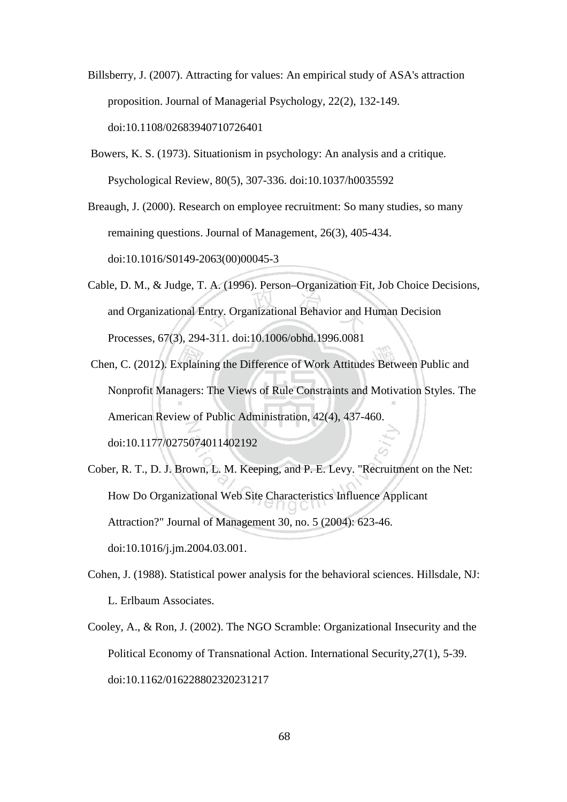- Billsberry, J. (2007). Attracting for values: An empirical study of ASA's attraction proposition. Journal of Managerial Psychology, 22(2), 132-149. doi:10.1108/02683940710726401
- Bowers, K. S. (1973). Situationism in psychology: An analysis and a critique. Psychological Review, 80(5), 307-336. doi:10.1037/h0035592
- Breaugh, J. (2000). Research on employee recruitment: So many studies, so many remaining questions. Journal of Management, 26(3), 405-434. doi:10.1016/S0149-2063(00)00045-3
- Cable, D. M., & Judge, T. A. (1996). Person–Organization Fit, Job Choice Decisions, and Organizational Entry. Organizational Behavior and Human Decision Processes, 67(3), 294-311. doi:10.1006/obhd.1996.0081
- Chen, C. (2012). Explaining the Difference of Work Attitudes Between Public and Nonprofit Managers: The Views of Rule Constraints and Motivation Styles. The American Review of Public Administration, 42(4), 437-460. doi:10.1177/0275074011402192
- Cober, R. T., D. J. Brown, L. M. Keeping, and P. E. Levy. "Recruitment on the Net: How Do Organizational Web Site Characteristics Influence Applicant Attraction?" Journal of Management 30, no. 5 (2004): 623-46. doi:10.1016/j.jm.2004.03.001.
- Cohen, J. (1988). Statistical power analysis for the behavioral sciences. Hillsdale, NJ: L. Erlbaum Associates.
- Cooley, A., & Ron, J. (2002). The NGO Scramble: Organizational Insecurity and the Political Economy of Transnational Action. International Security,27(1), 5-39. doi:10.1162/016228802320231217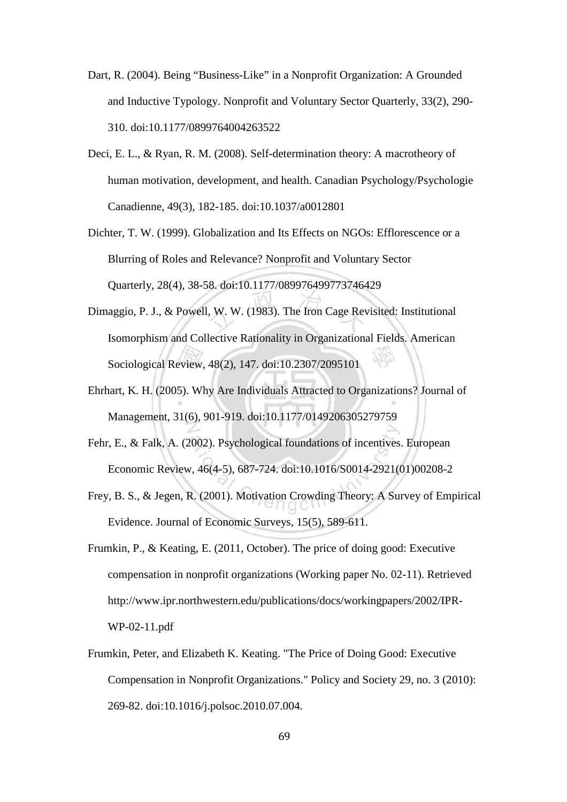- Dart, R. (2004). Being "Business-Like" in a Nonprofit Organization: A Grounded and Inductive Typology. Nonprofit and Voluntary Sector Quarterly, 33(2), 290- 310. doi:10.1177/0899764004263522
- Deci, E. L., & Ryan, R. M. (2008). Self-determination theory: A macrotheory of human motivation, development, and health. Canadian Psychology/Psychologie Canadienne, 49(3), 182-185. doi:10.1037/a0012801
- Dichter, T. W. (1999). Globalization and Its Effects on NGOs: Efflorescence or a Blurring of Roles and Relevance? Nonprofit and Voluntary Sector Quarterly, 28(4), 38-58. doi:10.1177/089976499773746429
- Dimaggio, P. J., & Powell, W. W. (1983). The Iron Cage Revisited: Institutional Isomorphism and Collective Rationality in Organizational Fields. American Sociological Review, 48(2), 147. doi:10.2307/2095101
- Ehrhart, K. H. (2005). Why Are Individuals Attracted to Organizations? Journal of Management, 31(6), 901-919. doi:10.1177/0149206305279759
- Fehr, E., & Falk, A. (2002). Psychological foundations of incentives. European Economic Review, 46(4-5), 687-724. doi:10.1016/S0014-2921(01)00208-2
- Frey, B. S., & Jegen, R. (2001). Motivation Crowding Theory: A Survey of Empirical Evidence. Journal of Economic Surveys, 15(5), 589-611.
- Frumkin, P., & Keating, E. (2011, October). The price of doing good: Executive compensation in nonprofit organizations (Working paper No. 02-11). Retrieved http://www.ipr.northwestern.edu/publications/docs/workingpapers/2002/IPR-WP-02-11.pdf
- Frumkin, Peter, and Elizabeth K. Keating. "The Price of Doing Good: Executive Compensation in Nonprofit Organizations." Policy and Society 29, no. 3 (2010): 269-82. doi:10.1016/j.polsoc.2010.07.004.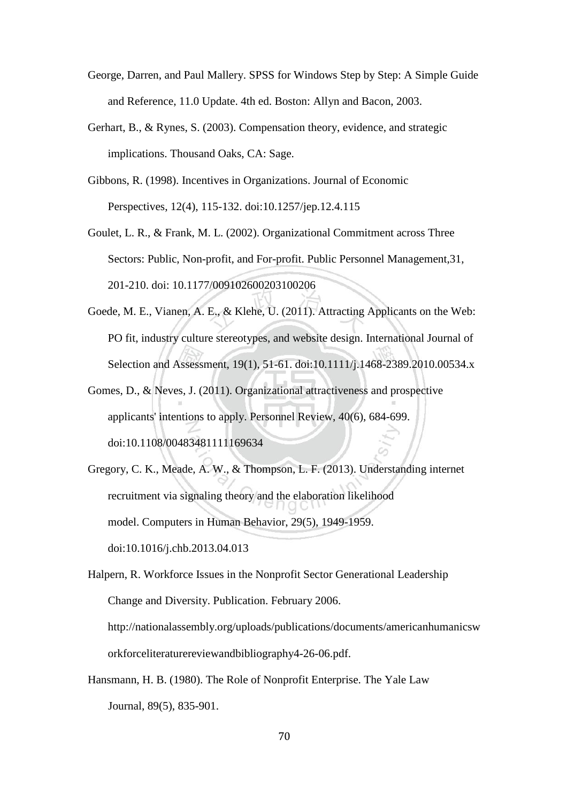- George, Darren, and Paul Mallery. SPSS for Windows Step by Step: A Simple Guide and Reference, 11.0 Update. 4th ed. Boston: Allyn and Bacon, 2003.
- Gerhart, B., & Rynes, S. (2003). Compensation theory, evidence, and strategic implications. Thousand Oaks, CA: Sage.
- Gibbons, R. (1998). Incentives in Organizations. Journal of Economic Perspectives, 12(4), 115-132. doi:10.1257/jep.12.4.115
- Goulet, L. R., & Frank, M. L. (2002). Organizational Commitment across Three Sectors: Public, Non-profit, and For-profit. Public Personnel Management,31, 201-210. doi: 10.1177/009102600203100206
- Goede, M. E., Vianen, A. E., & Klehe, U. (2011). Attracting Applicants on the Web: PO fit, industry culture stereotypes, and website design. International Journal of Selection and Assessment, 19(1), 51-61. doi:10.1111/j.1468-2389.2010.00534.x
- Gomes, D., & Neves, J. (2011). Organizational attractiveness and prospective applicants' intentions to apply. Personnel Review, 40(6), 684-699. doi:10.1108/00483481111169634
- Gregory, C. K., Meade, A. W., & Thompson, L. F. (2013). Understanding internet recruitment via signaling theory and the elaboration likelihood model. Computers in Human Behavior, 29(5), 1949-1959. doi:10.1016/j.chb.2013.04.013
- Halpern, R. Workforce Issues in the Nonprofit Sector Generational Leadership Change and Diversity. Publication. February 2006. http://nationalassembly.org/uploads/publications/documents/americanhumanicsw orkforceliteraturereviewandbibliography4-26-06.pdf.
- Hansmann, H. B. (1980). The Role of Nonprofit Enterprise. The Yale Law Journal, 89(5), 835-901.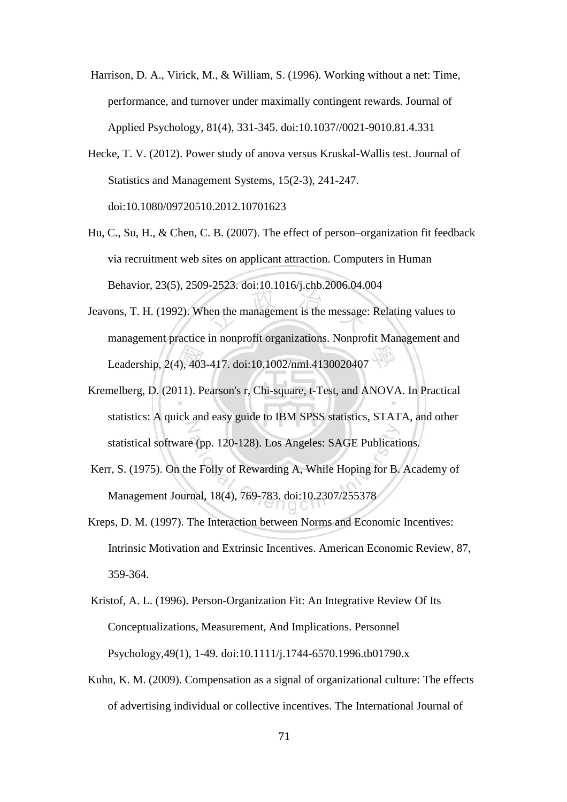- Harrison, D. A., Virick, M., & William, S. (1996). Working without a net: Time, performance, and turnover under maximally contingent rewards. Journal of Applied Psychology, 81(4), 331-345. doi:10.1037//0021-9010.81.4.331
- Hecke, T. V. (2012). Power study of anova versus Kruskal-Wallis test. Journal of Statistics and Management Systems, 15(2-3), 241-247. doi:10.1080/09720510.2012.10701623
- Hu, C., Su, H., & Chen, C. B. (2007). The effect of person–organization fit feedback via recruitment web sites on applicant attraction. Computers in Human Behavior, 23(5), 2509-2523. doi:10.1016/j.chb.2006.04.004
- Jeavons, T. H. (1992). When the management is the message: Relating values to management practice in nonprofit organizations. Nonprofit Management and Leadership, 2(4), 403-417. doi:10.1002/nml.4130020407
- Kremelberg, D. (2011). Pearson's r, Chi-square, t-Test, and ANOVA. In Practical statistics: A quick and easy guide to IBM SPSS statistics, STATA, and other statistical software (pp. 120-128). Los Angeles: SAGE Publications.
- Kerr, S. (1975). On the Folly of Rewarding A, While Hoping for B. Academy of Management Journal, 18(4), 769-783. doi:10.2307/255378
- Kreps, D. M. (1997). The Interaction between Norms and Economic Incentives: Intrinsic Motivation and Extrinsic Incentives. American Economic Review, 87, 359-364.
- Kristof, A. L. (1996). Person-Organization Fit: An Integrative Review Of Its Conceptualizations, Measurement, And Implications. Personnel Psychology,49(1), 1-49. doi:10.1111/j.1744-6570.1996.tb01790.x
- Kuhn, K. M. (2009). Compensation as a signal of organizational culture: The effects of advertising individual or collective incentives. The International Journal of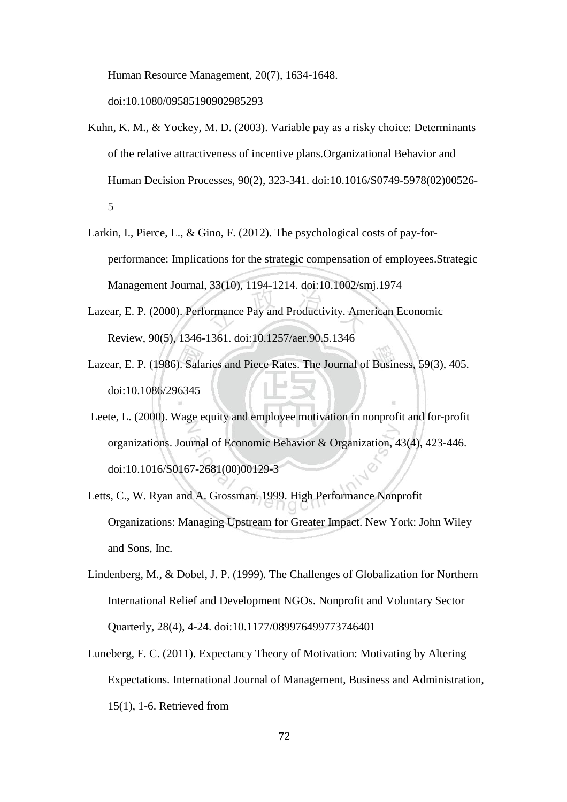Human Resource Management, 20(7), 1634-1648.

doi:10.1080/09585190902985293

- Kuhn, K. M., & Yockey, M. D. (2003). Variable pay as a risky choice: Determinants of the relative attractiveness of incentive plans.Organizational Behavior and Human Decision Processes, 90(2), 323-341. doi:10.1016/S0749-5978(02)00526- 5
- Larkin, I., Pierce, L., & Gino, F. (2012). The psychological costs of pay-forperformance: Implications for the strategic compensation of employees.Strategic Management Journal, 33(10), 1194-1214. doi:10.1002/smj.1974
- Lazear, E. P. (2000). Performance Pay and Productivity. American Economic Review, 90(5), 1346-1361. doi:10.1257/aer.90.5.1346
- Lazear, E. P. (1986). Salaries and Piece Rates. The Journal of Business, 59(3), 405. doi:10.1086/296345
- Leete, L. (2000). Wage equity and employee motivation in nonprofit and for-profit organizations. Journal of Economic Behavior & Organization, 43(4), 423-446. doi:10.1016/S0167-2681(00)00129-3
- Letts, C., W. Ryan and A. Grossman. 1999. High Performance Nonprofit Organizations: Managing Upstream for Greater Impact. New York: John Wiley and Sons, Inc.
- Lindenberg, M., & Dobel, J. P. (1999). The Challenges of Globalization for Northern International Relief and Development NGOs. Nonprofit and Voluntary Sector Quarterly, 28(4), 4-24. doi:10.1177/089976499773746401
- Luneberg, F. C. (2011). Expectancy Theory of Motivation: Motivating by Altering Expectations. International Journal of Management, Business and Administration, 15(1), 1-6. Retrieved from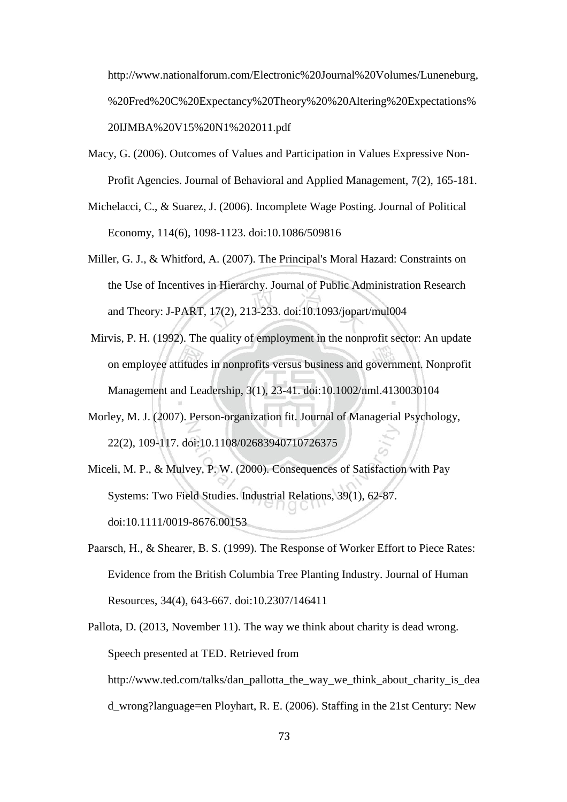http://www.nationalforum.com/Electronic%20Journal%20Volumes/Luneneburg, %20Fred%20C%20Expectancy%20Theory%20%20Altering%20Expectations% 20IJMBA%20V15%20N1%202011.pdf

- Macy, G. (2006). Outcomes of Values and Participation in Values Expressive Non-Profit Agencies. Journal of Behavioral and Applied Management, 7(2), 165-181.
- Michelacci, C., & Suarez, J. (2006). Incomplete Wage Posting. Journal of Political Economy, 114(6), 1098-1123. doi:10.1086/509816
- Miller, G. J., & Whitford, A. (2007). The Principal's Moral Hazard: Constraints on the Use of Incentives in Hierarchy. Journal of Public Administration Research and Theory: J-PART, 17(2), 213-233. doi:10.1093/jopart/mul004
- Mirvis, P. H. (1992). The quality of employment in the nonprofit sector: An update on employee attitudes in nonprofits versus business and government. Nonprofit Management and Leadership, 3(1), 23-41. doi:10.1002/nml.4130030104
- Morley, M. J. (2007). Person-organization fit. Journal of Managerial Psychology, 22(2), 109-117. doi:10.1108/02683940710726375
- Miceli, M. P., & Mulvey, P. W. (2000). Consequences of Satisfaction with Pay Systems: Two Field Studies. Industrial Relations, 39(1), 62-87. doi:10.1111/0019-8676.00153
- Paarsch, H., & Shearer, B. S. (1999). The Response of Worker Effort to Piece Rates: Evidence from the British Columbia Tree Planting Industry. Journal of Human Resources, 34(4), 643-667. doi:10.2307/146411
- Pallota, D. (2013, November 11). The way we think about charity is dead wrong. Speech presented at TED. Retrieved from http://www.ted.com/talks/dan\_pallotta\_the\_way\_we\_think\_about\_charity\_is\_dea d\_wrong?language=en Ployhart, R. E. (2006). Staffing in the 21st Century: New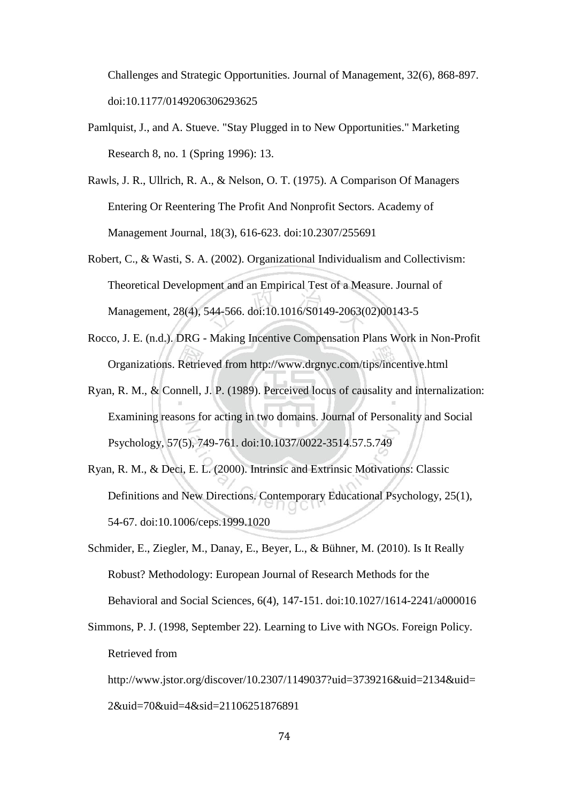Challenges and Strategic Opportunities. Journal of Management, 32(6), 868-897. doi:10.1177/0149206306293625

- Pamlquist, J., and A. Stueve. "Stay Plugged in to New Opportunities." Marketing Research 8, no. 1 (Spring 1996): 13.
- Rawls, J. R., Ullrich, R. A., & Nelson, O. T. (1975). A Comparison Of Managers Entering Or Reentering The Profit And Nonprofit Sectors. Academy of Management Journal, 18(3), 616-623. doi:10.2307/255691
- Robert, C., & Wasti, S. A. (2002). Organizational Individualism and Collectivism: Theoretical Development and an Empirical Test of a Measure. Journal of Management, 28(4), 544-566. doi:10.1016/S0149-2063(02)00143-5
- Rocco, J. E. (n.d.). DRG Making Incentive Compensation Plans Work in Non-Profit Organizations. Retrieved from http://www.drgnyc.com/tips/incentive.html
- Ryan, R. M., & Connell, J. P. (1989). Perceived locus of causality and internalization: Examining reasons for acting in two domains. Journal of Personality and Social Psychology, 57(5), 749-761. doi:10.1037/0022-3514.57.5.749
- Ryan, R. M., & Deci, E. L. (2000). Intrinsic and Extrinsic Motivations: Classic Definitions and New Directions. Contemporary Educational Psychology, 25(1), 54-67. doi:10.1006/ceps.1999.1020
- Schmider, E., Ziegler, M., Danay, E., Beyer, L., & Bühner, M. (2010). Is It Really Robust? Methodology: European Journal of Research Methods for the Behavioral and Social Sciences, 6(4), 147-151. doi:10.1027/1614-2241/a000016
- Simmons, P. J. (1998, September 22). Learning to Live with NGOs. Foreign Policy. Retrieved from

http://www.jstor.org/discover/10.2307/1149037?uid=3739216&uid=2134&uid= 2&uid=70&uid=4&sid=21106251876891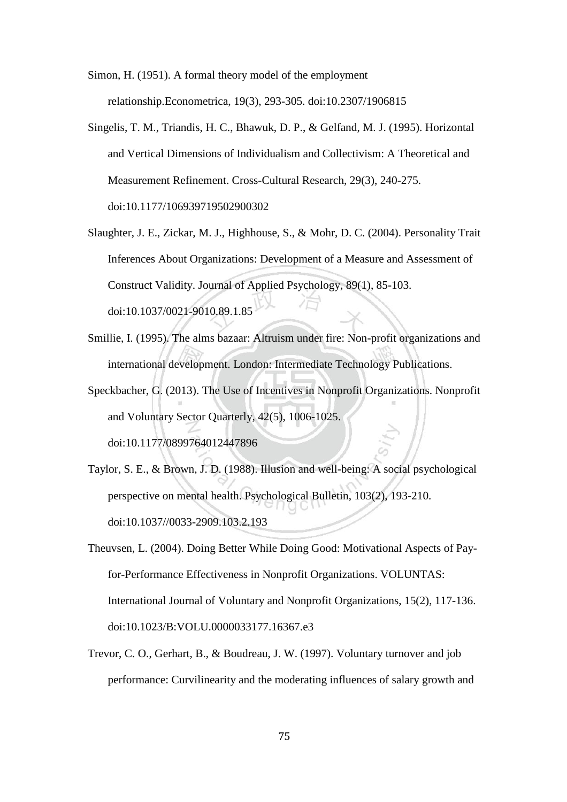Simon, H. (1951). A formal theory model of the employment relationship.Econometrica, 19(3), 293-305. doi:10.2307/1906815

- Singelis, T. M., Triandis, H. C., Bhawuk, D. P., & Gelfand, M. J. (1995). Horizontal and Vertical Dimensions of Individualism and Collectivism: A Theoretical and Measurement Refinement. Cross-Cultural Research, 29(3), 240-275. doi:10.1177/106939719502900302
- Slaughter, J. E., Zickar, M. J., Highhouse, S., & Mohr, D. C. (2004). Personality Trait Inferences About Organizations: Development of a Measure and Assessment of Construct Validity. Journal of Applied Psychology, 89(1), 85-103. doi:10.1037/0021-9010.89.1.85
- Smillie, I. (1995). The alms bazaar: Altruism under fire: Non-profit organizations and international development. London: Intermediate Technology Publications.
- Speckbacher, G. (2013). The Use of Incentives in Nonprofit Organizations. Nonprofit and Voluntary Sector Quarterly, 42(5), 1006-1025. doi:10.1177/0899764012447896
- Taylor, S. E., & Brown, J. D. (1988). Illusion and well-being: A social psychological perspective on mental health. Psychological Bulletin, 103(2), 193-210. doi:10.1037//0033-2909.103.2.193
- Theuvsen, L. (2004). Doing Better While Doing Good: Motivational Aspects of Payfor-Performance Effectiveness in Nonprofit Organizations. VOLUNTAS: International Journal of Voluntary and Nonprofit Organizations, 15(2), 117-136. doi:10.1023/B:VOLU.0000033177.16367.e3
- Trevor, C. O., Gerhart, B., & Boudreau, J. W. (1997). Voluntary turnover and job performance: Curvilinearity and the moderating influences of salary growth and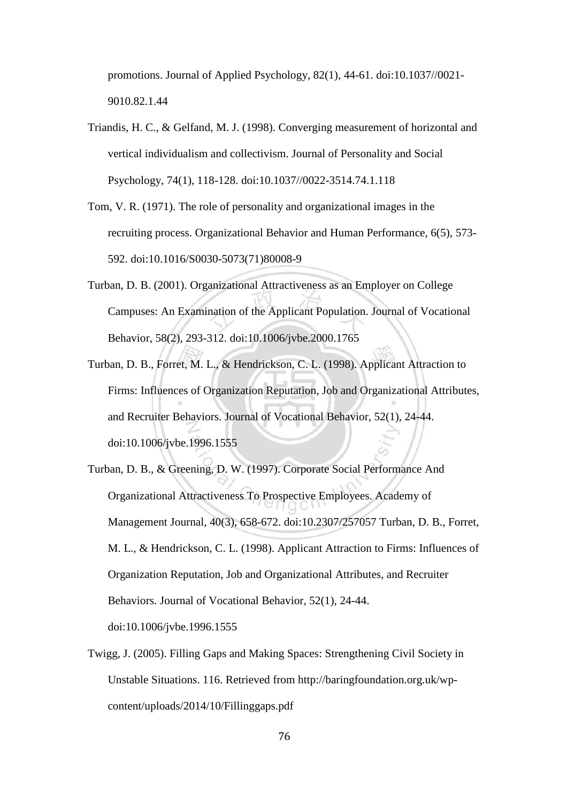promotions. Journal of Applied Psychology, 82(1), 44-61. doi:10.1037//0021- 9010.82.1.44

- Triandis, H. C., & Gelfand, M. J. (1998). Converging measurement of horizontal and vertical individualism and collectivism. Journal of Personality and Social Psychology, 74(1), 118-128. doi:10.1037//0022-3514.74.1.118
- Tom, V. R. (1971). The role of personality and organizational images in the recruiting process. Organizational Behavior and Human Performance, 6(5), 573- 592. doi:10.1016/S0030-5073(71)80008-9
- Turban, D. B. (2001). Organizational Attractiveness as an Employer on College Campuses: An Examination of the Applicant Population. Journal of Vocational Behavior, 58(2), 293-312. doi:10.1006/jvbe.2000.1765
- Turban, D. B., Forret, M. L., & Hendrickson, C. L. (1998). Applicant Attraction to Firms: Influences of Organization Reputation, Job and Organizational Attributes, and Recruiter Behaviors. Journal of Vocational Behavior, 52(1), 24-44. doi:10.1006/jvbe.1996.1555
- Turban, D. B., & Greening, D. W. (1997). Corporate Social Performance And Organizational Attractiveness To Prospective Employees. Academy of Management Journal, 40(3), 658-672. doi:10.2307/257057 Turban, D. B., Forret, M. L., & Hendrickson, C. L. (1998). Applicant Attraction to Firms: Influences of Organization Reputation, Job and Organizational Attributes, and Recruiter Behaviors. Journal of Vocational Behavior, 52(1), 24-44. doi:10.1006/jvbe.1996.1555
- Twigg, J. (2005). Filling Gaps and Making Spaces: Strengthening Civil Society in Unstable Situations. 116. Retrieved from http://baringfoundation.org.uk/wpcontent/uploads/2014/10/Fillinggaps.pdf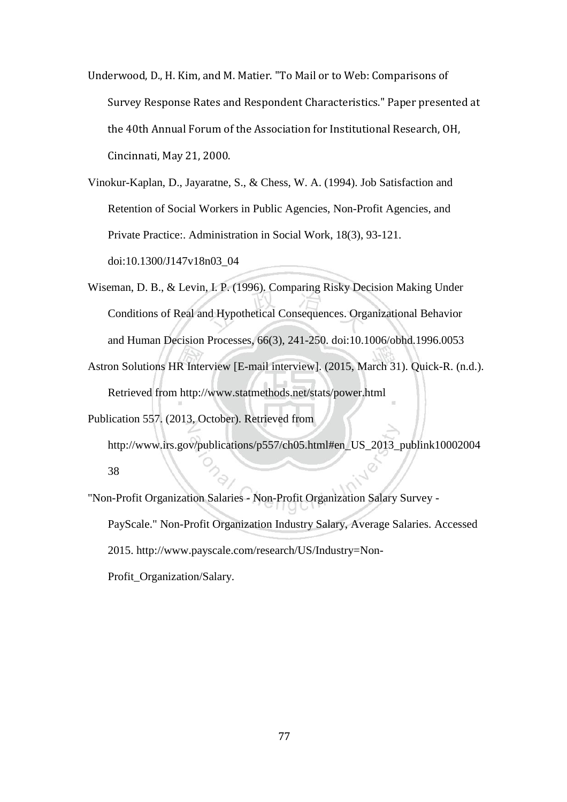Underwood, D., H. Kim, and M. Matier. "To Mail or to Web: Comparisons of Survey Response Rates and Respondent Characteristics." Paper presented at the 40th Annual Forum of the Association for Institutional Research, OH, Cincinnati, May 21, 2000.

Vinokur-Kaplan, D., Jayaratne, S., & Chess, W. A. (1994). Job Satisfaction and Retention of Social Workers in Public Agencies, Non-Profit Agencies, and Private Practice:. Administration in Social Work, 18(3), 93-121. doi:10.1300/J147v18n03\_04

- Wiseman, D. B., & Levin, I. P. (1996). Comparing Risky Decision Making Under Conditions of Real and Hypothetical Consequences. Organizational Behavior and Human Decision Processes, 66(3), 241-250. doi:10.1006/obhd.1996.0053
- Astron Solutions HR Interview [E-mail interview]. (2015, March 31). Quick-R. (n.d.). Retrieved from http://www.statmethods.net/stats/power.html

Publication 557. (2013, October). Retrieved from

http://www.irs.gov/publications/p557/ch05.html#en\_US\_2013\_publink10002004 38

"Non-Profit Organization Salaries - Non-Profit Organization Salary Survey - PayScale." Non-Profit Organization Industry Salary, Average Salaries. Accessed 2015. http://www.payscale.com/research/US/Industry=Non-Profit\_Organization/Salary.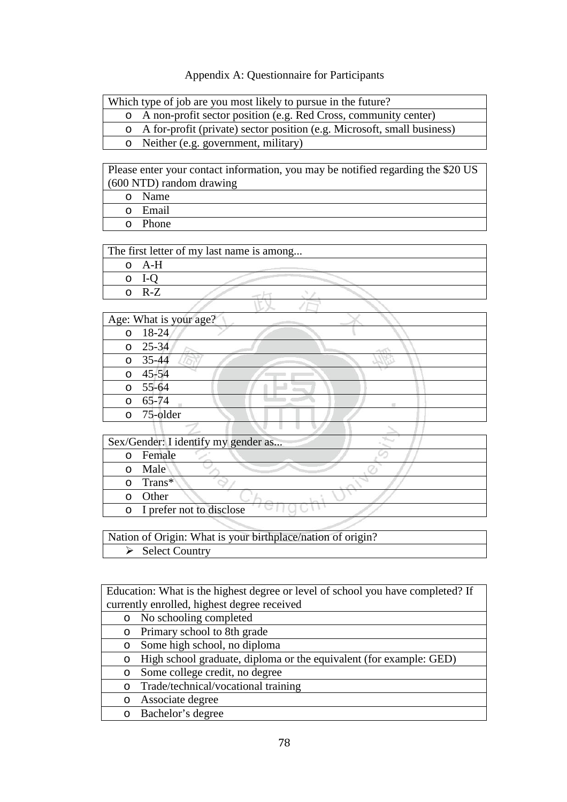## Appendix A: Questionnaire for Participants

| Which type of job are you most likely to pursue in the future? |
|----------------------------------------------------------------|
|----------------------------------------------------------------|

- o A non-profit sector position (e.g. Red Cross, community center)
	- o A for-profit (private) sector position (e.g. Microsoft, small business)
- o Neither (e.g. government, military)

Please enter your contact information, you may be notified regarding the \$20 US (600 NTD) random drawing

o Name o Email o Phone

|   |       | The first letter of my last name is among |  |  |
|---|-------|-------------------------------------------|--|--|
| ∩ | A-H   |                                           |  |  |
|   |       |                                           |  |  |
|   | $R-Z$ |                                           |  |  |
|   |       |                                           |  |  |

| Age: What is your age? |
|------------------------|
| $0 \quad 18-24$        |
| $0 \quad 25-34$        |
| $0 \quad 35-44$        |
| $0 \quad 45 - 54$      |
| $\overline{0}$ 55-64   |
| $0 65 - 74$            |
| o 75-older             |
|                        |

| Sex/Gender: I identify my gender as |
|-------------------------------------|
| Female                              |
| Male                                |
| $o$ Trans*                          |
| Other                               |
| o I prefer not to disclose          |

Nation of Origin: What is your birthplace/nation of origin?  $\overline{\triangleright}$  Select Country

Education: What is the highest degree or level of school you have completed? If currently enrolled, highest degree received

- o No schooling completed o Primary school to 8th grade o Some high school, no diploma o High school graduate, diploma or the equivalent (for example: GED) o Some college credit, no degree
	- o Trade/technical/vocational training
	- o Associate degree
	- o Bachelor's degree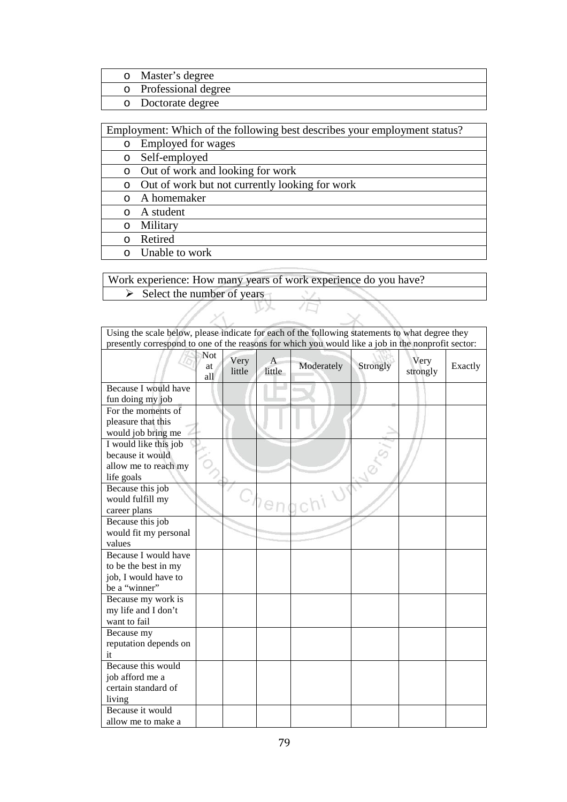- o Master's degree<br>
o Professional deg o Professional degree
- Doctorate degree

Employment: Which of the following best describes your employment status?

- o Employed for wages
- o Self-employed
- o Out of work and looking for work
- o Out of work but not currently looking for work
- o A homemaker
- o A student
- o Military
- o Retired
- o Unable to work

11

 $\mathcal{S}_{\lambda}$ 

Work experience: How many years of work experience do you have?  $\triangleright$  Select the number of years

LX.

 $\sqrt{D}$ 

| Using the scale below, please indicate for each of the following statements to what degree they    |                  |                |             |            |          |                  |         |
|----------------------------------------------------------------------------------------------------|------------------|----------------|-------------|------------|----------|------------------|---------|
| presently correspond to one of the reasons for which you would like a job in the nonprofit sector: |                  |                |             |            |          |                  |         |
|                                                                                                    | Not<br>at<br>all | Very<br>little | A<br>little | Moderately | Strongly | Very<br>strongly | Exactly |
| Because I would have                                                                               |                  |                |             |            |          |                  |         |
| fun doing my job                                                                                   |                  |                |             |            |          |                  |         |
| For the moments of                                                                                 |                  |                |             |            |          |                  |         |
| pleasure that this                                                                                 |                  |                |             |            |          |                  |         |
| would job bring me                                                                                 |                  |                |             |            |          |                  |         |
| I would like this job                                                                              |                  |                |             |            |          |                  |         |
| because it would                                                                                   |                  |                |             |            |          |                  |         |
| allow me to reach my                                                                               |                  |                |             |            |          |                  |         |
| life goals                                                                                         |                  |                |             |            |          |                  |         |
| Because this job                                                                                   |                  |                |             |            |          |                  |         |
| would fulfill my                                                                                   |                  |                |             |            |          |                  |         |
| career plans                                                                                       |                  |                | en          |            |          |                  |         |
| Because this job                                                                                   |                  |                |             |            |          |                  |         |
| would fit my personal                                                                              |                  |                |             |            |          |                  |         |
| values                                                                                             |                  |                |             |            |          |                  |         |
| Because I would have                                                                               |                  |                |             |            |          |                  |         |
| to be the best in my                                                                               |                  |                |             |            |          |                  |         |
| job, I would have to                                                                               |                  |                |             |            |          |                  |         |
| be a "winner"                                                                                      |                  |                |             |            |          |                  |         |
| Because my work is                                                                                 |                  |                |             |            |          |                  |         |
| my life and I don't                                                                                |                  |                |             |            |          |                  |         |
| want to fail                                                                                       |                  |                |             |            |          |                  |         |
| Because my                                                                                         |                  |                |             |            |          |                  |         |
| reputation depends on                                                                              |                  |                |             |            |          |                  |         |
| it                                                                                                 |                  |                |             |            |          |                  |         |
| Because this would                                                                                 |                  |                |             |            |          |                  |         |
| job afford me a                                                                                    |                  |                |             |            |          |                  |         |
| certain standard of                                                                                |                  |                |             |            |          |                  |         |
| living                                                                                             |                  |                |             |            |          |                  |         |
| Because it would                                                                                   |                  |                |             |            |          |                  |         |
| allow me to make a                                                                                 |                  |                |             |            |          |                  |         |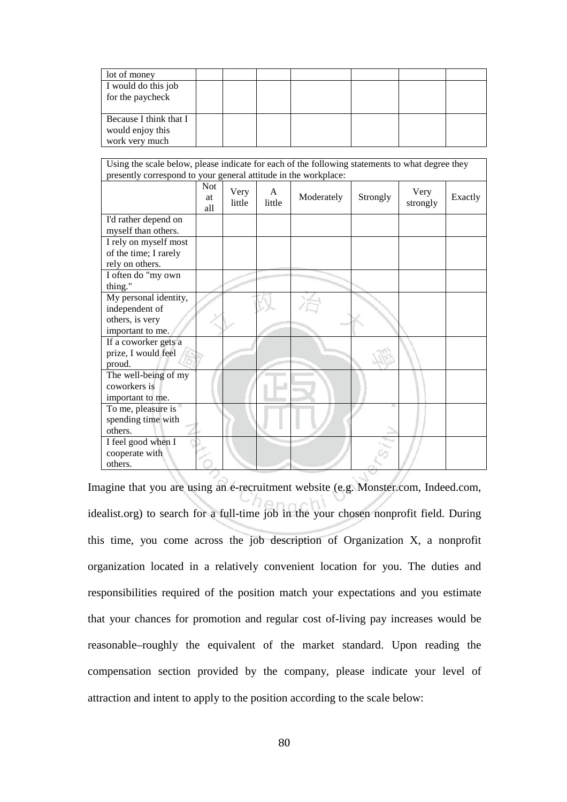| lot of money           |  |  |  |  |
|------------------------|--|--|--|--|
| I would do this job    |  |  |  |  |
| for the paycheck       |  |  |  |  |
|                        |  |  |  |  |
| Because I think that I |  |  |  |  |
| would enjoy this       |  |  |  |  |
| work very much         |  |  |  |  |

| Using the scale below, please indicate for each of the following statements to what degree they<br>presently correspond to your general attitude in the workplace: |                                |                |             |            |          |                  |         |
|--------------------------------------------------------------------------------------------------------------------------------------------------------------------|--------------------------------|----------------|-------------|------------|----------|------------------|---------|
|                                                                                                                                                                    |                                |                |             |            |          |                  |         |
|                                                                                                                                                                    | <b>Not</b><br><b>at</b><br>all | Very<br>little | A<br>little | Moderately | Strongly | Very<br>strongly | Exactly |
| I'd rather depend on                                                                                                                                               |                                |                |             |            |          |                  |         |
| myself than others.                                                                                                                                                |                                |                |             |            |          |                  |         |
| I rely on myself most                                                                                                                                              |                                |                |             |            |          |                  |         |
| of the time; I rarely                                                                                                                                              |                                |                |             |            |          |                  |         |
| rely on others.                                                                                                                                                    |                                |                |             |            |          |                  |         |
| I often do "my own                                                                                                                                                 |                                |                |             |            |          |                  |         |
| thing."                                                                                                                                                            |                                |                |             |            |          |                  |         |
| My personal identity,                                                                                                                                              |                                |                |             |            |          |                  |         |
| independent of                                                                                                                                                     |                                |                |             |            |          |                  |         |
| others, is very                                                                                                                                                    |                                |                |             |            |          |                  |         |
| important to me.                                                                                                                                                   |                                |                |             |            |          |                  |         |
| If a coworker gets a                                                                                                                                               |                                |                |             |            |          |                  |         |
| prize, I would feel                                                                                                                                                |                                |                |             |            |          |                  |         |
| proud.                                                                                                                                                             |                                |                |             |            |          |                  |         |
| The well-being of my                                                                                                                                               |                                |                |             |            |          |                  |         |
| coworkers is                                                                                                                                                       |                                |                |             |            |          |                  |         |
| important to me.                                                                                                                                                   |                                |                |             |            |          |                  |         |
| To me, pleasure is                                                                                                                                                 |                                |                |             |            |          |                  |         |
| spending time with                                                                                                                                                 |                                |                |             |            |          |                  |         |
| others.                                                                                                                                                            |                                |                |             |            |          |                  |         |
| I feel good when I                                                                                                                                                 |                                |                |             |            |          |                  |         |
| cooperate with                                                                                                                                                     |                                |                |             |            |          |                  |         |
| others.                                                                                                                                                            |                                |                |             |            |          |                  |         |

Imagine that you are using an e-recruitment website (e.g. Monster.com, Indeed.com, idealist.org) to search for a full-time job in the your chosen nonprofit field. During this time, you come across the job description of Organization X, a nonprofit organization located in a relatively convenient location for you. The duties and responsibilities required of the position match your expectations and you estimate that your chances for promotion and regular cost of-living pay increases would be reasonable–roughly the equivalent of the market standard. Upon reading the compensation section provided by the company, please indicate your level of attraction and intent to apply to the position according to the scale below: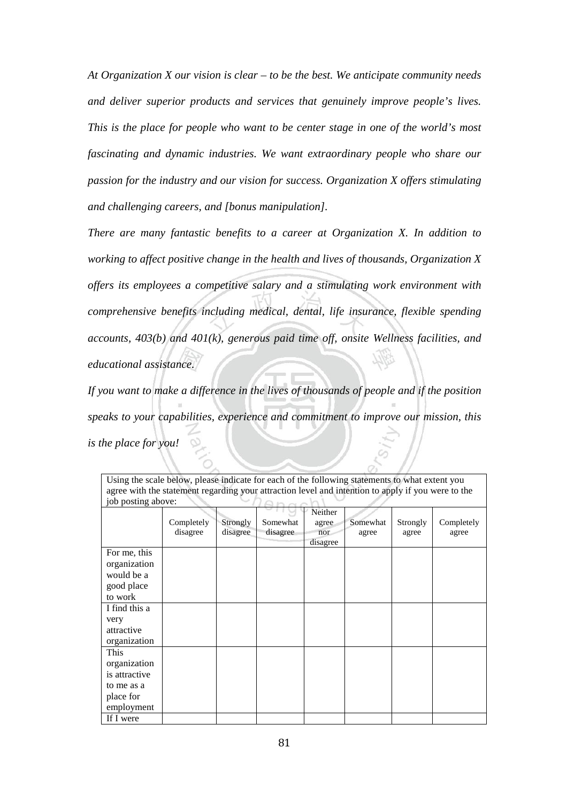*At Organization X our vision is clear – to be the best. We anticipate community needs and deliver superior products and services that genuinely improve people's lives. This is the place for people who want to be center stage in one of the world's most fascinating and dynamic industries. We want extraordinary people who share our passion for the industry and our vision for success. Organization X offers stimulating and challenging careers, and [bonus manipulation].*

*There are many fantastic benefits to a career at Organization X. In addition to working to affect positive change in the health and lives of thousands, Organization X offers its employees a competitive salary and a stimulating work environment with comprehensive benefits including medical, dental, life insurance, flexible spending accounts, 403(b) and 401(k), generous paid time off, onsite Wellness facilities, and educational assistance.*

*If you want to make a difference in the lives of thousands of people and if the position speaks to your capabilities, experience and commitment to improve our mission, this is the place for you!*

|                                                                                | Completely<br>disagree | Strongly<br>disagree | Somewhat<br>disagree | Neither<br>agree<br>nor<br>disagree | Somewhat<br>agree | Strongly<br>agree | Completely<br>agree |
|--------------------------------------------------------------------------------|------------------------|----------------------|----------------------|-------------------------------------|-------------------|-------------------|---------------------|
| For me, this<br>organization<br>would be a<br>good place<br>to work            |                        |                      |                      |                                     |                   |                   |                     |
| I find this a<br>very<br>attractive<br>organization                            |                        |                      |                      |                                     |                   |                   |                     |
| This<br>organization<br>is attractive<br>to me as a<br>place for<br>employment |                        |                      |                      |                                     |                   |                   |                     |

Using the scale below, please indicate for each of the following statements to what extent you